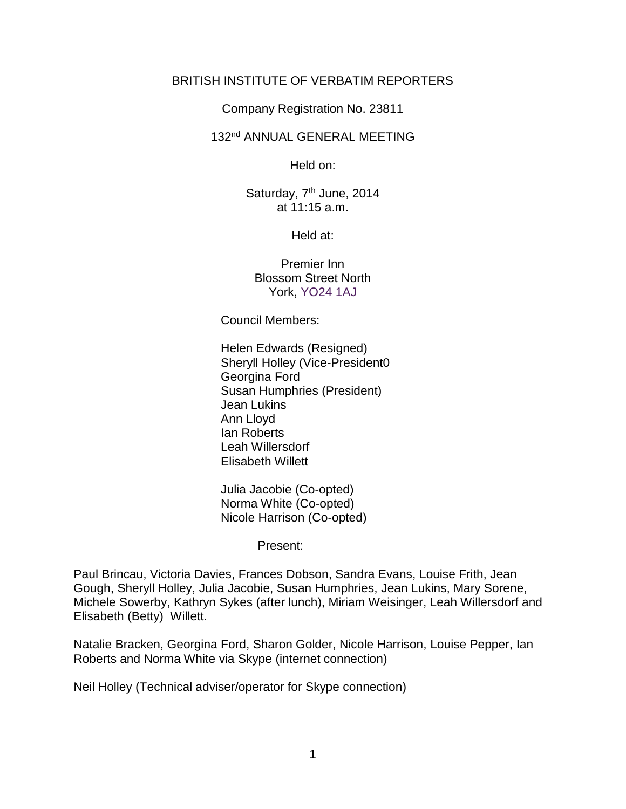### BRITISH INSTITUTE OF VERBATIM REPORTERS

Company Registration No. 23811

#### 132nd ANNUAL GENERAL MEETING

Held on:

Saturday, 7<sup>th</sup> June, 2014 at 11:15 a.m.

Held at:

Premier Inn Blossom Street North York, YO24 1AJ

Council Members:

Helen Edwards (Resigned) Sheryll Holley (Vice-President0 Georgina Ford Susan Humphries (President) Jean Lukins Ann Lloyd Ian Roberts Leah Willersdorf Elisabeth Willett

Julia Jacobie (Co-opted) Norma White (Co-opted) Nicole Harrison (Co-opted)

Present:

Paul Brincau, Victoria Davies, Frances Dobson, Sandra Evans, Louise Frith, Jean Gough, Sheryll Holley, Julia Jacobie, Susan Humphries, Jean Lukins, Mary Sorene, Michele Sowerby, Kathryn Sykes (after lunch), Miriam Weisinger, Leah Willersdorf and Elisabeth (Betty) Willett.

Natalie Bracken, Georgina Ford, Sharon Golder, Nicole Harrison, Louise Pepper, Ian Roberts and Norma White via Skype (internet connection)

Neil Holley (Technical adviser/operator for Skype connection)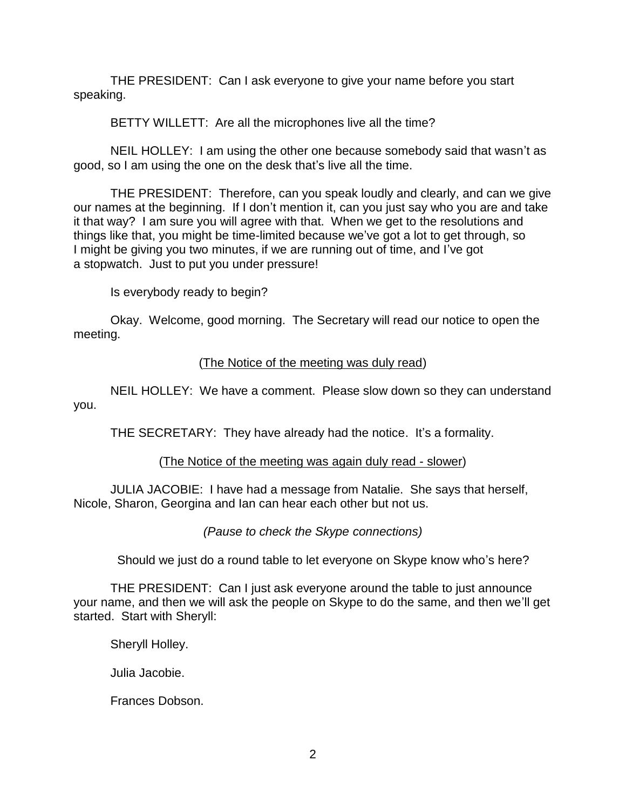THE PRESIDENT: Can I ask everyone to give your name before you start speaking.

BETTY WILLETT: Are all the microphones live all the time?

NEIL HOLLEY: I am using the other one because somebody said that wasn't as good, so I am using the one on the desk that's live all the time.

THE PRESIDENT: Therefore, can you speak loudly and clearly, and can we give our names at the beginning. If I don't mention it, can you just say who you are and take it that way? I am sure you will agree with that. When we get to the resolutions and things like that, you might be time-limited because we've got a lot to get through, so I might be giving you two minutes, if we are running out of time, and I've got a stopwatch. Just to put you under pressure!

Is everybody ready to begin?

Okay. Welcome, good morning. The Secretary will read our notice to open the meeting.

# (The Notice of the meeting was duly read)

NEIL HOLLEY: We have a comment. Please slow down so they can understand you.

THE SECRETARY: They have already had the notice. It's a formality.

# (The Notice of the meeting was again duly read - slower)

JULIA JACOBIE: I have had a message from Natalie. She says that herself, Nicole, Sharon, Georgina and Ian can hear each other but not us.

*(Pause to check the Skype connections)*

Should we just do a round table to let everyone on Skype know who's here?

THE PRESIDENT: Can I just ask everyone around the table to just announce your name, and then we will ask the people on Skype to do the same, and then we'll get started. Start with Sheryll:

Sheryll Holley.

Julia Jacobie.

Frances Dobson.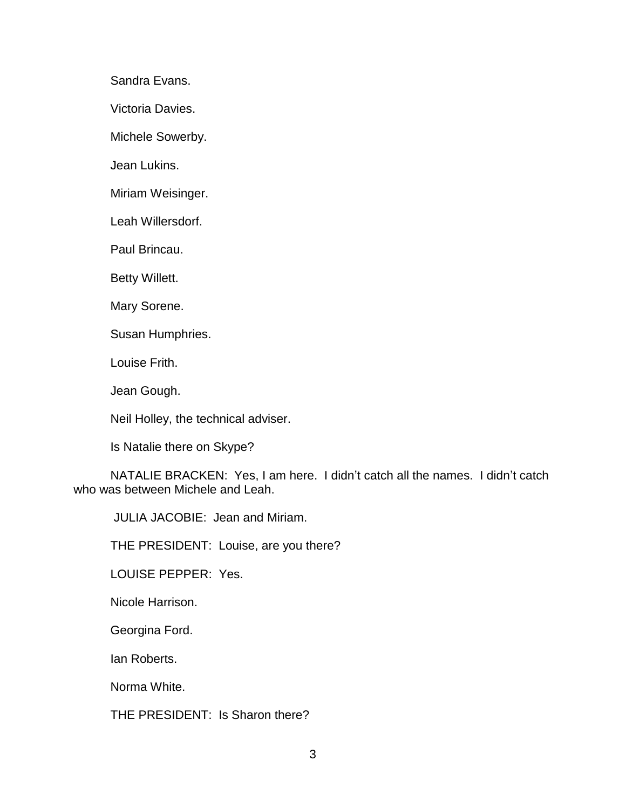Sandra Evans.

Victoria Davies.

Michele Sowerby.

Jean Lukins.

Miriam Weisinger.

Leah Willersdorf.

Paul Brincau.

Betty Willett.

Mary Sorene.

Susan Humphries.

Louise Frith.

Jean Gough.

Neil Holley, the technical adviser.

Is Natalie there on Skype?

NATALIE BRACKEN: Yes, I am here. I didn't catch all the names. I didn't catch who was between Michele and Leah.

JULIA JACOBIE: Jean and Miriam.

THE PRESIDENT: Louise, are you there?

LOUISE PEPPER: Yes.

Nicole Harrison.

Georgina Ford.

Ian Roberts.

Norma White.

THE PRESIDENT: Is Sharon there?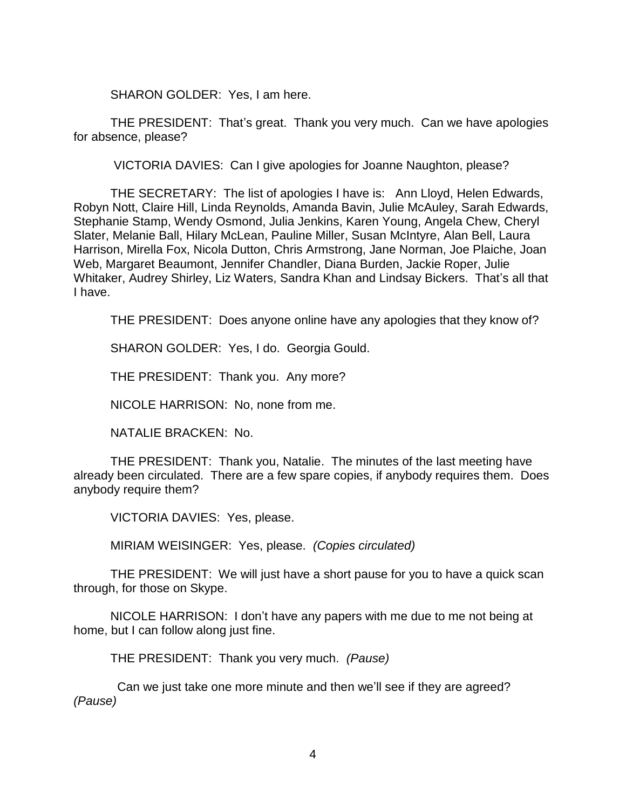SHARON GOLDER: Yes, I am here.

THE PRESIDENT: That's great. Thank you very much. Can we have apologies for absence, please?

VICTORIA DAVIES: Can I give apologies for Joanne Naughton, please?

THE SECRETARY: The list of apologies I have is: Ann Lloyd, Helen Edwards, Robyn Nott, Claire Hill, Linda Reynolds, Amanda Bavin, Julie McAuley, Sarah Edwards, Stephanie Stamp, Wendy Osmond, Julia Jenkins, Karen Young, Angela Chew, Cheryl Slater, Melanie Ball, Hilary McLean, Pauline Miller, Susan McIntyre, Alan Bell, Laura Harrison, Mirella Fox, Nicola Dutton, Chris Armstrong, Jane Norman, Joe Plaiche, Joan Web, Margaret Beaumont, Jennifer Chandler, Diana Burden, Jackie Roper, Julie Whitaker, Audrey Shirley, Liz Waters, Sandra Khan and Lindsay Bickers. That's all that I have.

THE PRESIDENT: Does anyone online have any apologies that they know of?

SHARON GOLDER: Yes, I do. Georgia Gould.

THE PRESIDENT: Thank you. Any more?

NICOLE HARRISON: No, none from me.

NATALIE BRACKEN: No.

THE PRESIDENT: Thank you, Natalie. The minutes of the last meeting have already been circulated. There are a few spare copies, if anybody requires them. Does anybody require them?

VICTORIA DAVIES: Yes, please.

MIRIAM WEISINGER: Yes, please. *(Copies circulated)*

THE PRESIDENT: We will just have a short pause for you to have a quick scan through, for those on Skype.

NICOLE HARRISON: I don't have any papers with me due to me not being at home, but I can follow along just fine.

THE PRESIDENT: Thank you very much. *(Pause)*

 Can we just take one more minute and then we'll see if they are agreed? *(Pause)*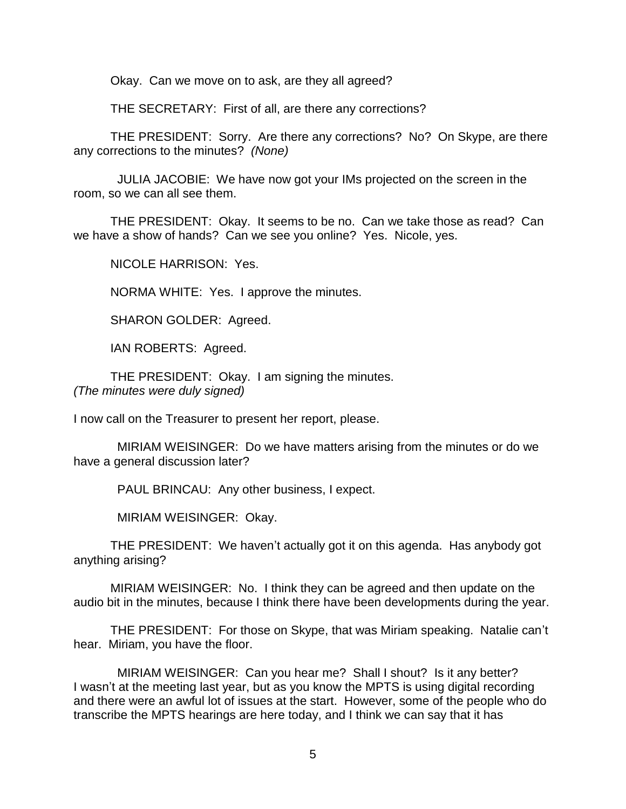Okay. Can we move on to ask, are they all agreed?

THE SECRETARY: First of all, are there any corrections?

THE PRESIDENT: Sorry. Are there any corrections? No? On Skype, are there any corrections to the minutes? *(None)*

 JULIA JACOBIE: We have now got your IMs projected on the screen in the room, so we can all see them.

THE PRESIDENT: Okay. It seems to be no. Can we take those as read? Can we have a show of hands? Can we see you online? Yes. Nicole, yes.

NICOLE HARRISON: Yes.

NORMA WHITE: Yes. I approve the minutes.

SHARON GOLDER: Agreed.

IAN ROBERTS: Agreed.

THE PRESIDENT: Okay. I am signing the minutes. *(The minutes were duly signed)* 

I now call on the Treasurer to present her report, please.

 MIRIAM WEISINGER: Do we have matters arising from the minutes or do we have a general discussion later?

PAUL BRINCAU: Any other business, I expect.

MIRIAM WEISINGER: Okay.

THE PRESIDENT: We haven't actually got it on this agenda. Has anybody got anything arising?

MIRIAM WEISINGER: No. I think they can be agreed and then update on the audio bit in the minutes, because I think there have been developments during the year.

THE PRESIDENT: For those on Skype, that was Miriam speaking. Natalie can't hear. Miriam, you have the floor.

 MIRIAM WEISINGER: Can you hear me? Shall I shout? Is it any better? I wasn't at the meeting last year, but as you know the MPTS is using digital recording and there were an awful lot of issues at the start. However, some of the people who do transcribe the MPTS hearings are here today, and I think we can say that it has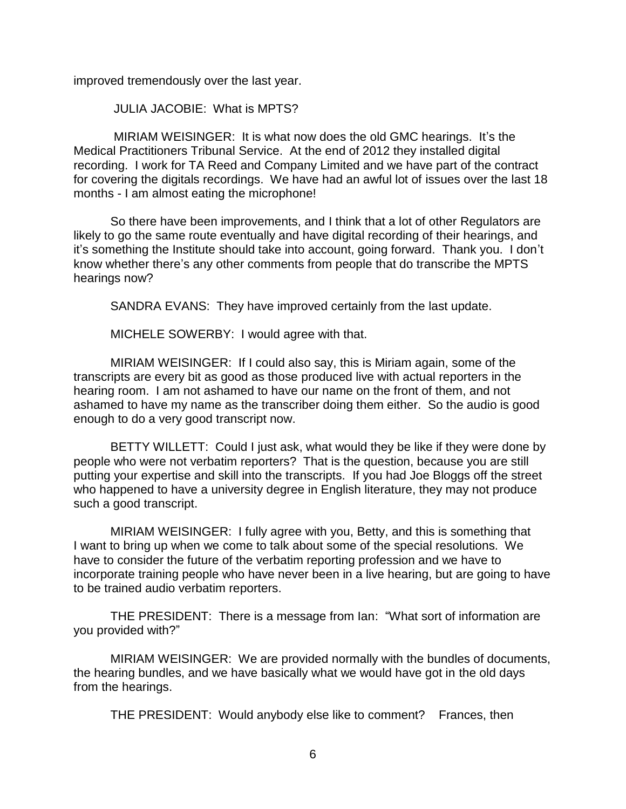improved tremendously over the last year.

JULIA JACOBIE: What is MPTS?

MIRIAM WEISINGER: It is what now does the old GMC hearings. It's the Medical Practitioners Tribunal Service. At the end of 2012 they installed digital recording. I work for TA Reed and Company Limited and we have part of the contract for covering the digitals recordings. We have had an awful lot of issues over the last 18 months - I am almost eating the microphone!

So there have been improvements, and I think that a lot of other Regulators are likely to go the same route eventually and have digital recording of their hearings, and it's something the Institute should take into account, going forward. Thank you. I don't know whether there's any other comments from people that do transcribe the MPTS hearings now?

SANDRA EVANS: They have improved certainly from the last update.

MICHELE SOWERBY: I would agree with that.

MIRIAM WEISINGER: If I could also say, this is Miriam again, some of the transcripts are every bit as good as those produced live with actual reporters in the hearing room. I am not ashamed to have our name on the front of them, and not ashamed to have my name as the transcriber doing them either. So the audio is good enough to do a very good transcript now.

BETTY WILLETT: Could I just ask, what would they be like if they were done by people who were not verbatim reporters? That is the question, because you are still putting your expertise and skill into the transcripts. If you had Joe Bloggs off the street who happened to have a university degree in English literature, they may not produce such a good transcript.

MIRIAM WEISINGER: I fully agree with you, Betty, and this is something that I want to bring up when we come to talk about some of the special resolutions. We have to consider the future of the verbatim reporting profession and we have to incorporate training people who have never been in a live hearing, but are going to have to be trained audio verbatim reporters.

THE PRESIDENT: There is a message from Ian: "What sort of information are you provided with?"

MIRIAM WEISINGER: We are provided normally with the bundles of documents, the hearing bundles, and we have basically what we would have got in the old days from the hearings.

THE PRESIDENT: Would anybody else like to comment? Frances, then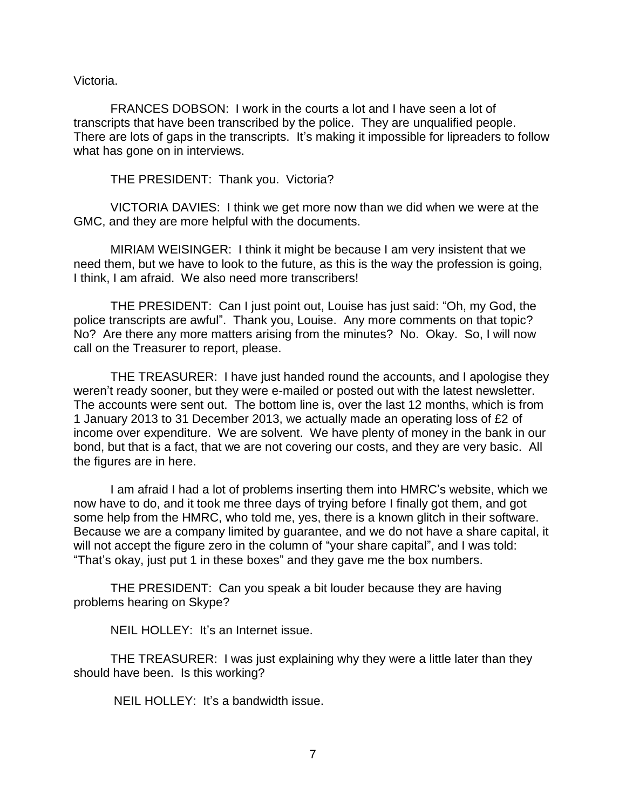Victoria.

FRANCES DOBSON: I work in the courts a lot and I have seen a lot of transcripts that have been transcribed by the police. They are unqualified people. There are lots of gaps in the transcripts. It's making it impossible for lipreaders to follow what has gone on in interviews.

THE PRESIDENT: Thank you. Victoria?

VICTORIA DAVIES: I think we get more now than we did when we were at the GMC, and they are more helpful with the documents.

MIRIAM WEISINGER: I think it might be because I am very insistent that we need them, but we have to look to the future, as this is the way the profession is going, I think, I am afraid. We also need more transcribers!

THE PRESIDENT: Can I just point out, Louise has just said: "Oh, my God, the police transcripts are awful". Thank you, Louise. Any more comments on that topic? No? Are there any more matters arising from the minutes? No. Okay. So, I will now call on the Treasurer to report, please.

THE TREASURER: I have just handed round the accounts, and I apologise they weren't ready sooner, but they were e-mailed or posted out with the latest newsletter. The accounts were sent out. The bottom line is, over the last 12 months, which is from 1 January 2013 to 31 December 2013, we actually made an operating loss of £2 of income over expenditure. We are solvent. We have plenty of money in the bank in our bond, but that is a fact, that we are not covering our costs, and they are very basic. All the figures are in here.

I am afraid I had a lot of problems inserting them into HMRC's website, which we now have to do, and it took me three days of trying before I finally got them, and got some help from the HMRC, who told me, yes, there is a known glitch in their software. Because we are a company limited by guarantee, and we do not have a share capital, it will not accept the figure zero in the column of "your share capital", and I was told: "That's okay, just put 1 in these boxes" and they gave me the box numbers.

THE PRESIDENT: Can you speak a bit louder because they are having problems hearing on Skype?

NEIL HOLLEY: It's an Internet issue.

THE TREASURER: I was just explaining why they were a little later than they should have been. Is this working?

NEIL HOLLEY: It's a bandwidth issue.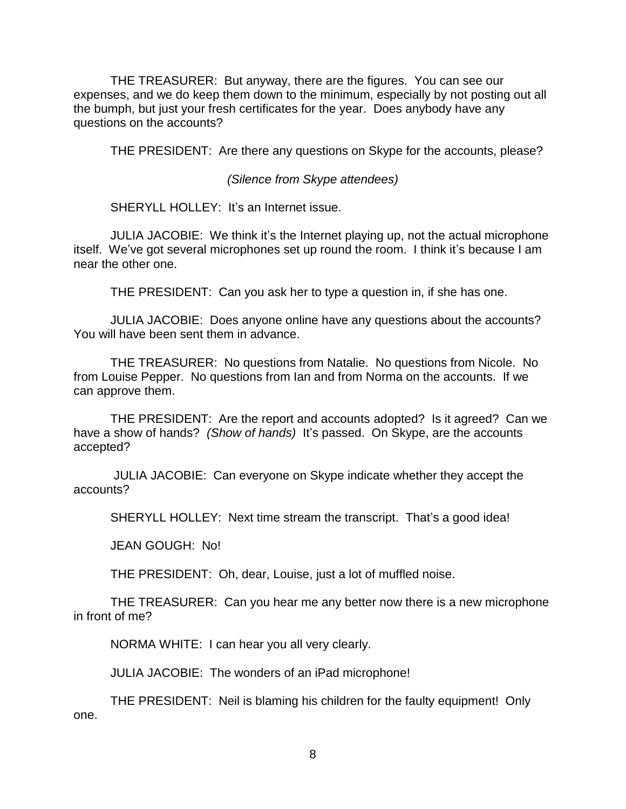THE TREASURER: But anyway, there are the figures. You can see our expenses, and we do keep them down to the minimum, especially by not posting out all the bumph, but just your fresh certificates for the year. Does anybody have any questions on the accounts?

THE PRESIDENT: Are there any questions on Skype for the accounts, please?

*(Silence from Skype attendees)*

SHERYLL HOLLEY: It's an Internet issue.

JULIA JACOBIE: We think it's the Internet playing up, not the actual microphone itself. We've got several microphones set up round the room. I think it's because I am near the other one.

THE PRESIDENT: Can you ask her to type a question in, if she has one.

JULIA JACOBIE: Does anyone online have any questions about the accounts? You will have been sent them in advance.

THE TREASURER: No questions from Natalie. No questions from Nicole. No from Louise Pepper. No questions from Ian and from Norma on the accounts. If we can approve them.

THE PRESIDENT: Are the report and accounts adopted? Is it agreed? Can we have a show of hands? *(Show of hands)* It's passed. On Skype, are the accounts accepted?

JULIA JACOBIE: Can everyone on Skype indicate whether they accept the accounts?

SHERYLL HOLLEY: Next time stream the transcript. That's a good idea!

JEAN GOUGH: No!

THE PRESIDENT: Oh, dear, Louise, just a lot of muffled noise.

THE TREASURER: Can you hear me any better now there is a new microphone in front of me?

NORMA WHITE: I can hear you all very clearly.

JULIA JACOBIE: The wonders of an iPad microphone!

THE PRESIDENT: Neil is blaming his children for the faulty equipment! Only one.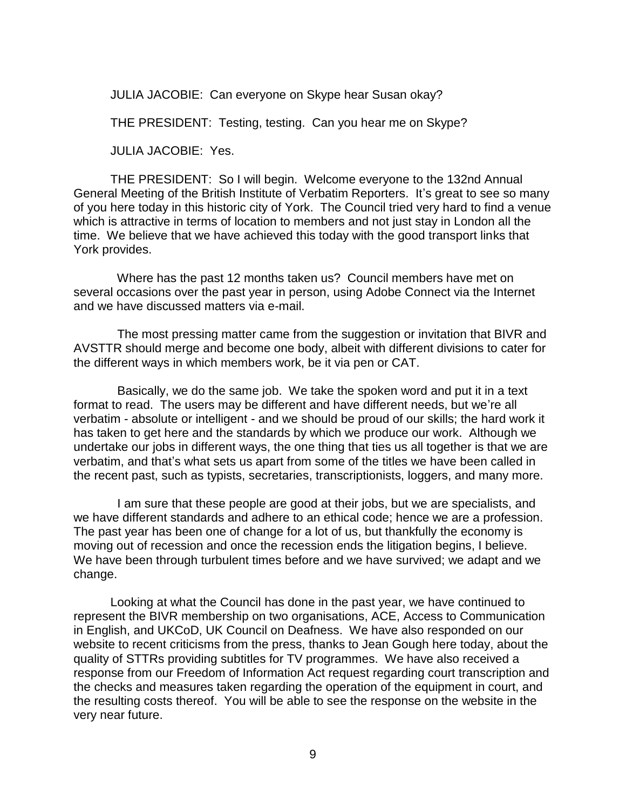JULIA JACOBIE: Can everyone on Skype hear Susan okay?

THE PRESIDENT: Testing, testing. Can you hear me on Skype?

JULIA JACOBIE: Yes.

THE PRESIDENT: So I will begin. Welcome everyone to the 132nd Annual General Meeting of the British Institute of Verbatim Reporters. It's great to see so many of you here today in this historic city of York. The Council tried very hard to find a venue which is attractive in terms of location to members and not just stay in London all the time. We believe that we have achieved this today with the good transport links that York provides.

 Where has the past 12 months taken us? Council members have met on several occasions over the past year in person, using Adobe Connect via the Internet and we have discussed matters via e-mail.

 The most pressing matter came from the suggestion or invitation that BIVR and AVSTTR should merge and become one body, albeit with different divisions to cater for the different ways in which members work, be it via pen or CAT.

 Basically, we do the same job. We take the spoken word and put it in a text format to read. The users may be different and have different needs, but we're all verbatim - absolute or intelligent - and we should be proud of our skills; the hard work it has taken to get here and the standards by which we produce our work. Although we undertake our jobs in different ways, the one thing that ties us all together is that we are verbatim, and that's what sets us apart from some of the titles we have been called in the recent past, such as typists, secretaries, transcriptionists, loggers, and many more.

 I am sure that these people are good at their jobs, but we are specialists, and we have different standards and adhere to an ethical code; hence we are a profession. The past year has been one of change for a lot of us, but thankfully the economy is moving out of recession and once the recession ends the litigation begins, I believe. We have been through turbulent times before and we have survived; we adapt and we change.

Looking at what the Council has done in the past year, we have continued to represent the BIVR membership on two organisations, ACE, Access to Communication in English, and UKCoD, UK Council on Deafness. We have also responded on our website to recent criticisms from the press, thanks to Jean Gough here today, about the quality of STTRs providing subtitles for TV programmes. We have also received a response from our Freedom of Information Act request regarding court transcription and the checks and measures taken regarding the operation of the equipment in court, and the resulting costs thereof. You will be able to see the response on the website in the very near future.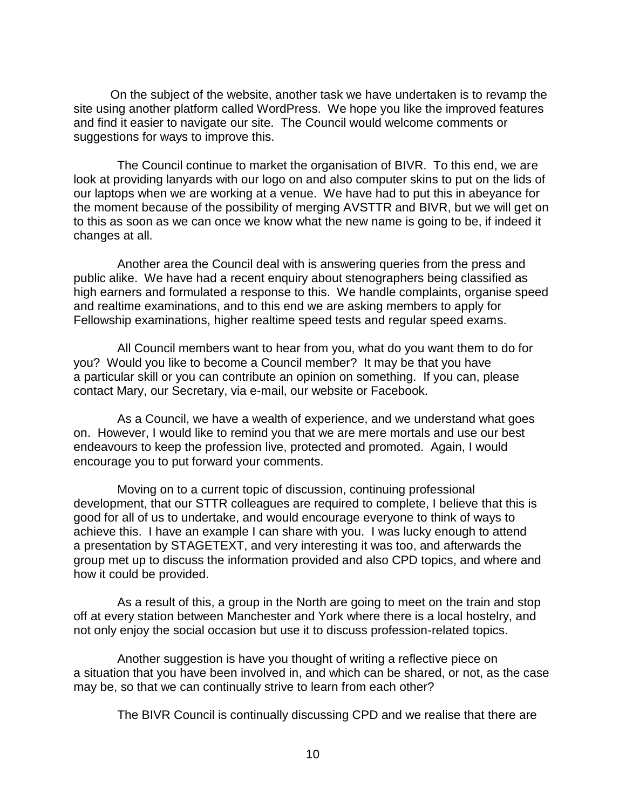On the subject of the website, another task we have undertaken is to revamp the site using another platform called WordPress. We hope you like the improved features and find it easier to navigate our site. The Council would welcome comments or suggestions for ways to improve this.

 The Council continue to market the organisation of BIVR. To this end, we are look at providing lanyards with our logo on and also computer skins to put on the lids of our laptops when we are working at a venue. We have had to put this in abeyance for the moment because of the possibility of merging AVSTTR and BIVR, but we will get on to this as soon as we can once we know what the new name is going to be, if indeed it changes at all.

 Another area the Council deal with is answering queries from the press and public alike. We have had a recent enquiry about stenographers being classified as high earners and formulated a response to this. We handle complaints, organise speed and realtime examinations, and to this end we are asking members to apply for Fellowship examinations, higher realtime speed tests and regular speed exams.

 All Council members want to hear from you, what do you want them to do for you? Would you like to become a Council member? It may be that you have a particular skill or you can contribute an opinion on something. If you can, please contact Mary, our Secretary, via e-mail, our website or Facebook.

 As a Council, we have a wealth of experience, and we understand what goes on. However, I would like to remind you that we are mere mortals and use our best endeavours to keep the profession live, protected and promoted. Again, I would encourage you to put forward your comments.

 Moving on to a current topic of discussion, continuing professional development, that our STTR colleagues are required to complete, I believe that this is good for all of us to undertake, and would encourage everyone to think of ways to achieve this. I have an example I can share with you. I was lucky enough to attend a presentation by STAGETEXT, and very interesting it was too, and afterwards the group met up to discuss the information provided and also CPD topics, and where and how it could be provided.

 As a result of this, a group in the North are going to meet on the train and stop off at every station between Manchester and York where there is a local hostelry, and not only enjoy the social occasion but use it to discuss profession-related topics.

 Another suggestion is have you thought of writing a reflective piece on a situation that you have been involved in, and which can be shared, or not, as the case may be, so that we can continually strive to learn from each other?

The BIVR Council is continually discussing CPD and we realise that there are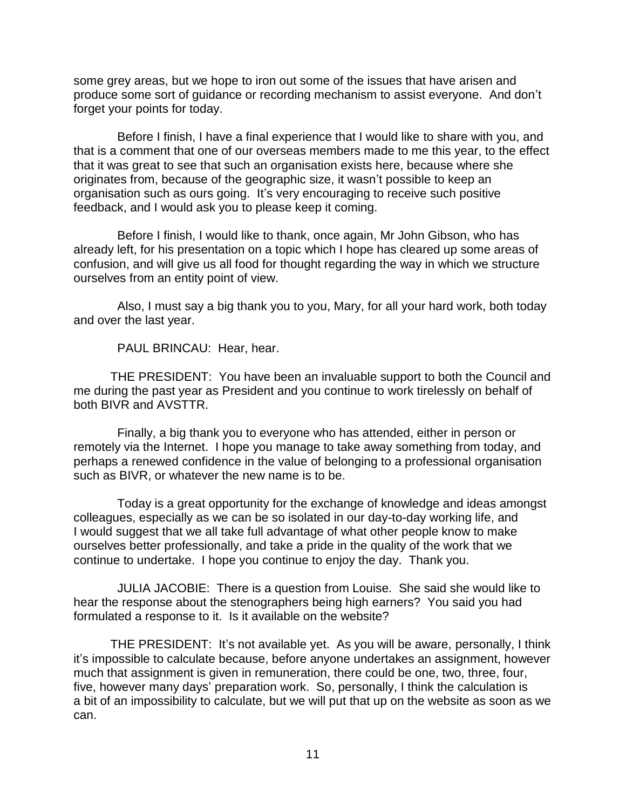some grey areas, but we hope to iron out some of the issues that have arisen and produce some sort of guidance or recording mechanism to assist everyone. And don't forget your points for today.

 Before I finish, I have a final experience that I would like to share with you, and that is a comment that one of our overseas members made to me this year, to the effect that it was great to see that such an organisation exists here, because where she originates from, because of the geographic size, it wasn't possible to keep an organisation such as ours going. It's very encouraging to receive such positive feedback, and I would ask you to please keep it coming.

 Before I finish, I would like to thank, once again, Mr John Gibson, who has already left, for his presentation on a topic which I hope has cleared up some areas of confusion, and will give us all food for thought regarding the way in which we structure ourselves from an entity point of view.

 Also, I must say a big thank you to you, Mary, for all your hard work, both today and over the last year.

PAUL BRINCAU: Hear, hear.

THE PRESIDENT: You have been an invaluable support to both the Council and me during the past year as President and you continue to work tirelessly on behalf of both BIVR and AVSTTR.

 Finally, a big thank you to everyone who has attended, either in person or remotely via the Internet. I hope you manage to take away something from today, and perhaps a renewed confidence in the value of belonging to a professional organisation such as BIVR, or whatever the new name is to be.

 Today is a great opportunity for the exchange of knowledge and ideas amongst colleagues, especially as we can be so isolated in our day-to-day working life, and I would suggest that we all take full advantage of what other people know to make ourselves better professionally, and take a pride in the quality of the work that we continue to undertake. I hope you continue to enjoy the day. Thank you.

 JULIA JACOBIE: There is a question from Louise. She said she would like to hear the response about the stenographers being high earners? You said you had formulated a response to it. Is it available on the website?

THE PRESIDENT: It's not available yet. As you will be aware, personally, I think it's impossible to calculate because, before anyone undertakes an assignment, however much that assignment is given in remuneration, there could be one, two, three, four, five, however many days' preparation work. So, personally, I think the calculation is a bit of an impossibility to calculate, but we will put that up on the website as soon as we can.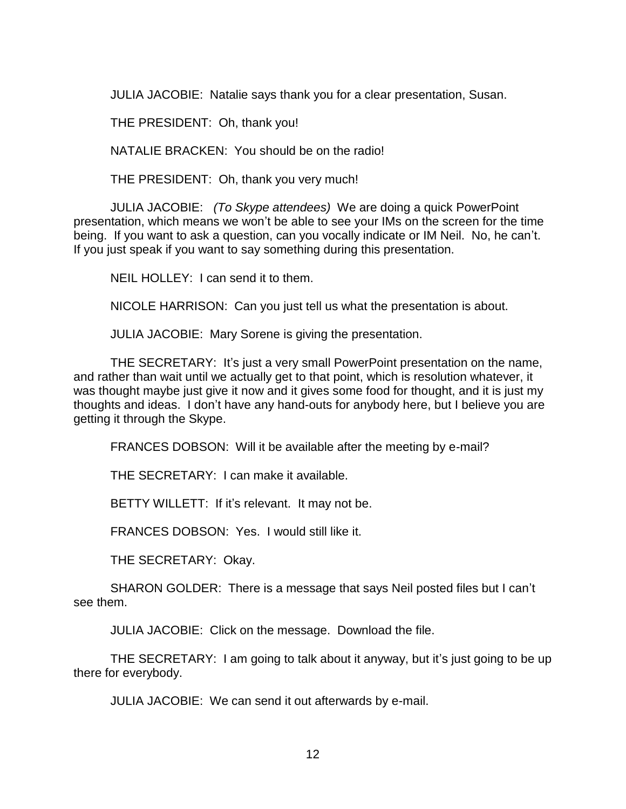JULIA JACOBIE: Natalie says thank you for a clear presentation, Susan.

THE PRESIDENT: Oh, thank you!

NATALIE BRACKEN: You should be on the radio!

THE PRESIDENT: Oh, thank you very much!

JULIA JACOBIE: *(To Skype attendees)* We are doing a quick PowerPoint presentation, which means we won't be able to see your IMs on the screen for the time being. If you want to ask a question, can you vocally indicate or IM Neil. No, he can't. If you just speak if you want to say something during this presentation.

NEIL HOLLEY: I can send it to them.

NICOLE HARRISON: Can you just tell us what the presentation is about.

JULIA JACOBIE: Mary Sorene is giving the presentation.

THE SECRETARY: It's just a very small PowerPoint presentation on the name, and rather than wait until we actually get to that point, which is resolution whatever, it was thought maybe just give it now and it gives some food for thought, and it is just my thoughts and ideas. I don't have any hand-outs for anybody here, but I believe you are getting it through the Skype.

FRANCES DOBSON: Will it be available after the meeting by e-mail?

THE SECRETARY: I can make it available.

BETTY WILLETT: If it's relevant. It may not be.

FRANCES DOBSON: Yes. I would still like it.

THE SECRETARY: Okay.

SHARON GOLDER: There is a message that says Neil posted files but I can't see them.

JULIA JACOBIE: Click on the message. Download the file.

THE SECRETARY: I am going to talk about it anyway, but it's just going to be up there for everybody.

JULIA JACOBIE: We can send it out afterwards by e-mail.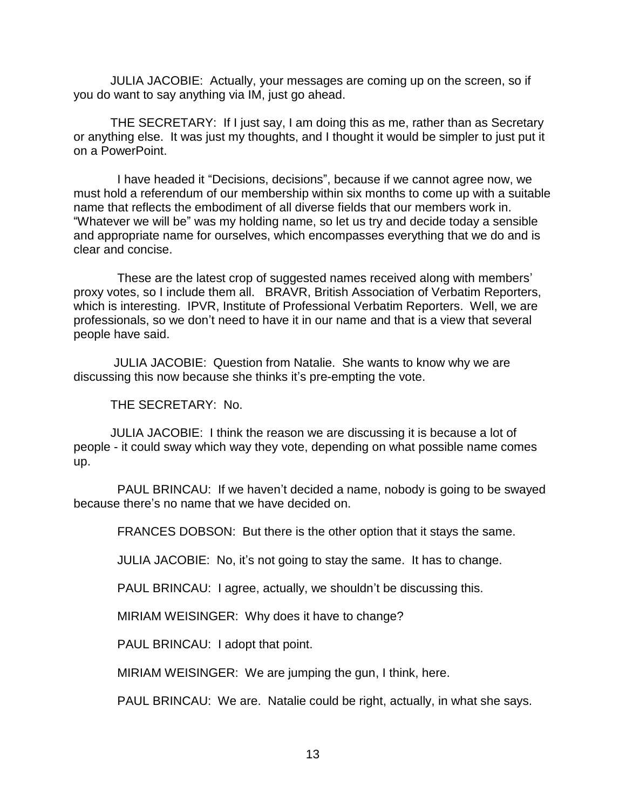JULIA JACOBIE: Actually, your messages are coming up on the screen, so if you do want to say anything via IM, just go ahead.

THE SECRETARY: If I just say, I am doing this as me, rather than as Secretary or anything else. It was just my thoughts, and I thought it would be simpler to just put it on a PowerPoint.

 I have headed it "Decisions, decisions", because if we cannot agree now, we must hold a referendum of our membership within six months to come up with a suitable name that reflects the embodiment of all diverse fields that our members work in. "Whatever we will be" was my holding name, so let us try and decide today a sensible and appropriate name for ourselves, which encompasses everything that we do and is clear and concise.

 These are the latest crop of suggested names received along with members' proxy votes, so I include them all. BRAVR, British Association of Verbatim Reporters, which is interesting. IPVR, Institute of Professional Verbatim Reporters. Well, we are professionals, so we don't need to have it in our name and that is a view that several people have said.

JULIA JACOBIE: Question from Natalie. She wants to know why we are discussing this now because she thinks it's pre-empting the vote.

THE SECRETARY: No.

JULIA JACOBIE: I think the reason we are discussing it is because a lot of people - it could sway which way they vote, depending on what possible name comes up.

 PAUL BRINCAU: If we haven't decided a name, nobody is going to be swayed because there's no name that we have decided on.

FRANCES DOBSON: But there is the other option that it stays the same.

JULIA JACOBIE: No, it's not going to stay the same. It has to change.

PAUL BRINCAU: I agree, actually, we shouldn't be discussing this.

MIRIAM WEISINGER: Why does it have to change?

PAUL BRINCAU: I adopt that point.

MIRIAM WEISINGER: We are jumping the gun, I think, here.

PAUL BRINCAU: We are. Natalie could be right, actually, in what she says.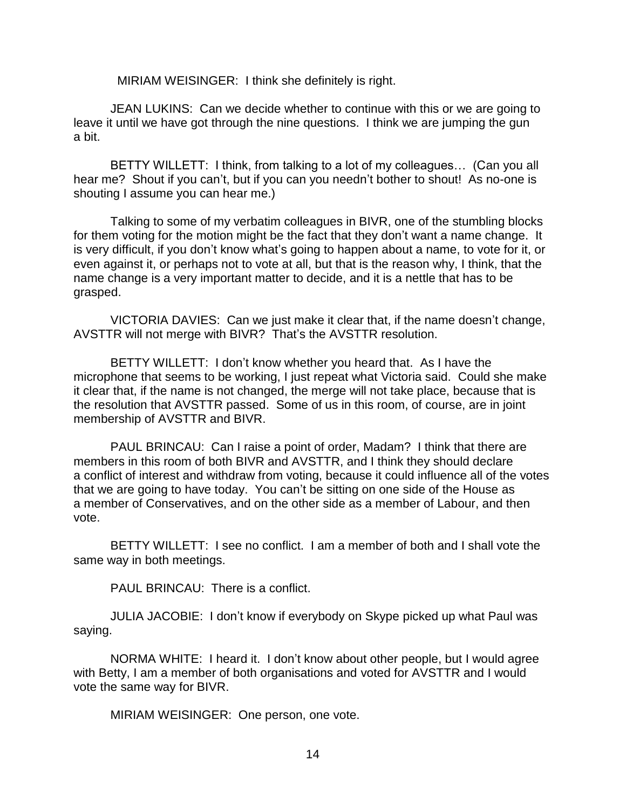MIRIAM WEISINGER: I think she definitely is right.

JEAN LUKINS: Can we decide whether to continue with this or we are going to leave it until we have got through the nine questions. I think we are jumping the gun a bit.

BETTY WILLETT: I think, from talking to a lot of my colleagues… (Can you all hear me? Shout if you can't, but if you can you needn't bother to shout! As no-one is shouting I assume you can hear me.)

Talking to some of my verbatim colleagues in BIVR, one of the stumbling blocks for them voting for the motion might be the fact that they don't want a name change. It is very difficult, if you don't know what's going to happen about a name, to vote for it, or even against it, or perhaps not to vote at all, but that is the reason why, I think, that the name change is a very important matter to decide, and it is a nettle that has to be grasped.

VICTORIA DAVIES: Can we just make it clear that, if the name doesn't change, AVSTTR will not merge with BIVR? That's the AVSTTR resolution.

BETTY WILLETT: I don't know whether you heard that. As I have the microphone that seems to be working, I just repeat what Victoria said. Could she make it clear that, if the name is not changed, the merge will not take place, because that is the resolution that AVSTTR passed. Some of us in this room, of course, are in joint membership of AVSTTR and BIVR.

PAUL BRINCAU: Can I raise a point of order, Madam? I think that there are members in this room of both BIVR and AVSTTR, and I think they should declare a conflict of interest and withdraw from voting, because it could influence all of the votes that we are going to have today. You can't be sitting on one side of the House as a member of Conservatives, and on the other side as a member of Labour, and then vote.

BETTY WILLETT: I see no conflict. I am a member of both and I shall vote the same way in both meetings.

PAUL BRINCAU: There is a conflict.

JULIA JACOBIE: I don't know if everybody on Skype picked up what Paul was saying.

NORMA WHITE: I heard it. I don't know about other people, but I would agree with Betty, I am a member of both organisations and voted for AVSTTR and I would vote the same way for BIVR.

MIRIAM WEISINGER: One person, one vote.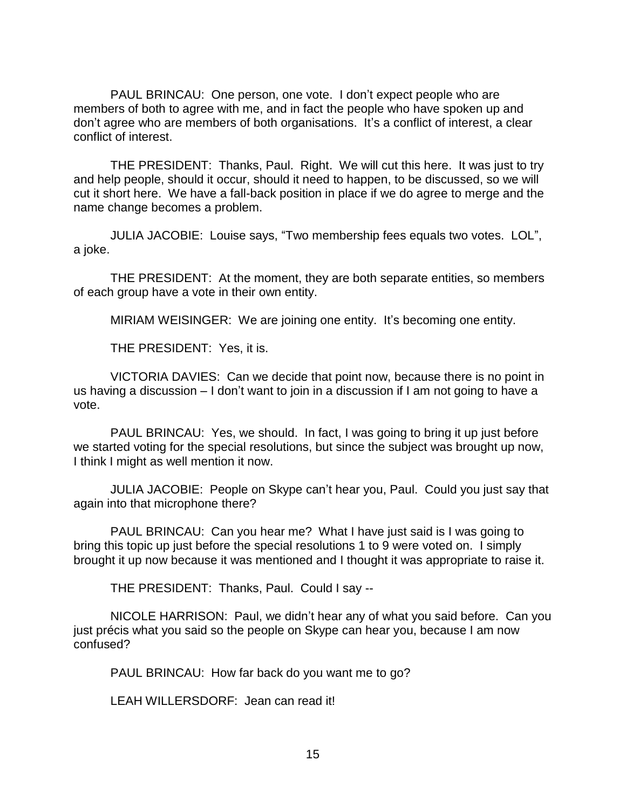PAUL BRINCAU: One person, one vote. I don't expect people who are members of both to agree with me, and in fact the people who have spoken up and don't agree who are members of both organisations. It's a conflict of interest, a clear conflict of interest.

THE PRESIDENT: Thanks, Paul. Right. We will cut this here. It was just to try and help people, should it occur, should it need to happen, to be discussed, so we will cut it short here. We have a fall-back position in place if we do agree to merge and the name change becomes a problem.

JULIA JACOBIE: Louise says, "Two membership fees equals two votes. LOL", a joke.

THE PRESIDENT: At the moment, they are both separate entities, so members of each group have a vote in their own entity.

MIRIAM WEISINGER: We are joining one entity. It's becoming one entity.

THE PRESIDENT: Yes, it is.

VICTORIA DAVIES: Can we decide that point now, because there is no point in us having a discussion – I don't want to join in a discussion if I am not going to have a vote.

PAUL BRINCAU: Yes, we should. In fact, I was going to bring it up just before we started voting for the special resolutions, but since the subject was brought up now, I think I might as well mention it now.

JULIA JACOBIE: People on Skype can't hear you, Paul. Could you just say that again into that microphone there?

 PAUL BRINCAU: Can you hear me? What I have just said is I was going to bring this topic up just before the special resolutions 1 to 9 were voted on. I simply brought it up now because it was mentioned and I thought it was appropriate to raise it.

THE PRESIDENT: Thanks, Paul. Could I say --

NICOLE HARRISON: Paul, we didn't hear any of what you said before. Can you just précis what you said so the people on Skype can hear you, because I am now confused?

PAUL BRINCAU: How far back do you want me to go?

LEAH WILLERSDORF: Jean can read it!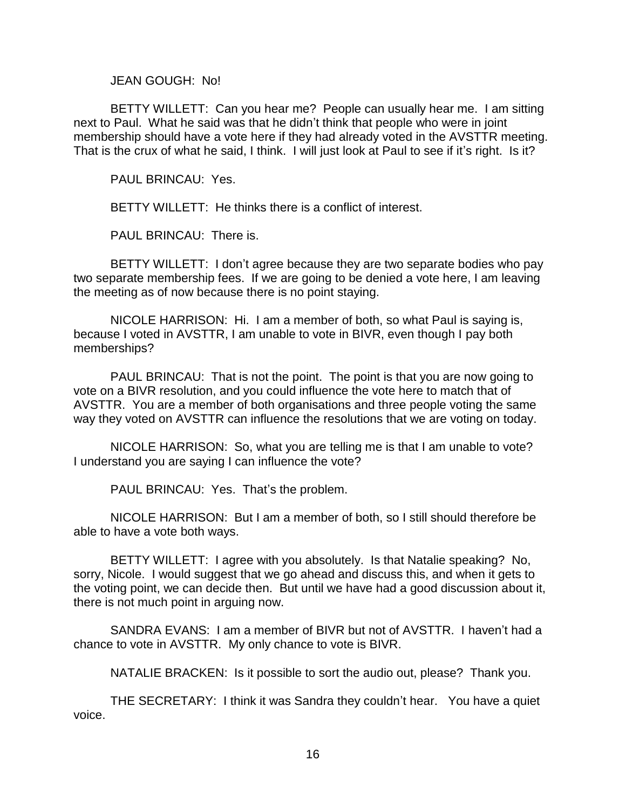JEAN GOUGH: No!

BETTY WILLETT: Can you hear me? People can usually hear me. I am sitting next to Paul. What he said was that he didn't think that people who were in joint membership should have a vote here if they had already voted in the AVSTTR meeting. That is the crux of what he said, I think. I will just look at Paul to see if it's right. Is it?

PAUL BRINCAU: Yes.

BETTY WILLETT: He thinks there is a conflict of interest.

PAUL BRINCAU: There is.

BETTY WILLETT: I don't agree because they are two separate bodies who pay two separate membership fees. If we are going to be denied a vote here, I am leaving the meeting as of now because there is no point staying.

NICOLE HARRISON: Hi. I am a member of both, so what Paul is saying is, because I voted in AVSTTR, I am unable to vote in BIVR, even though I pay both memberships?

PAUL BRINCAU: That is not the point. The point is that you are now going to vote on a BIVR resolution, and you could influence the vote here to match that of AVSTTR. You are a member of both organisations and three people voting the same way they voted on AVSTTR can influence the resolutions that we are voting on today.

NICOLE HARRISON: So, what you are telling me is that I am unable to vote? I understand you are saying I can influence the vote?

PAUL BRINCAU: Yes. That's the problem.

NICOLE HARRISON: But I am a member of both, so I still should therefore be able to have a vote both ways.

BETTY WILLETT: I agree with you absolutely. Is that Natalie speaking? No, sorry, Nicole. I would suggest that we go ahead and discuss this, and when it gets to the voting point, we can decide then. But until we have had a good discussion about it, there is not much point in arguing now.

SANDRA EVANS: I am a member of BIVR but not of AVSTTR. I haven't had a chance to vote in AVSTTR. My only chance to vote is BIVR.

NATALIE BRACKEN: Is it possible to sort the audio out, please? Thank you.

THE SECRETARY: I think it was Sandra they couldn't hear. You have a quiet voice.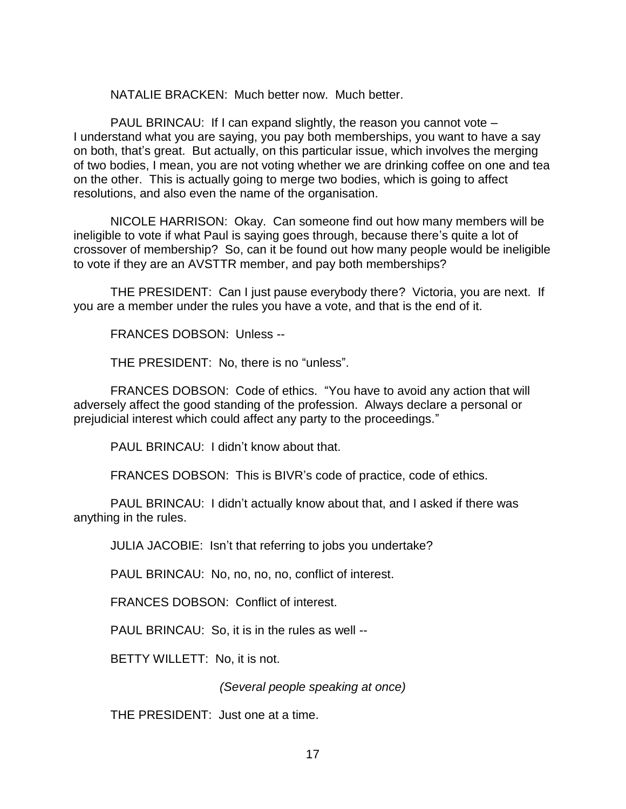NATALIE BRACKEN: Much better now. Much better.

PAUL BRINCAU: If I can expand slightly, the reason you cannot vote – I understand what you are saying, you pay both memberships, you want to have a say on both, that's great. But actually, on this particular issue, which involves the merging of two bodies, I mean, you are not voting whether we are drinking coffee on one and tea on the other. This is actually going to merge two bodies, which is going to affect resolutions, and also even the name of the organisation.

NICOLE HARRISON: Okay. Can someone find out how many members will be ineligible to vote if what Paul is saying goes through, because there's quite a lot of crossover of membership? So, can it be found out how many people would be ineligible to vote if they are an AVSTTR member, and pay both memberships?

THE PRESIDENT: Can I just pause everybody there? Victoria, you are next. If you are a member under the rules you have a vote, and that is the end of it.

FRANCES DOBSON: Unless --

THE PRESIDENT: No, there is no "unless".

FRANCES DOBSON: Code of ethics. "You have to avoid any action that will adversely affect the good standing of the profession. Always declare a personal or prejudicial interest which could affect any party to the proceedings."

PAUL BRINCAU: I didn't know about that.

FRANCES DOBSON: This is BIVR's code of practice, code of ethics.

PAUL BRINCAU: I didn't actually know about that, and I asked if there was anything in the rules.

JULIA JACOBIE: Isn't that referring to jobs you undertake?

PAUL BRINCAU: No, no, no, no, conflict of interest.

FRANCES DOBSON: Conflict of interest.

PAUL BRINCAU: So, it is in the rules as well --

BETTY WILLETT: No, it is not.

*(Several people speaking at once)*

THE PRESIDENT: Just one at a time.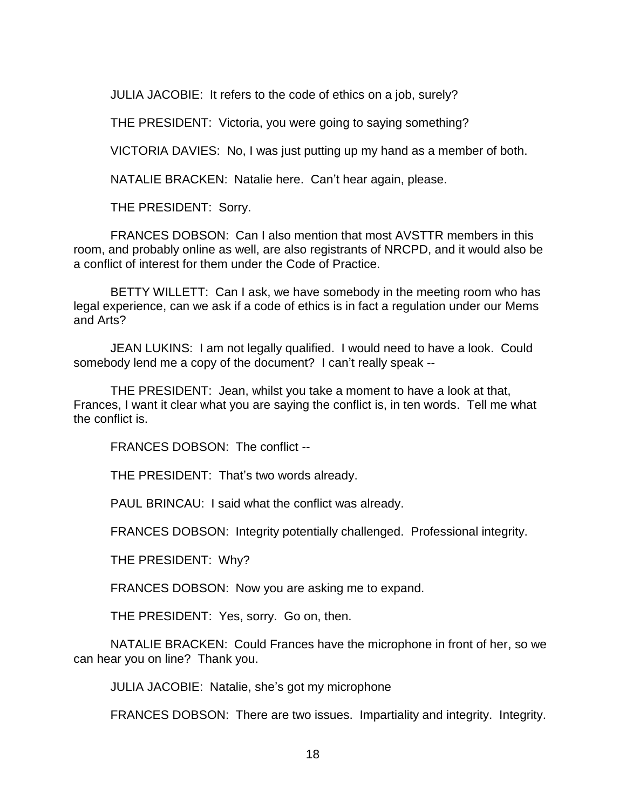JULIA JACOBIE: It refers to the code of ethics on a job, surely?

THE PRESIDENT: Victoria, you were going to saying something?

VICTORIA DAVIES: No, I was just putting up my hand as a member of both.

NATALIE BRACKEN: Natalie here. Can't hear again, please.

THE PRESIDENT: Sorry.

FRANCES DOBSON: Can I also mention that most AVSTTR members in this room, and probably online as well, are also registrants of NRCPD, and it would also be a conflict of interest for them under the Code of Practice.

BETTY WILLETT: Can I ask, we have somebody in the meeting room who has legal experience, can we ask if a code of ethics is in fact a regulation under our Mems and Arts?

JEAN LUKINS: I am not legally qualified. I would need to have a look. Could somebody lend me a copy of the document? I can't really speak --

THE PRESIDENT: Jean, whilst you take a moment to have a look at that, Frances, I want it clear what you are saying the conflict is, in ten words. Tell me what the conflict is.

FRANCES DOBSON: The conflict --

THE PRESIDENT: That's two words already.

PAUL BRINCAU: I said what the conflict was already.

FRANCES DOBSON: Integrity potentially challenged. Professional integrity.

THE PRESIDENT: Why?

FRANCES DOBSON: Now you are asking me to expand.

THE PRESIDENT: Yes, sorry. Go on, then.

NATALIE BRACKEN: Could Frances have the microphone in front of her, so we can hear you on line? Thank you.

JULIA JACOBIE: Natalie, she's got my microphone

FRANCES DOBSON: There are two issues. Impartiality and integrity. Integrity.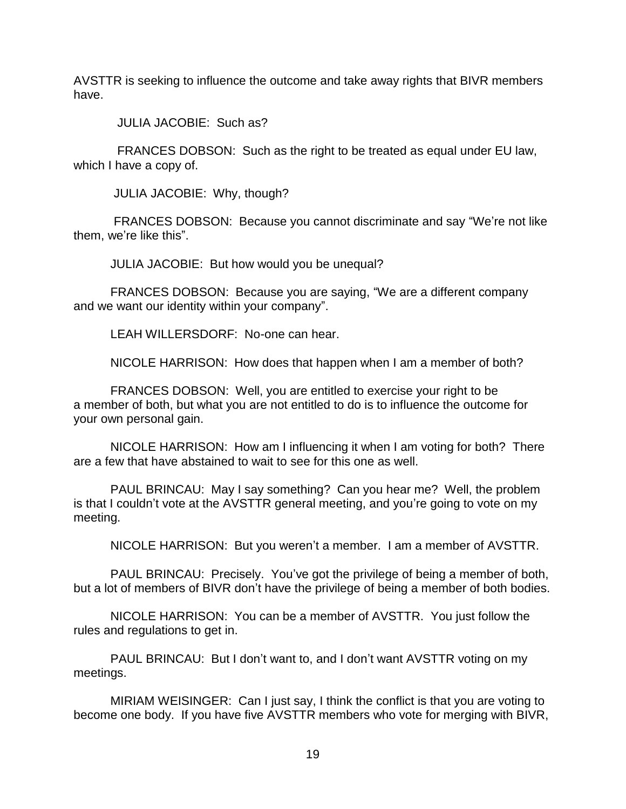AVSTTR is seeking to influence the outcome and take away rights that BIVR members have.

JULIA JACOBIE: Such as?

 FRANCES DOBSON: Such as the right to be treated as equal under EU law, which I have a copy of.

JULIA JACOBIE: Why, though?

FRANCES DOBSON: Because you cannot discriminate and say "We're not like them, we're like this".

JULIA JACOBIE: But how would you be unequal?

FRANCES DOBSON: Because you are saying, "We are a different company and we want our identity within your company".

LEAH WILLERSDORF: No-one can hear.

NICOLE HARRISON: How does that happen when I am a member of both?

FRANCES DOBSON: Well, you are entitled to exercise your right to be a member of both, but what you are not entitled to do is to influence the outcome for your own personal gain.

NICOLE HARRISON: How am I influencing it when I am voting for both? There are a few that have abstained to wait to see for this one as well.

PAUL BRINCAU: May I say something? Can you hear me? Well, the problem is that I couldn't vote at the AVSTTR general meeting, and you're going to vote on my meeting.

NICOLE HARRISON: But you weren't a member. I am a member of AVSTTR.

PAUL BRINCAU: Precisely. You've got the privilege of being a member of both, but a lot of members of BIVR don't have the privilege of being a member of both bodies.

NICOLE HARRISON: You can be a member of AVSTTR. You just follow the rules and regulations to get in.

PAUL BRINCAU: But I don't want to, and I don't want AVSTTR voting on my meetings.

MIRIAM WEISINGER: Can I just say, I think the conflict is that you are voting to become one body. If you have five AVSTTR members who vote for merging with BIVR,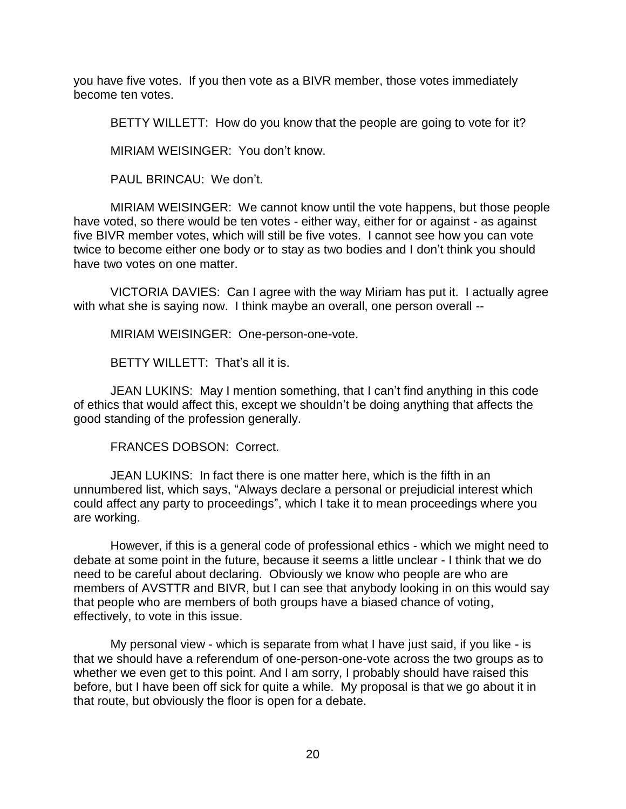you have five votes. If you then vote as a BIVR member, those votes immediately become ten votes.

BETTY WILLETT: How do you know that the people are going to vote for it?

MIRIAM WEISINGER: You don't know.

PAUL BRINCAU: We don't.

MIRIAM WEISINGER: We cannot know until the vote happens, but those people have voted, so there would be ten votes - either way, either for or against - as against five BIVR member votes, which will still be five votes. I cannot see how you can vote twice to become either one body or to stay as two bodies and I don't think you should have two votes on one matter.

VICTORIA DAVIES: Can I agree with the way Miriam has put it. I actually agree with what she is saying now. I think maybe an overall, one person overall --

MIRIAM WEISINGER: One-person-one-vote.

BETTY WILLETT: That's all it is.

JEAN LUKINS: May I mention something, that I can't find anything in this code of ethics that would affect this, except we shouldn't be doing anything that affects the good standing of the profession generally.

FRANCES DOBSON: Correct.

JEAN LUKINS: In fact there is one matter here, which is the fifth in an unnumbered list, which says, "Always declare a personal or prejudicial interest which could affect any party to proceedings", which I take it to mean proceedings where you are working.

However, if this is a general code of professional ethics - which we might need to debate at some point in the future, because it seems a little unclear - I think that we do need to be careful about declaring. Obviously we know who people are who are members of AVSTTR and BIVR, but I can see that anybody looking in on this would say that people who are members of both groups have a biased chance of voting, effectively, to vote in this issue.

My personal view - which is separate from what I have just said, if you like - is that we should have a referendum of one-person-one-vote across the two groups as to whether we even get to this point. And I am sorry, I probably should have raised this before, but I have been off sick for quite a while. My proposal is that we go about it in that route, but obviously the floor is open for a debate.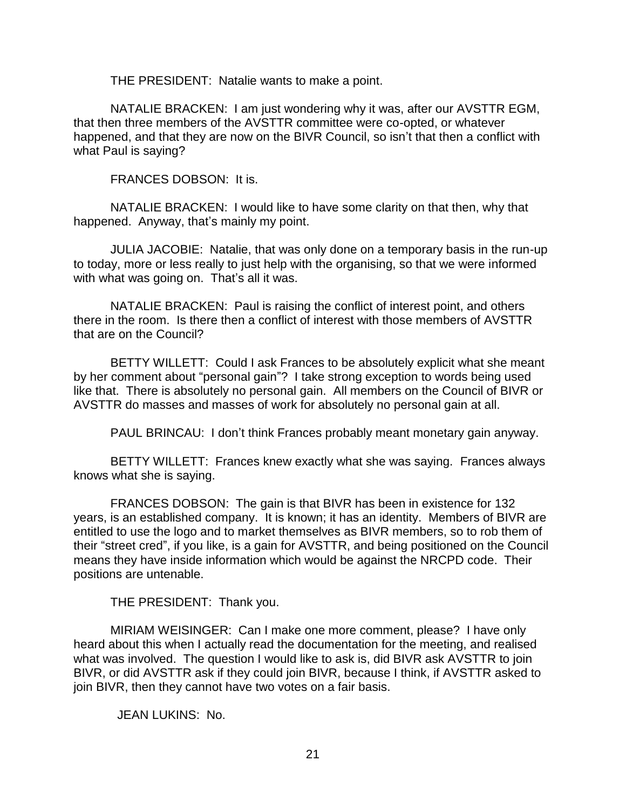THE PRESIDENT: Natalie wants to make a point.

NATALIE BRACKEN: I am just wondering why it was, after our AVSTTR EGM, that then three members of the AVSTTR committee were co-opted, or whatever happened, and that they are now on the BIVR Council, so isn't that then a conflict with what Paul is saying?

FRANCES DOBSON: It is.

NATALIE BRACKEN: I would like to have some clarity on that then, why that happened. Anyway, that's mainly my point.

JULIA JACOBIE: Natalie, that was only done on a temporary basis in the run-up to today, more or less really to just help with the organising, so that we were informed with what was going on. That's all it was.

NATALIE BRACKEN: Paul is raising the conflict of interest point, and others there in the room. Is there then a conflict of interest with those members of AVSTTR that are on the Council?

BETTY WILLETT: Could I ask Frances to be absolutely explicit what she meant by her comment about "personal gain"? I take strong exception to words being used like that. There is absolutely no personal gain. All members on the Council of BIVR or AVSTTR do masses and masses of work for absolutely no personal gain at all.

PAUL BRINCAU: I don't think Frances probably meant monetary gain anyway.

BETTY WILLETT: Frances knew exactly what she was saying. Frances always knows what she is saying.

FRANCES DOBSON: The gain is that BIVR has been in existence for 132 years, is an established company. It is known; it has an identity. Members of BIVR are entitled to use the logo and to market themselves as BIVR members, so to rob them of their "street cred", if you like, is a gain for AVSTTR, and being positioned on the Council means they have inside information which would be against the NRCPD code. Their positions are untenable.

THE PRESIDENT: Thank you.

MIRIAM WEISINGER: Can I make one more comment, please? I have only heard about this when I actually read the documentation for the meeting, and realised what was involved. The question I would like to ask is, did BIVR ask AVSTTR to join BIVR, or did AVSTTR ask if they could join BIVR, because I think, if AVSTTR asked to join BIVR, then they cannot have two votes on a fair basis.

JEAN LUKINS: No.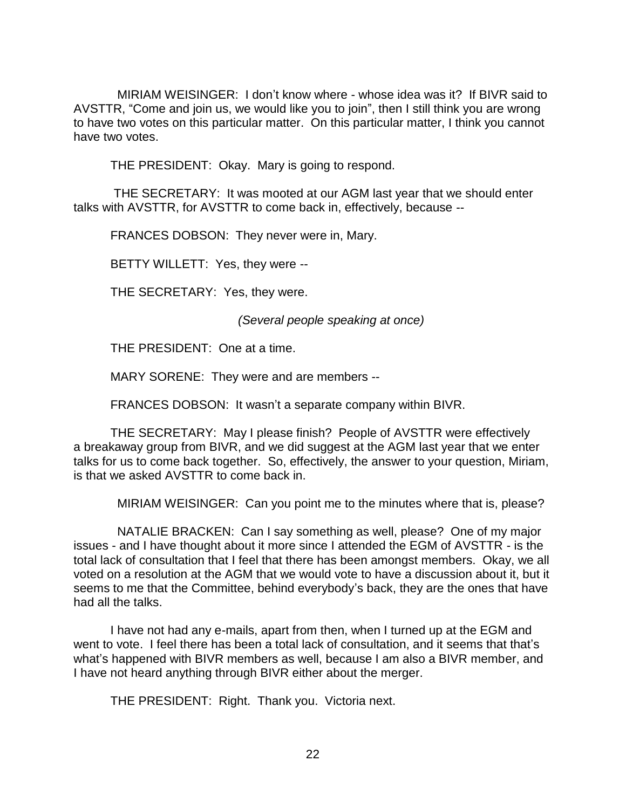MIRIAM WEISINGER: I don't know where - whose idea was it? If BIVR said to AVSTTR, "Come and join us, we would like you to join", then I still think you are wrong to have two votes on this particular matter. On this particular matter, I think you cannot have two votes.

THE PRESIDENT: Okay. Mary is going to respond.

THE SECRETARY: It was mooted at our AGM last year that we should enter talks with AVSTTR, for AVSTTR to come back in, effectively, because --

FRANCES DOBSON: They never were in, Mary.

BETTY WILLETT: Yes, they were --

THE SECRETARY: Yes, they were.

*(Several people speaking at once)*

THE PRESIDENT: One at a time.

MARY SORENE: They were and are members --

FRANCES DOBSON: It wasn't a separate company within BIVR.

THE SECRETARY: May I please finish? People of AVSTTR were effectively a breakaway group from BIVR, and we did suggest at the AGM last year that we enter talks for us to come back together. So, effectively, the answer to your question, Miriam, is that we asked AVSTTR to come back in.

MIRIAM WEISINGER: Can you point me to the minutes where that is, please?

 NATALIE BRACKEN: Can I say something as well, please? One of my major issues - and I have thought about it more since I attended the EGM of AVSTTR - is the total lack of consultation that I feel that there has been amongst members. Okay, we all voted on a resolution at the AGM that we would vote to have a discussion about it, but it seems to me that the Committee, behind everybody's back, they are the ones that have had all the talks.

I have not had any e-mails, apart from then, when I turned up at the EGM and went to vote. I feel there has been a total lack of consultation, and it seems that that's what's happened with BIVR members as well, because I am also a BIVR member, and I have not heard anything through BIVR either about the merger.

THE PRESIDENT: Right. Thank you. Victoria next.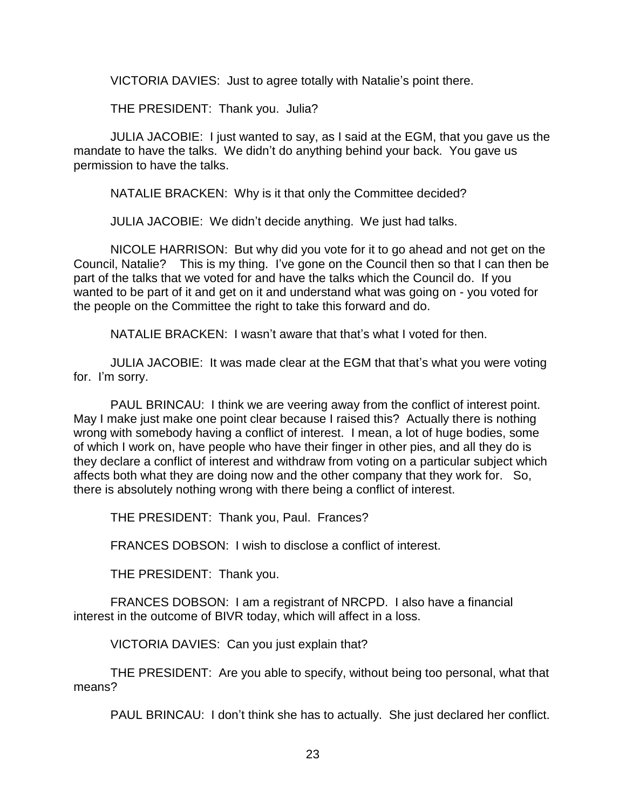VICTORIA DAVIES: Just to agree totally with Natalie's point there.

THE PRESIDENT: Thank you. Julia?

JULIA JACOBIE: I just wanted to say, as I said at the EGM, that you gave us the mandate to have the talks. We didn't do anything behind your back. You gave us permission to have the talks.

NATALIE BRACKEN: Why is it that only the Committee decided?

JULIA JACOBIE: We didn't decide anything. We just had talks.

NICOLE HARRISON: But why did you vote for it to go ahead and not get on the Council, Natalie? This is my thing. I've gone on the Council then so that I can then be part of the talks that we voted for and have the talks which the Council do. If you wanted to be part of it and get on it and understand what was going on - you voted for the people on the Committee the right to take this forward and do.

NATALIE BRACKEN: I wasn't aware that that's what I voted for then.

JULIA JACOBIE: It was made clear at the EGM that that's what you were voting for. I'm sorry.

PAUL BRINCAU: I think we are veering away from the conflict of interest point. May I make just make one point clear because I raised this? Actually there is nothing wrong with somebody having a conflict of interest. I mean, a lot of huge bodies, some of which I work on, have people who have their finger in other pies, and all they do is they declare a conflict of interest and withdraw from voting on a particular subject which affects both what they are doing now and the other company that they work for. So, there is absolutely nothing wrong with there being a conflict of interest.

THE PRESIDENT: Thank you, Paul. Frances?

FRANCES DOBSON: I wish to disclose a conflict of interest.

THE PRESIDENT: Thank you.

FRANCES DOBSON: I am a registrant of NRCPD. I also have a financial interest in the outcome of BIVR today, which will affect in a loss.

VICTORIA DAVIES: Can you just explain that?

THE PRESIDENT: Are you able to specify, without being too personal, what that means?

PAUL BRINCAU: I don't think she has to actually. She just declared her conflict.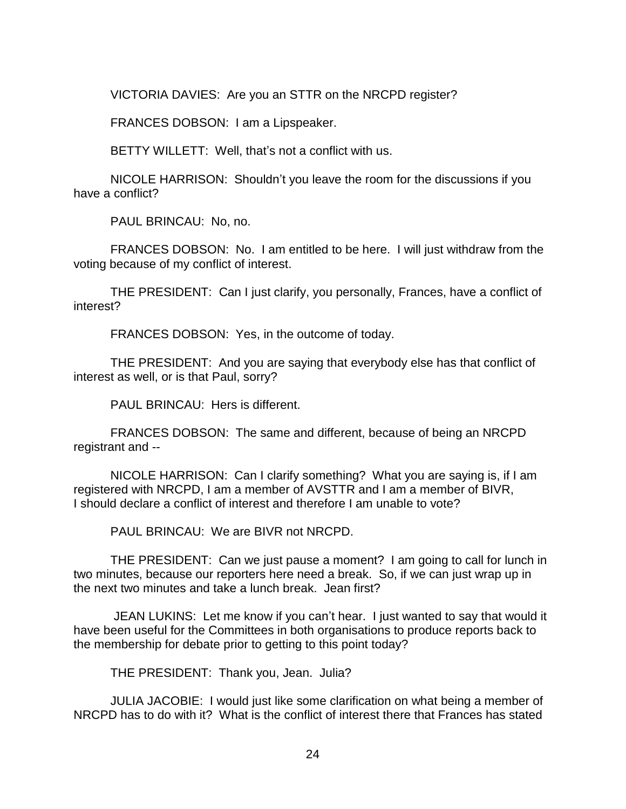VICTORIA DAVIES: Are you an STTR on the NRCPD register?

FRANCES DOBSON: I am a Lipspeaker.

BETTY WILLETT: Well, that's not a conflict with us.

NICOLE HARRISON: Shouldn't you leave the room for the discussions if you have a conflict?

PAUL BRINCAU: No, no.

FRANCES DOBSON: No. I am entitled to be here. I will just withdraw from the voting because of my conflict of interest.

THE PRESIDENT: Can I just clarify, you personally, Frances, have a conflict of interest?

FRANCES DOBSON: Yes, in the outcome of today.

THE PRESIDENT: And you are saying that everybody else has that conflict of interest as well, or is that Paul, sorry?

PAUL BRINCAU: Hers is different.

FRANCES DOBSON: The same and different, because of being an NRCPD registrant and --

NICOLE HARRISON: Can I clarify something? What you are saying is, if I am registered with NRCPD, I am a member of AVSTTR and I am a member of BIVR, I should declare a conflict of interest and therefore I am unable to vote?

PAUL BRINCAU: We are BIVR not NRCPD.

THE PRESIDENT: Can we just pause a moment? I am going to call for lunch in two minutes, because our reporters here need a break. So, if we can just wrap up in the next two minutes and take a lunch break. Jean first?

JEAN LUKINS: Let me know if you can't hear. I just wanted to say that would it have been useful for the Committees in both organisations to produce reports back to the membership for debate prior to getting to this point today?

THE PRESIDENT: Thank you, Jean. Julia?

JULIA JACOBIE: I would just like some clarification on what being a member of NRCPD has to do with it? What is the conflict of interest there that Frances has stated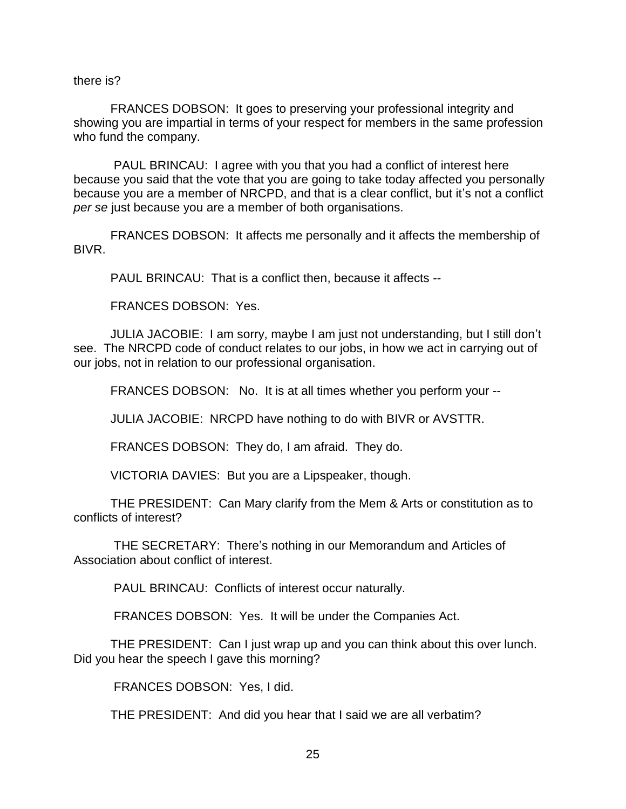there is?

FRANCES DOBSON: It goes to preserving your professional integrity and showing you are impartial in terms of your respect for members in the same profession who fund the company.

PAUL BRINCAU: I agree with you that you had a conflict of interest here because you said that the vote that you are going to take today affected you personally because you are a member of NRCPD, and that is a clear conflict, but it's not a conflict *per se* just because you are a member of both organisations.

FRANCES DOBSON: It affects me personally and it affects the membership of BIVR.

PAUL BRINCAU: That is a conflict then, because it affects --

FRANCES DOBSON: Yes.

JULIA JACOBIE: I am sorry, maybe I am just not understanding, but I still don't see. The NRCPD code of conduct relates to our jobs, in how we act in carrying out of our jobs, not in relation to our professional organisation.

FRANCES DOBSON: No. It is at all times whether you perform your --

JULIA JACOBIE: NRCPD have nothing to do with BIVR or AVSTTR.

FRANCES DOBSON: They do, I am afraid. They do.

VICTORIA DAVIES: But you are a Lipspeaker, though.

THE PRESIDENT: Can Mary clarify from the Mem & Arts or constitution as to conflicts of interest?

THE SECRETARY: There's nothing in our Memorandum and Articles of Association about conflict of interest.

PAUL BRINCAU: Conflicts of interest occur naturally.

FRANCES DOBSON: Yes. It will be under the Companies Act.

THE PRESIDENT: Can I just wrap up and you can think about this over lunch. Did you hear the speech I gave this morning?

FRANCES DOBSON: Yes, I did.

THE PRESIDENT: And did you hear that I said we are all verbatim?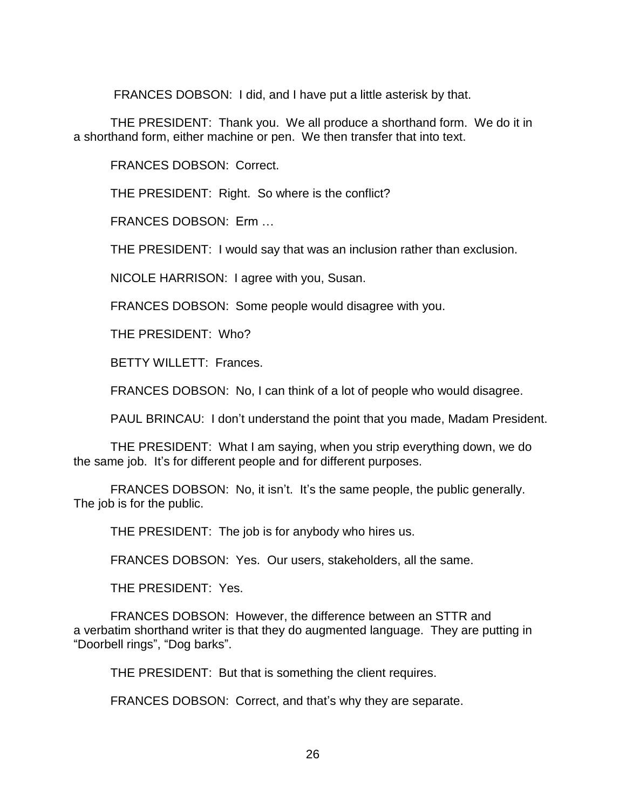FRANCES DOBSON: I did, and I have put a little asterisk by that.

THE PRESIDENT: Thank you. We all produce a shorthand form. We do it in a shorthand form, either machine or pen. We then transfer that into text.

FRANCES DOBSON: Correct.

THE PRESIDENT: Right. So where is the conflict?

FRANCES DOBSON: Erm …

THE PRESIDENT: I would say that was an inclusion rather than exclusion.

NICOLE HARRISON: I agree with you, Susan.

FRANCES DOBSON: Some people would disagree with you.

THE PRESIDENT: Who?

BETTY WILLETT: Frances.

FRANCES DOBSON: No, I can think of a lot of people who would disagree.

PAUL BRINCAU: I don't understand the point that you made, Madam President.

THE PRESIDENT: What I am saying, when you strip everything down, we do the same job. It's for different people and for different purposes.

FRANCES DOBSON: No, it isn't. It's the same people, the public generally. The job is for the public.

THE PRESIDENT: The job is for anybody who hires us.

FRANCES DOBSON: Yes. Our users, stakeholders, all the same.

THE PRESIDENT: Yes.

FRANCES DOBSON: However, the difference between an STTR and a verbatim shorthand writer is that they do augmented language. They are putting in "Doorbell rings", "Dog barks".

THE PRESIDENT: But that is something the client requires.

FRANCES DOBSON: Correct, and that's why they are separate.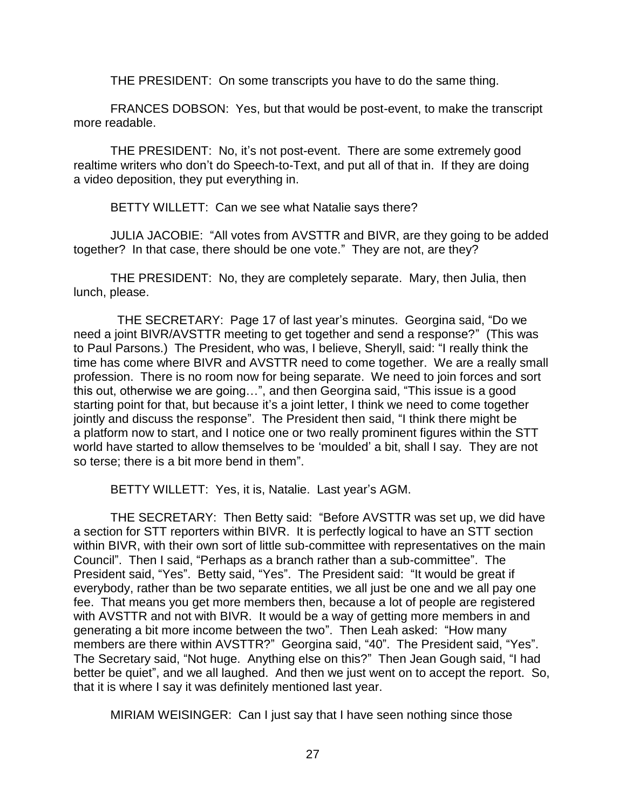THE PRESIDENT: On some transcripts you have to do the same thing.

FRANCES DOBSON: Yes, but that would be post-event, to make the transcript more readable.

THE PRESIDENT: No, it's not post-event. There are some extremely good realtime writers who don't do Speech-to-Text, and put all of that in. If they are doing a video deposition, they put everything in.

BETTY WILLETT: Can we see what Natalie says there?

JULIA JACOBIE: "All votes from AVSTTR and BIVR, are they going to be added together? In that case, there should be one vote." They are not, are they?

THE PRESIDENT: No, they are completely separate. Mary, then Julia, then lunch, please.

 THE SECRETARY: Page 17 of last year's minutes. Georgina said, "Do we need a joint BIVR/AVSTTR meeting to get together and send a response?" (This was to Paul Parsons.) The President, who was, I believe, Sheryll, said: "I really think the time has come where BIVR and AVSTTR need to come together. We are a really small profession. There is no room now for being separate. We need to join forces and sort this out, otherwise we are going…", and then Georgina said, "This issue is a good starting point for that, but because it's a joint letter, I think we need to come together jointly and discuss the response". The President then said, "I think there might be a platform now to start, and I notice one or two really prominent figures within the STT world have started to allow themselves to be 'moulded' a bit, shall I say. They are not so terse; there is a bit more bend in them".

BETTY WILLETT: Yes, it is, Natalie. Last year's AGM.

THE SECRETARY: Then Betty said: "Before AVSTTR was set up, we did have a section for STT reporters within BIVR. It is perfectly logical to have an STT section within BIVR, with their own sort of little sub-committee with representatives on the main Council". Then I said, "Perhaps as a branch rather than a sub-committee". The President said, "Yes". Betty said, "Yes". The President said: "It would be great if everybody, rather than be two separate entities, we all just be one and we all pay one fee. That means you get more members then, because a lot of people are registered with AVSTTR and not with BIVR. It would be a way of getting more members in and generating a bit more income between the two". Then Leah asked: "How many members are there within AVSTTR?" Georgina said, "40". The President said, "Yes". The Secretary said, "Not huge. Anything else on this?" Then Jean Gough said, "I had better be quiet", and we all laughed. And then we just went on to accept the report. So, that it is where I say it was definitely mentioned last year.

MIRIAM WEISINGER: Can I just say that I have seen nothing since those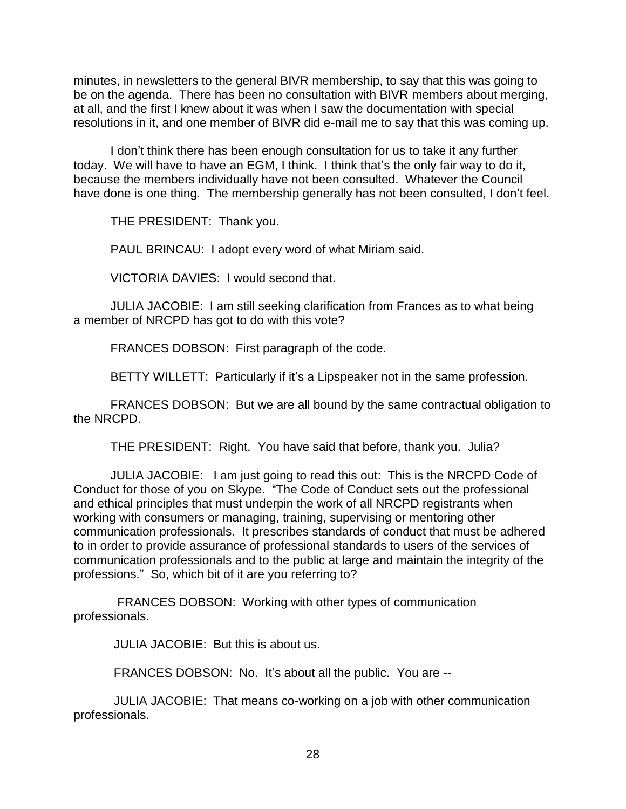minutes, in newsletters to the general BIVR membership, to say that this was going to be on the agenda. There has been no consultation with BIVR members about merging, at all, and the first I knew about it was when I saw the documentation with special resolutions in it, and one member of BIVR did e-mail me to say that this was coming up.

I don't think there has been enough consultation for us to take it any further today. We will have to have an EGM, I think. I think that's the only fair way to do it, because the members individually have not been consulted. Whatever the Council have done is one thing. The membership generally has not been consulted, I don't feel.

THE PRESIDENT: Thank you.

PAUL BRINCAU: I adopt every word of what Miriam said.

VICTORIA DAVIES: I would second that.

JULIA JACOBIE: I am still seeking clarification from Frances as to what being a member of NRCPD has got to do with this vote?

FRANCES DOBSON: First paragraph of the code.

BETTY WILLETT: Particularly if it's a Lipspeaker not in the same profession.

FRANCES DOBSON: But we are all bound by the same contractual obligation to the NRCPD.

THE PRESIDENT: Right. You have said that before, thank you. Julia?

JULIA JACOBIE: I am just going to read this out: This is the NRCPD Code of Conduct for those of you on Skype. "The Code of Conduct sets out the professional and ethical principles that must underpin the work of all NRCPD registrants when working with consumers or managing, training, supervising or mentoring other communication professionals. It prescribes standards of conduct that must be adhered to in order to provide assurance of professional standards to users of the services of communication professionals and to the public at large and maintain the integrity of the professions." So, which bit of it are you referring to?

 FRANCES DOBSON: Working with other types of communication professionals.

JULIA JACOBIE: But this is about us.

FRANCES DOBSON: No. It's about all the public. You are --

JULIA JACOBIE: That means co-working on a job with other communication professionals.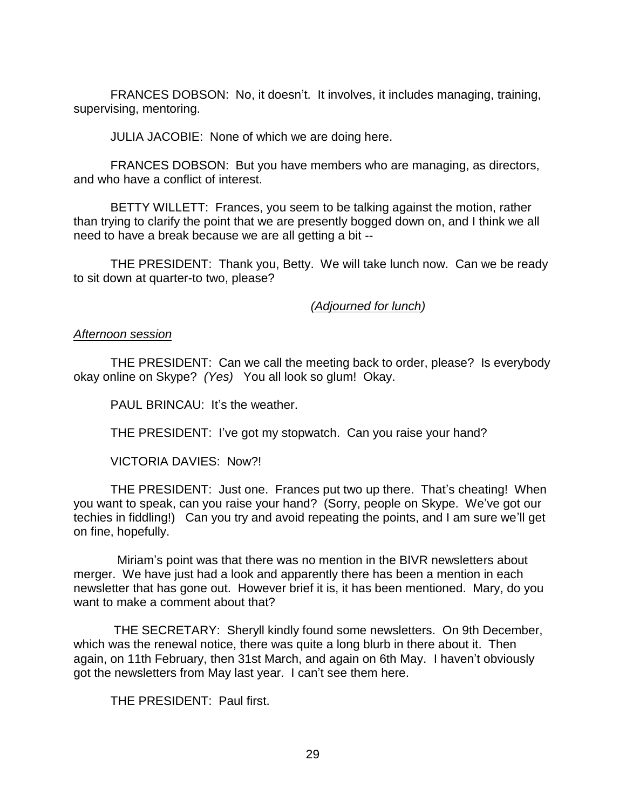FRANCES DOBSON: No, it doesn't. It involves, it includes managing, training, supervising, mentoring.

JULIA JACOBIE: None of which we are doing here.

FRANCES DOBSON: But you have members who are managing, as directors, and who have a conflict of interest.

BETTY WILLETT: Frances, you seem to be talking against the motion, rather than trying to clarify the point that we are presently bogged down on, and I think we all need to have a break because we are all getting a bit --

THE PRESIDENT: Thank you, Betty. We will take lunch now. Can we be ready to sit down at quarter-to two, please?

*(Adjourned for lunch)*

#### *Afternoon session*

THE PRESIDENT: Can we call the meeting back to order, please? Is everybody okay online on Skype? *(Yes)* You all look so glum! Okay.

PAUL BRINCAU: It's the weather.

THE PRESIDENT: I've got my stopwatch. Can you raise your hand?

VICTORIA DAVIES: Now?!

THE PRESIDENT: Just one. Frances put two up there. That's cheating! When you want to speak, can you raise your hand? (Sorry, people on Skype. We've got our techies in fiddling!) Can you try and avoid repeating the points, and I am sure we'll get on fine, hopefully.

 Miriam's point was that there was no mention in the BIVR newsletters about merger. We have just had a look and apparently there has been a mention in each newsletter that has gone out. However brief it is, it has been mentioned. Mary, do you want to make a comment about that?

THE SECRETARY: Sheryll kindly found some newsletters. On 9th December, which was the renewal notice, there was quite a long blurb in there about it. Then again, on 11th February, then 31st March, and again on 6th May. I haven't obviously got the newsletters from May last year. I can't see them here.

THE PRESIDENT: Paul first.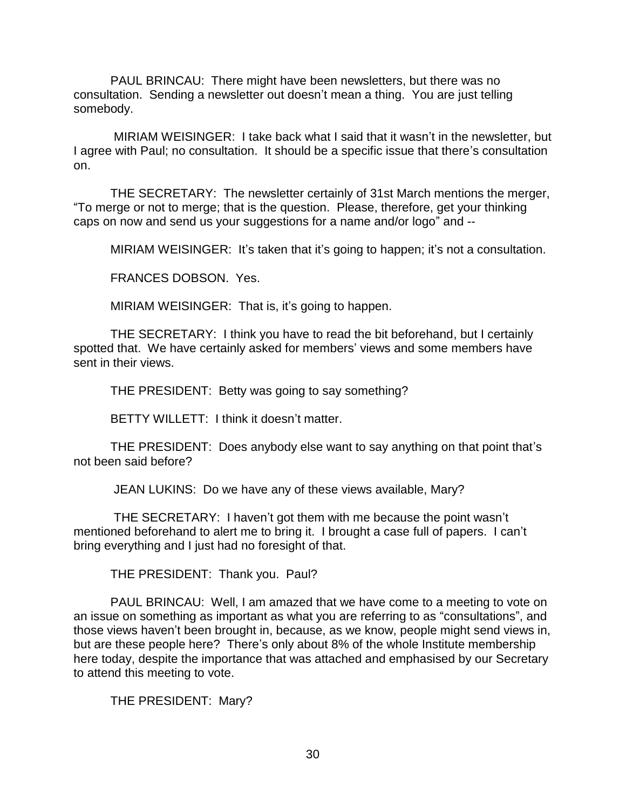PAUL BRINCAU: There might have been newsletters, but there was no consultation. Sending a newsletter out doesn't mean a thing. You are just telling somebody.

MIRIAM WEISINGER: I take back what I said that it wasn't in the newsletter, but I agree with Paul; no consultation. It should be a specific issue that there's consultation on.

THE SECRETARY: The newsletter certainly of 31st March mentions the merger, "To merge or not to merge; that is the question. Please, therefore, get your thinking caps on now and send us your suggestions for a name and/or logo" and --

MIRIAM WEISINGER: It's taken that it's going to happen; it's not a consultation.

FRANCES DOBSON. Yes.

MIRIAM WEISINGER: That is, it's going to happen.

THE SECRETARY: I think you have to read the bit beforehand, but I certainly spotted that. We have certainly asked for members' views and some members have sent in their views.

THE PRESIDENT: Betty was going to say something?

BETTY WILLETT: I think it doesn't matter.

THE PRESIDENT: Does anybody else want to say anything on that point that's not been said before?

JEAN LUKINS: Do we have any of these views available, Mary?

THE SECRETARY: I haven't got them with me because the point wasn't mentioned beforehand to alert me to bring it. I brought a case full of papers. I can't bring everything and I just had no foresight of that.

THE PRESIDENT: Thank you. Paul?

PAUL BRINCAU: Well, I am amazed that we have come to a meeting to vote on an issue on something as important as what you are referring to as "consultations", and those views haven't been brought in, because, as we know, people might send views in, but are these people here? There's only about 8% of the whole Institute membership here today, despite the importance that was attached and emphasised by our Secretary to attend this meeting to vote.

THE PRESIDENT: Mary?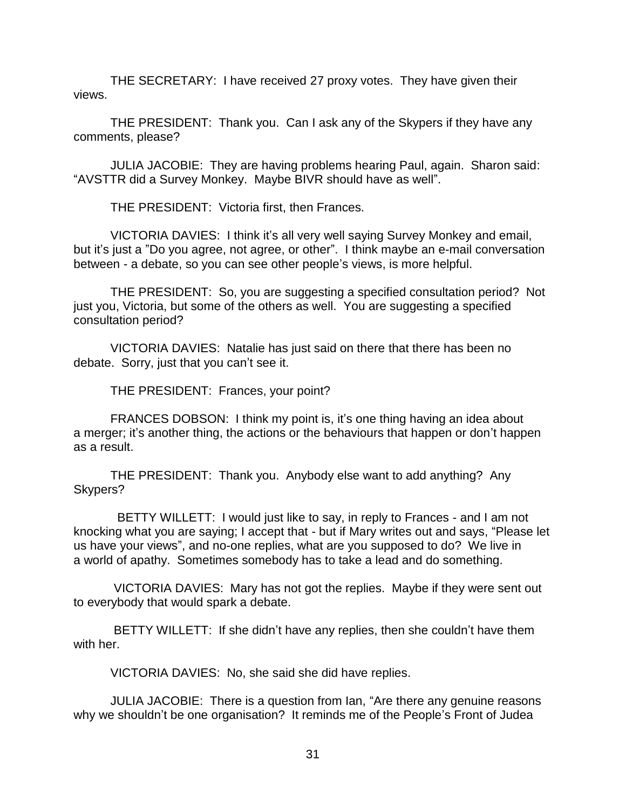THE SECRETARY: I have received 27 proxy votes. They have given their views.

THE PRESIDENT: Thank you. Can I ask any of the Skypers if they have any comments, please?

JULIA JACOBIE: They are having problems hearing Paul, again. Sharon said: "AVSTTR did a Survey Monkey. Maybe BIVR should have as well".

THE PRESIDENT: Victoria first, then Frances.

VICTORIA DAVIES: I think it's all very well saying Survey Monkey and email, but it's just a "Do you agree, not agree, or other". I think maybe an e-mail conversation between - a debate, so you can see other people's views, is more helpful.

THE PRESIDENT: So, you are suggesting a specified consultation period? Not just you, Victoria, but some of the others as well. You are suggesting a specified consultation period?

VICTORIA DAVIES: Natalie has just said on there that there has been no debate. Sorry, just that you can't see it.

THE PRESIDENT: Frances, your point?

FRANCES DOBSON: I think my point is, it's one thing having an idea about a merger; it's another thing, the actions or the behaviours that happen or don't happen as a result.

THE PRESIDENT: Thank you. Anybody else want to add anything? Any Skypers?

 BETTY WILLETT: I would just like to say, in reply to Frances - and I am not knocking what you are saying; I accept that - but if Mary writes out and says, "Please let us have your views", and no-one replies, what are you supposed to do? We live in a world of apathy. Sometimes somebody has to take a lead and do something.

VICTORIA DAVIES: Mary has not got the replies. Maybe if they were sent out to everybody that would spark a debate.

BETTY WILLETT: If she didn't have any replies, then she couldn't have them with her.

VICTORIA DAVIES: No, she said she did have replies.

JULIA JACOBIE: There is a question from Ian, "Are there any genuine reasons why we shouldn't be one organisation? It reminds me of the People's Front of Judea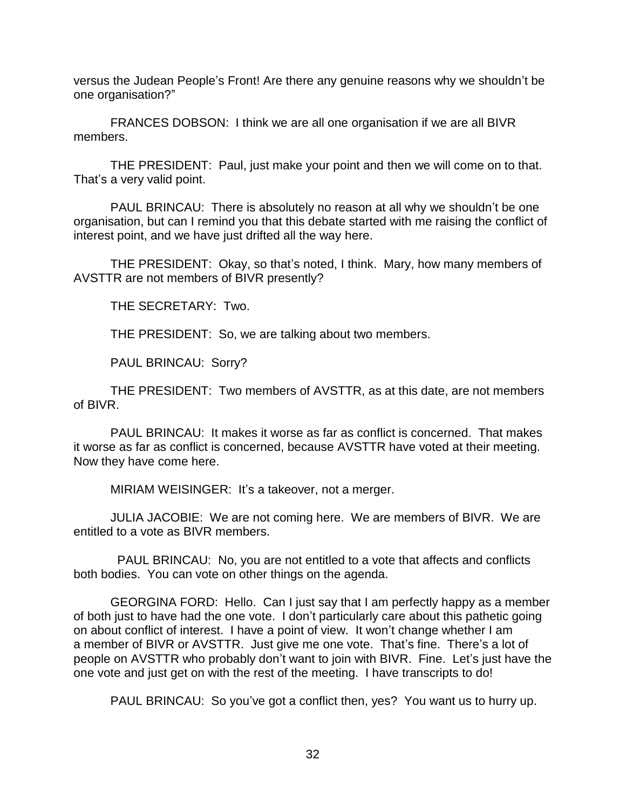versus the Judean People's Front! Are there any genuine reasons why we shouldn't be one organisation?"

FRANCES DOBSON: I think we are all one organisation if we are all BIVR members.

THE PRESIDENT: Paul, just make your point and then we will come on to that. That's a very valid point.

PAUL BRINCAU: There is absolutely no reason at all why we shouldn't be one organisation, but can I remind you that this debate started with me raising the conflict of interest point, and we have just drifted all the way here.

THE PRESIDENT: Okay, so that's noted, I think. Mary, how many members of AVSTTR are not members of BIVR presently?

THE SECRETARY: Two.

THE PRESIDENT: So, we are talking about two members.

PAUL BRINCAU: Sorry?

THE PRESIDENT: Two members of AVSTTR, as at this date, are not members of BIVR.

PAUL BRINCAU: It makes it worse as far as conflict is concerned. That makes it worse as far as conflict is concerned, because AVSTTR have voted at their meeting. Now they have come here.

MIRIAM WEISINGER: It's a takeover, not a merger.

JULIA JACOBIE: We are not coming here. We are members of BIVR. We are entitled to a vote as BIVR members.

 PAUL BRINCAU: No, you are not entitled to a vote that affects and conflicts both bodies. You can vote on other things on the agenda.

GEORGINA FORD: Hello. Can I just say that I am perfectly happy as a member of both just to have had the one vote. I don't particularly care about this pathetic going on about conflict of interest. I have a point of view. It won't change whether I am a member of BIVR or AVSTTR. Just give me one vote. That's fine. There's a lot of people on AVSTTR who probably don't want to join with BIVR. Fine. Let's just have the one vote and just get on with the rest of the meeting. I have transcripts to do!

PAUL BRINCAU: So you've got a conflict then, yes? You want us to hurry up.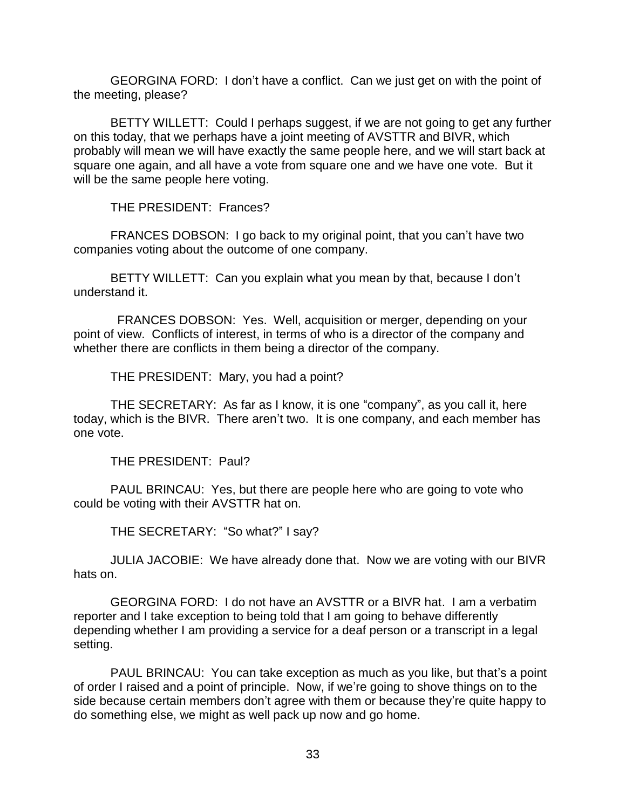GEORGINA FORD: I don't have a conflict. Can we just get on with the point of the meeting, please?

BETTY WILLETT: Could I perhaps suggest, if we are not going to get any further on this today, that we perhaps have a joint meeting of AVSTTR and BIVR, which probably will mean we will have exactly the same people here, and we will start back at square one again, and all have a vote from square one and we have one vote. But it will be the same people here voting.

THE PRESIDENT: Frances?

FRANCES DOBSON: I go back to my original point, that you can't have two companies voting about the outcome of one company.

BETTY WILLETT: Can you explain what you mean by that, because I don't understand it.

 FRANCES DOBSON: Yes. Well, acquisition or merger, depending on your point of view. Conflicts of interest, in terms of who is a director of the company and whether there are conflicts in them being a director of the company.

THE PRESIDENT: Mary, you had a point?

THE SECRETARY: As far as I know, it is one "company", as you call it, here today, which is the BIVR. There aren't two. It is one company, and each member has one vote.

THE PRESIDENT: Paul?

PAUL BRINCAU: Yes, but there are people here who are going to vote who could be voting with their AVSTTR hat on.

THE SECRETARY: "So what?" I say?

JULIA JACOBIE: We have already done that. Now we are voting with our BIVR hats on.

GEORGINA FORD: I do not have an AVSTTR or a BIVR hat. I am a verbatim reporter and I take exception to being told that I am going to behave differently depending whether I am providing a service for a deaf person or a transcript in a legal setting.

PAUL BRINCAU: You can take exception as much as you like, but that's a point of order I raised and a point of principle. Now, if we're going to shove things on to the side because certain members don't agree with them or because they're quite happy to do something else, we might as well pack up now and go home.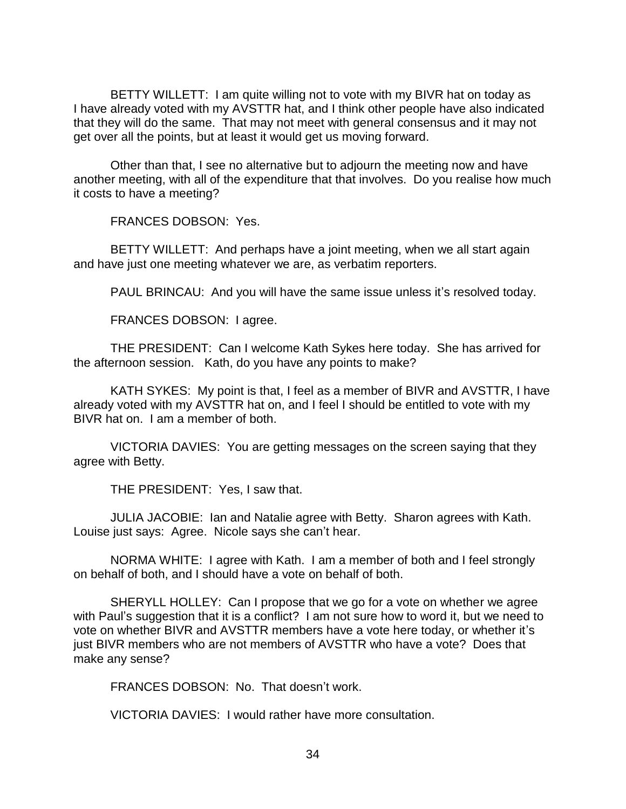BETTY WILLETT: I am quite willing not to vote with my BIVR hat on today as I have already voted with my AVSTTR hat, and I think other people have also indicated that they will do the same. That may not meet with general consensus and it may not get over all the points, but at least it would get us moving forward.

Other than that, I see no alternative but to adjourn the meeting now and have another meeting, with all of the expenditure that that involves. Do you realise how much it costs to have a meeting?

FRANCES DOBSON: Yes.

BETTY WILLETT: And perhaps have a joint meeting, when we all start again and have just one meeting whatever we are, as verbatim reporters.

PAUL BRINCAU: And you will have the same issue unless it's resolved today.

FRANCES DOBSON: I agree.

THE PRESIDENT: Can I welcome Kath Sykes here today. She has arrived for the afternoon session. Kath, do you have any points to make?

KATH SYKES: My point is that, I feel as a member of BIVR and AVSTTR, I have already voted with my AVSTTR hat on, and I feel I should be entitled to vote with my BIVR hat on. I am a member of both.

VICTORIA DAVIES: You are getting messages on the screen saying that they agree with Betty.

THE PRESIDENT: Yes, I saw that.

JULIA JACOBIE: Ian and Natalie agree with Betty. Sharon agrees with Kath. Louise just says: Agree. Nicole says she can't hear.

NORMA WHITE: I agree with Kath. I am a member of both and I feel strongly on behalf of both, and I should have a vote on behalf of both.

SHERYLL HOLLEY: Can I propose that we go for a vote on whether we agree with Paul's suggestion that it is a conflict? I am not sure how to word it, but we need to vote on whether BIVR and AVSTTR members have a vote here today, or whether it's just BIVR members who are not members of AVSTTR who have a vote? Does that make any sense?

FRANCES DOBSON: No. That doesn't work.

VICTORIA DAVIES: I would rather have more consultation.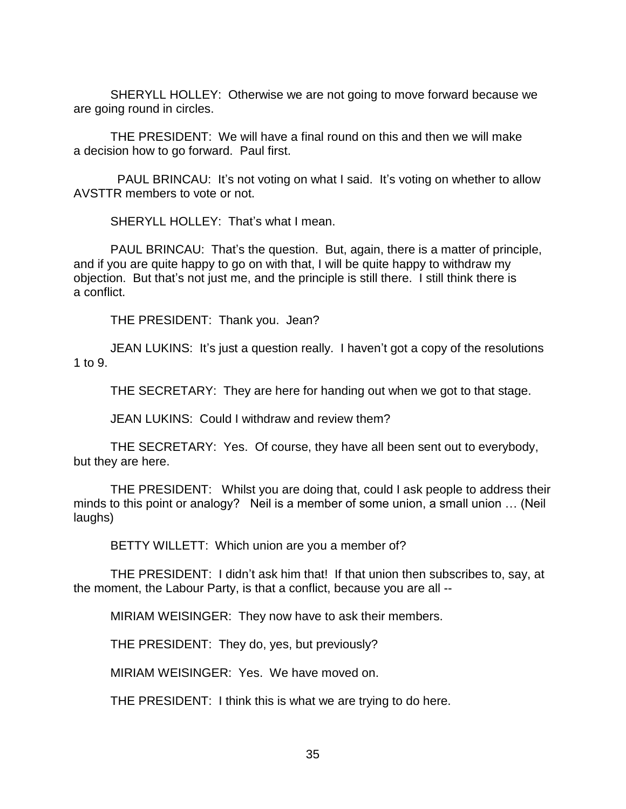SHERYLL HOLLEY: Otherwise we are not going to move forward because we are going round in circles.

THE PRESIDENT: We will have a final round on this and then we will make a decision how to go forward. Paul first.

PAUL BRINCAU: It's not voting on what I said. It's voting on whether to allow AVSTTR members to vote or not.

SHERYLL HOLLEY: That's what I mean.

PAUL BRINCAU: That's the question. But, again, there is a matter of principle, and if you are quite happy to go on with that, I will be quite happy to withdraw my objection. But that's not just me, and the principle is still there. I still think there is a conflict.

THE PRESIDENT: Thank you. Jean?

JEAN LUKINS: It's just a question really. I haven't got a copy of the resolutions 1 to 9.

THE SECRETARY: They are here for handing out when we got to that stage.

JEAN LUKINS: Could I withdraw and review them?

THE SECRETARY: Yes. Of course, they have all been sent out to everybody, but they are here.

THE PRESIDENT: Whilst you are doing that, could I ask people to address their minds to this point or analogy? Neil is a member of some union, a small union ... (Neil laughs)

BETTY WILLETT: Which union are you a member of?

THE PRESIDENT: I didn't ask him that! If that union then subscribes to, say, at the moment, the Labour Party, is that a conflict, because you are all --

MIRIAM WEISINGER: They now have to ask their members.

THE PRESIDENT: They do, yes, but previously?

MIRIAM WEISINGER: Yes. We have moved on.

THE PRESIDENT: I think this is what we are trying to do here.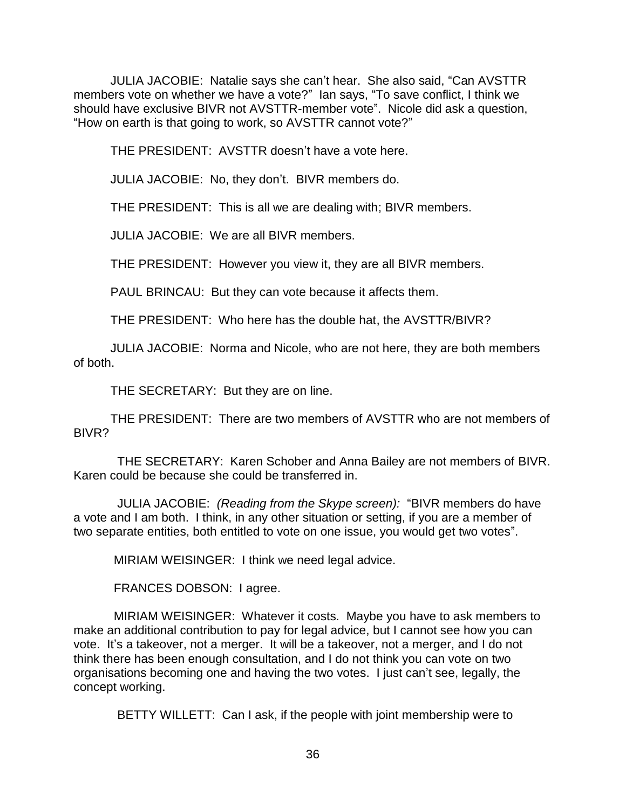JULIA JACOBIE: Natalie says she can't hear. She also said, "Can AVSTTR members vote on whether we have a vote?" Ian says, "To save conflict, I think we should have exclusive BIVR not AVSTTR-member vote". Nicole did ask a question, "How on earth is that going to work, so AVSTTR cannot vote?"

THE PRESIDENT: AVSTTR doesn't have a vote here.

JULIA JACOBIE: No, they don't. BIVR members do.

THE PRESIDENT: This is all we are dealing with; BIVR members.

JULIA JACOBIE: We are all BIVR members.

THE PRESIDENT: However you view it, they are all BIVR members.

PAUL BRINCAU: But they can vote because it affects them.

THE PRESIDENT: Who here has the double hat, the AVSTTR/BIVR?

JULIA JACOBIE: Norma and Nicole, who are not here, they are both members of both.

THE SECRETARY: But they are on line.

THE PRESIDENT: There are two members of AVSTTR who are not members of BIVR?

 THE SECRETARY: Karen Schober and Anna Bailey are not members of BIVR. Karen could be because she could be transferred in.

 JULIA JACOBIE: *(Reading from the Skype screen):* "BIVR members do have a vote and I am both. I think, in any other situation or setting, if you are a member of two separate entities, both entitled to vote on one issue, you would get two votes".

MIRIAM WEISINGER: I think we need legal advice.

FRANCES DOBSON: I agree.

MIRIAM WEISINGER: Whatever it costs. Maybe you have to ask members to make an additional contribution to pay for legal advice, but I cannot see how you can vote. It's a takeover, not a merger. It will be a takeover, not a merger, and I do not think there has been enough consultation, and I do not think you can vote on two organisations becoming one and having the two votes. I just can't see, legally, the concept working.

BETTY WILLETT: Can I ask, if the people with joint membership were to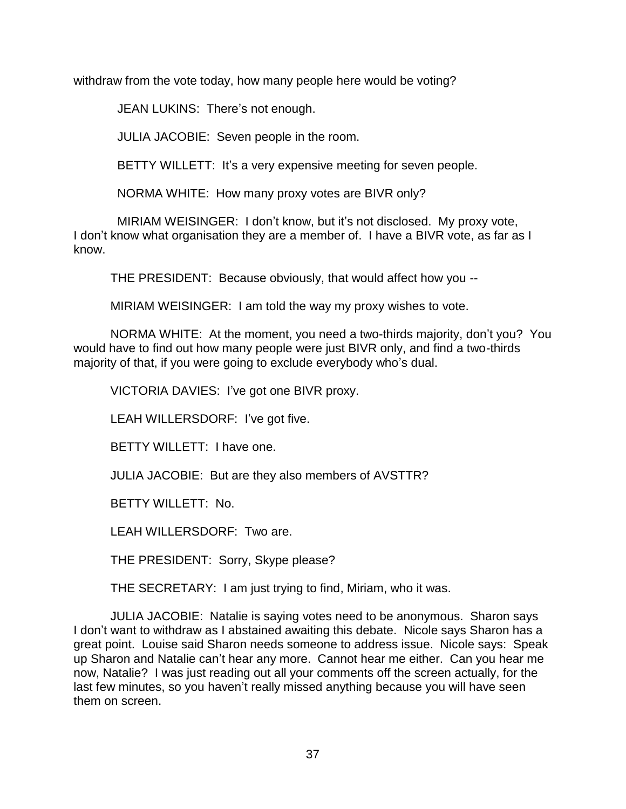withdraw from the vote today, how many people here would be voting?

JEAN LUKINS: There's not enough.

JULIA JACOBIE: Seven people in the room.

BETTY WILLETT: It's a very expensive meeting for seven people.

NORMA WHITE: How many proxy votes are BIVR only?

 MIRIAM WEISINGER: I don't know, but it's not disclosed. My proxy vote, I don't know what organisation they are a member of. I have a BIVR vote, as far as I know.

THE PRESIDENT: Because obviously, that would affect how you --

MIRIAM WEISINGER: I am told the way my proxy wishes to vote.

NORMA WHITE: At the moment, you need a two-thirds majority, don't you? You would have to find out how many people were just BIVR only, and find a two-thirds majority of that, if you were going to exclude everybody who's dual.

VICTORIA DAVIES: I've got one BIVR proxy.

LEAH WILLERSDORF: I've got five.

BETTY WILLETT: I have one.

JULIA JACOBIE: But are they also members of AVSTTR?

BETTY WILLETT: No.

LEAH WILLERSDORF: Two are.

THE PRESIDENT: Sorry, Skype please?

THE SECRETARY: I am just trying to find, Miriam, who it was.

JULIA JACOBIE: Natalie is saying votes need to be anonymous. Sharon says I don't want to withdraw as I abstained awaiting this debate. Nicole says Sharon has a great point. Louise said Sharon needs someone to address issue. Nicole says: Speak up Sharon and Natalie can't hear any more. Cannot hear me either. Can you hear me now, Natalie? I was just reading out all your comments off the screen actually, for the last few minutes, so you haven't really missed anything because you will have seen them on screen.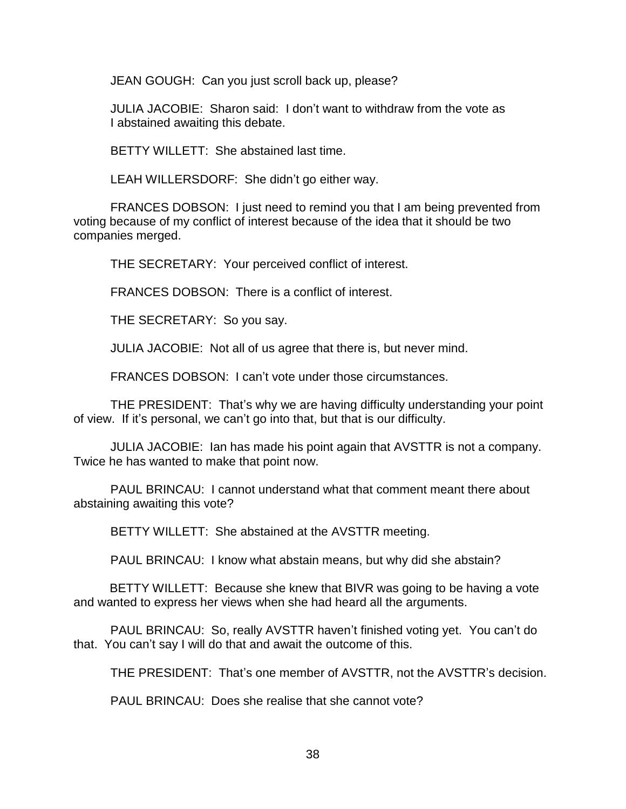JEAN GOUGH: Can you just scroll back up, please?

JULIA JACOBIE: Sharon said: I don't want to withdraw from the vote as I abstained awaiting this debate.

BETTY WILLETT: She abstained last time.

LEAH WILLERSDORF: She didn't go either way.

FRANCES DOBSON: I just need to remind you that I am being prevented from voting because of my conflict of interest because of the idea that it should be two companies merged.

THE SECRETARY: Your perceived conflict of interest.

FRANCES DOBSON: There is a conflict of interest.

THE SECRETARY: So you say.

JULIA JACOBIE: Not all of us agree that there is, but never mind.

FRANCES DOBSON: I can't vote under those circumstances.

THE PRESIDENT: That's why we are having difficulty understanding your point of view. If it's personal, we can't go into that, but that is our difficulty.

JULIA JACOBIE: Ian has made his point again that AVSTTR is not a company. Twice he has wanted to make that point now.

PAUL BRINCAU: I cannot understand what that comment meant there about abstaining awaiting this vote?

BETTY WILLETT: She abstained at the AVSTTR meeting.

PAUL BRINCAU: I know what abstain means, but why did she abstain?

BETTY WILLETT: Because she knew that BIVR was going to be having a vote and wanted to express her views when she had heard all the arguments.

PAUL BRINCAU: So, really AVSTTR haven't finished voting yet. You can't do that. You can't say I will do that and await the outcome of this.

THE PRESIDENT: That's one member of AVSTTR, not the AVSTTR's decision.

PAUL BRINCAU: Does she realise that she cannot vote?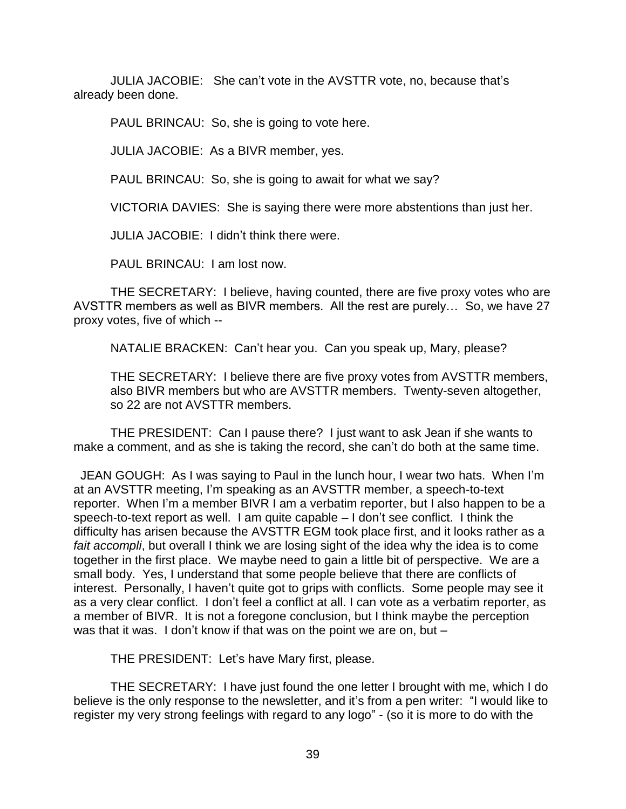JULIA JACOBIE: She can't vote in the AVSTTR vote, no, because that's already been done.

PAUL BRINCAU: So, she is going to vote here.

JULIA JACOBIE: As a BIVR member, yes.

PAUL BRINCAU: So, she is going to await for what we say?

VICTORIA DAVIES: She is saying there were more abstentions than just her.

JULIA JACOBIE: I didn't think there were.

PAUL BRINCAU: I am lost now.

THE SECRETARY: I believe, having counted, there are five proxy votes who are AVSTTR members as well as BIVR members. All the rest are purely… So, we have 27 proxy votes, five of which --

NATALIE BRACKEN: Can't hear you. Can you speak up, Mary, please?

THE SECRETARY: I believe there are five proxy votes from AVSTTR members, also BIVR members but who are AVSTTR members. Twenty-seven altogether, so 22 are not AVSTTR members.

THE PRESIDENT: Can I pause there? I just want to ask Jean if she wants to make a comment, and as she is taking the record, she can't do both at the same time.

 JEAN GOUGH: As I was saying to Paul in the lunch hour, I wear two hats. When I'm at an AVSTTR meeting, I'm speaking as an AVSTTR member, a speech-to-text reporter. When I'm a member BIVR I am a verbatim reporter, but I also happen to be a speech-to-text report as well. I am quite capable – I don't see conflict. I think the difficulty has arisen because the AVSTTR EGM took place first, and it looks rather as a *fait accompli*, but overall I think we are losing sight of the idea why the idea is to come together in the first place. We maybe need to gain a little bit of perspective. We are a small body. Yes, I understand that some people believe that there are conflicts of interest. Personally, I haven't quite got to grips with conflicts. Some people may see it as a very clear conflict. I don't feel a conflict at all. I can vote as a verbatim reporter, as a member of BIVR. It is not a foregone conclusion, but I think maybe the perception was that it was. I don't know if that was on the point we are on, but –

THE PRESIDENT: Let's have Mary first, please.

THE SECRETARY: I have just found the one letter I brought with me, which I do believe is the only response to the newsletter, and it's from a pen writer: "I would like to register my very strong feelings with regard to any logo" - (so it is more to do with the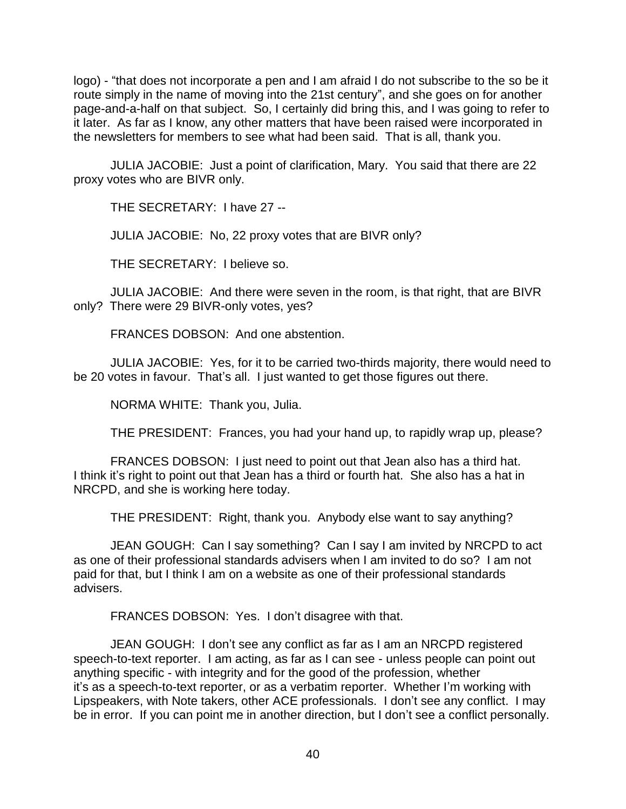logo) - "that does not incorporate a pen and I am afraid I do not subscribe to the so be it route simply in the name of moving into the 21st century", and she goes on for another page-and-a-half on that subject. So, I certainly did bring this, and I was going to refer to it later. As far as I know, any other matters that have been raised were incorporated in the newsletters for members to see what had been said. That is all, thank you.

JULIA JACOBIE: Just a point of clarification, Mary. You said that there are 22 proxy votes who are BIVR only.

THE SECRETARY: I have 27 --

JULIA JACOBIE: No, 22 proxy votes that are BIVR only?

THE SECRETARY: I believe so.

JULIA JACOBIE: And there were seven in the room, is that right, that are BIVR only? There were 29 BIVR-only votes, yes?

FRANCES DOBSON: And one abstention.

JULIA JACOBIE: Yes, for it to be carried two-thirds majority, there would need to be 20 votes in favour. That's all. I just wanted to get those figures out there.

NORMA WHITE: Thank you, Julia.

THE PRESIDENT: Frances, you had your hand up, to rapidly wrap up, please?

FRANCES DOBSON: I just need to point out that Jean also has a third hat. I think it's right to point out that Jean has a third or fourth hat. She also has a hat in NRCPD, and she is working here today.

THE PRESIDENT: Right, thank you. Anybody else want to say anything?

JEAN GOUGH: Can I say something? Can I say I am invited by NRCPD to act as one of their professional standards advisers when I am invited to do so? I am not paid for that, but I think I am on a website as one of their professional standards advisers.

FRANCES DOBSON: Yes. I don't disagree with that.

JEAN GOUGH: I don't see any conflict as far as I am an NRCPD registered speech-to-text reporter. I am acting, as far as I can see - unless people can point out anything specific - with integrity and for the good of the profession, whether it's as a speech-to-text reporter, or as a verbatim reporter. Whether I'm working with Lipspeakers, with Note takers, other ACE professionals. I don't see any conflict. I may be in error. If you can point me in another direction, but I don't see a conflict personally.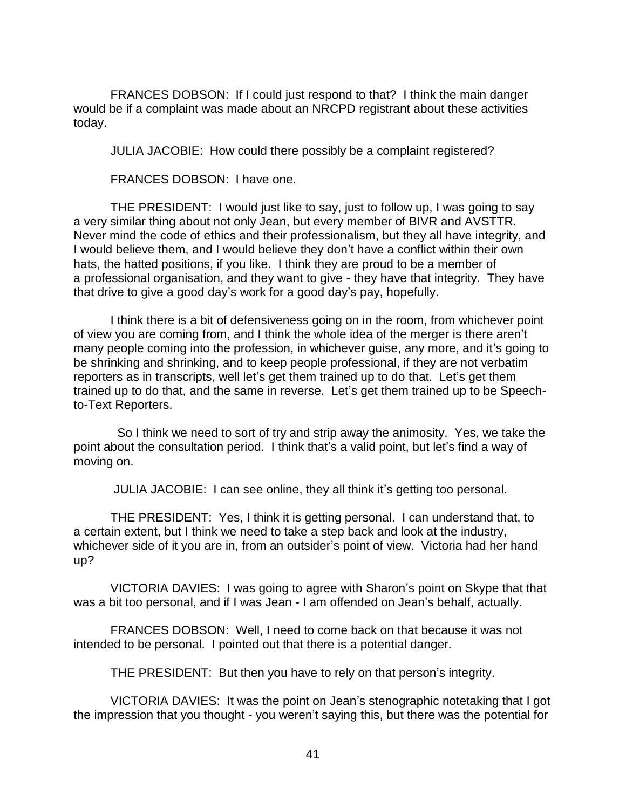FRANCES DOBSON: If I could just respond to that? I think the main danger would be if a complaint was made about an NRCPD registrant about these activities today.

JULIA JACOBIE: How could there possibly be a complaint registered?

FRANCES DOBSON: I have one.

THE PRESIDENT: I would just like to say, just to follow up, I was going to say a very similar thing about not only Jean, but every member of BIVR and AVSTTR. Never mind the code of ethics and their professionalism, but they all have integrity, and I would believe them, and I would believe they don't have a conflict within their own hats, the hatted positions, if you like. I think they are proud to be a member of a professional organisation, and they want to give - they have that integrity. They have that drive to give a good day's work for a good day's pay, hopefully.

I think there is a bit of defensiveness going on in the room, from whichever point of view you are coming from, and I think the whole idea of the merger is there aren't many people coming into the profession, in whichever guise, any more, and it's going to be shrinking and shrinking, and to keep people professional, if they are not verbatim reporters as in transcripts, well let's get them trained up to do that. Let's get them trained up to do that, and the same in reverse. Let's get them trained up to be Speechto-Text Reporters.

 So I think we need to sort of try and strip away the animosity. Yes, we take the point about the consultation period. I think that's a valid point, but let's find a way of moving on.

JULIA JACOBIE: I can see online, they all think it's getting too personal.

THE PRESIDENT: Yes, I think it is getting personal. I can understand that, to a certain extent, but I think we need to take a step back and look at the industry, whichever side of it you are in, from an outsider's point of view. Victoria had her hand up?

VICTORIA DAVIES: I was going to agree with Sharon's point on Skype that that was a bit too personal, and if I was Jean - I am offended on Jean's behalf, actually.

FRANCES DOBSON: Well, I need to come back on that because it was not intended to be personal. I pointed out that there is a potential danger.

THE PRESIDENT: But then you have to rely on that person's integrity.

VICTORIA DAVIES: It was the point on Jean's stenographic notetaking that I got the impression that you thought - you weren't saying this, but there was the potential for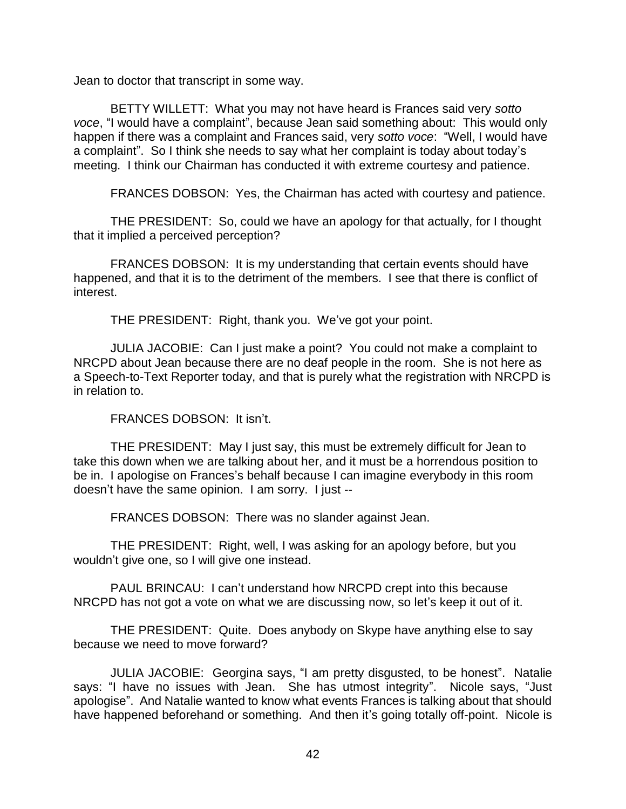Jean to doctor that transcript in some way.

BETTY WILLETT: What you may not have heard is Frances said very *sotto voce*, "I would have a complaint", because Jean said something about: This would only happen if there was a complaint and Frances said, very *sotto voce*: "Well, I would have a complaint". So I think she needs to say what her complaint is today about today's meeting. I think our Chairman has conducted it with extreme courtesy and patience.

FRANCES DOBSON: Yes, the Chairman has acted with courtesy and patience.

THE PRESIDENT: So, could we have an apology for that actually, for I thought that it implied a perceived perception?

FRANCES DOBSON: It is my understanding that certain events should have happened, and that it is to the detriment of the members. I see that there is conflict of interest.

THE PRESIDENT: Right, thank you. We've got your point.

JULIA JACOBIE: Can I just make a point? You could not make a complaint to NRCPD about Jean because there are no deaf people in the room. She is not here as a Speech-to-Text Reporter today, and that is purely what the registration with NRCPD is in relation to.

FRANCES DOBSON: It isn't.

THE PRESIDENT: May I just say, this must be extremely difficult for Jean to take this down when we are talking about her, and it must be a horrendous position to be in. I apologise on Frances's behalf because I can imagine everybody in this room doesn't have the same opinion. I am sorry. I just --

FRANCES DOBSON: There was no slander against Jean.

THE PRESIDENT: Right, well, I was asking for an apology before, but you wouldn't give one, so I will give one instead.

PAUL BRINCAU: I can't understand how NRCPD crept into this because NRCPD has not got a vote on what we are discussing now, so let's keep it out of it.

THE PRESIDENT: Quite. Does anybody on Skype have anything else to say because we need to move forward?

JULIA JACOBIE: Georgina says, "I am pretty disgusted, to be honest". Natalie says: "I have no issues with Jean. She has utmost integrity". Nicole says, "Just apologise". And Natalie wanted to know what events Frances is talking about that should have happened beforehand or something. And then it's going totally off-point. Nicole is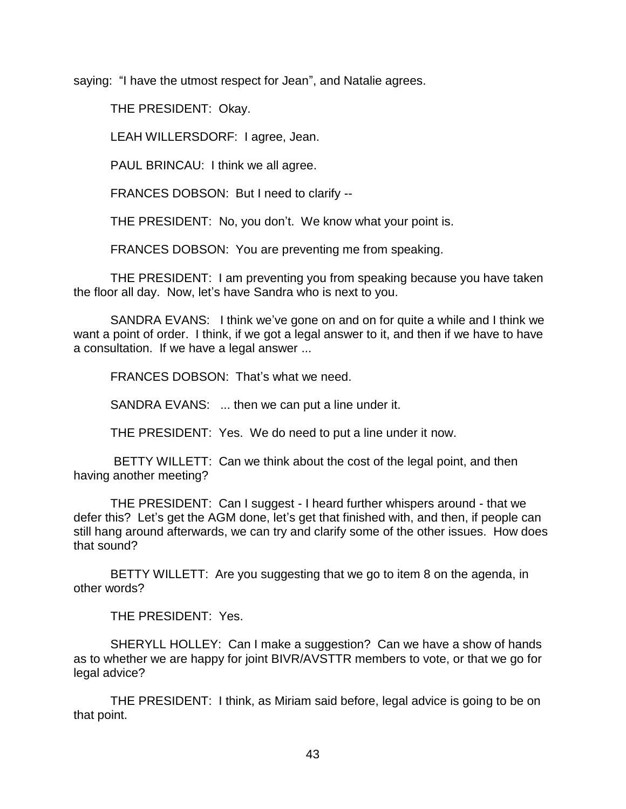saying: "I have the utmost respect for Jean", and Natalie agrees.

THE PRESIDENT: Okay.

LEAH WILLERSDORF: I agree, Jean.

PAUL BRINCAU: I think we all agree.

FRANCES DOBSON: But I need to clarify --

THE PRESIDENT: No, you don't. We know what your point is.

FRANCES DOBSON: You are preventing me from speaking.

THE PRESIDENT: I am preventing you from speaking because you have taken the floor all day. Now, let's have Sandra who is next to you.

SANDRA EVANS: I think we've gone on and on for quite a while and I think we want a point of order. I think, if we got a legal answer to it, and then if we have to have a consultation. If we have a legal answer ...

FRANCES DOBSON: That's what we need.

SANDRA EVANS: ... then we can put a line under it.

THE PRESIDENT: Yes. We do need to put a line under it now.

BETTY WILLETT: Can we think about the cost of the legal point, and then having another meeting?

THE PRESIDENT: Can I suggest - I heard further whispers around - that we defer this? Let's get the AGM done, let's get that finished with, and then, if people can still hang around afterwards, we can try and clarify some of the other issues. How does that sound?

BETTY WILLETT: Are you suggesting that we go to item 8 on the agenda, in other words?

THE PRESIDENT: Yes.

SHERYLL HOLLEY: Can I make a suggestion? Can we have a show of hands as to whether we are happy for joint BIVR/AVSTTR members to vote, or that we go for legal advice?

THE PRESIDENT: I think, as Miriam said before, legal advice is going to be on that point.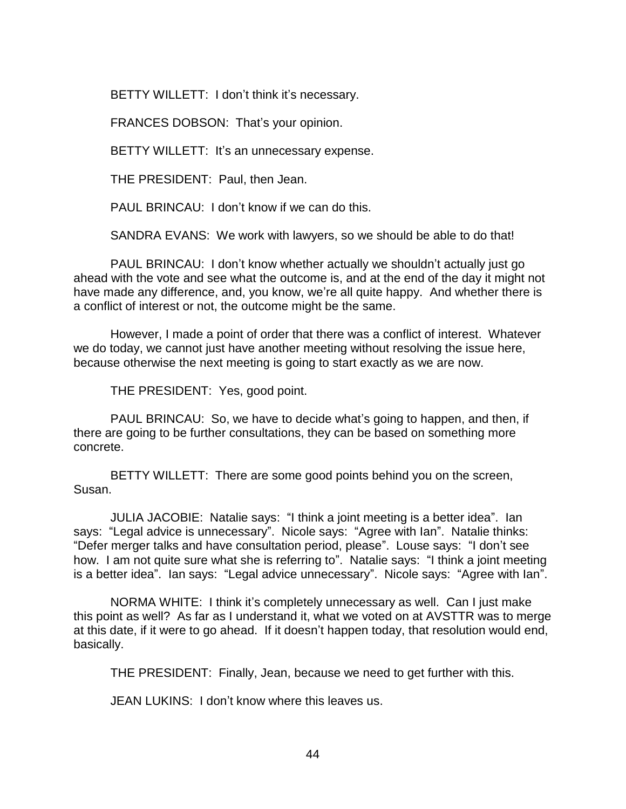BETTY WILLETT: I don't think it's necessary.

FRANCES DOBSON: That's your opinion.

BETTY WILLETT: It's an unnecessary expense.

THE PRESIDENT: Paul, then Jean.

PAUL BRINCAU: I don't know if we can do this.

SANDRA EVANS: We work with lawyers, so we should be able to do that!

PAUL BRINCAU: I don't know whether actually we shouldn't actually just go ahead with the vote and see what the outcome is, and at the end of the day it might not have made any difference, and, you know, we're all quite happy. And whether there is a conflict of interest or not, the outcome might be the same.

However, I made a point of order that there was a conflict of interest. Whatever we do today, we cannot just have another meeting without resolving the issue here, because otherwise the next meeting is going to start exactly as we are now.

THE PRESIDENT: Yes, good point.

PAUL BRINCAU: So, we have to decide what's going to happen, and then, if there are going to be further consultations, they can be based on something more concrete.

BETTY WILLETT: There are some good points behind you on the screen, Susan.

JULIA JACOBIE: Natalie says: "I think a joint meeting is a better idea". Ian says: "Legal advice is unnecessary". Nicole says: "Agree with Ian". Natalie thinks: "Defer merger talks and have consultation period, please". Louse says: "I don't see how. I am not quite sure what she is referring to". Natalie says: "I think a joint meeting is a better idea". Ian says: "Legal advice unnecessary". Nicole says: "Agree with Ian".

NORMA WHITE: I think it's completely unnecessary as well. Can I just make this point as well? As far as I understand it, what we voted on at AVSTTR was to merge at this date, if it were to go ahead. If it doesn't happen today, that resolution would end, basically.

THE PRESIDENT: Finally, Jean, because we need to get further with this.

JEAN LUKINS: I don't know where this leaves us.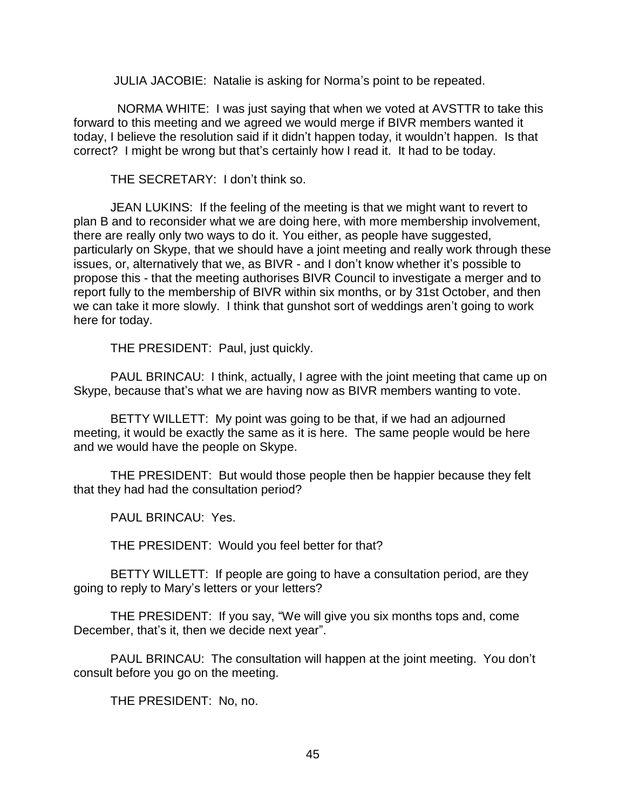JULIA JACOBIE: Natalie is asking for Norma's point to be repeated.

 NORMA WHITE: I was just saying that when we voted at AVSTTR to take this forward to this meeting and we agreed we would merge if BIVR members wanted it today, I believe the resolution said if it didn't happen today, it wouldn't happen. Is that correct? I might be wrong but that's certainly how I read it. It had to be today.

THE SECRETARY: I don't think so.

JEAN LUKINS: If the feeling of the meeting is that we might want to revert to plan B and to reconsider what we are doing here, with more membership involvement, there are really only two ways to do it. You either, as people have suggested, particularly on Skype, that we should have a joint meeting and really work through these issues, or, alternatively that we, as BIVR - and I don't know whether it's possible to propose this - that the meeting authorises BIVR Council to investigate a merger and to report fully to the membership of BIVR within six months, or by 31st October, and then we can take it more slowly. I think that gunshot sort of weddings aren't going to work here for today.

THE PRESIDENT: Paul, just quickly.

PAUL BRINCAU: I think, actually, I agree with the joint meeting that came up on Skype, because that's what we are having now as BIVR members wanting to vote.

BETTY WILLETT: My point was going to be that, if we had an adjourned meeting, it would be exactly the same as it is here. The same people would be here and we would have the people on Skype.

THE PRESIDENT: But would those people then be happier because they felt that they had had the consultation period?

PAUL BRINCAU: Yes.

THE PRESIDENT: Would you feel better for that?

BETTY WILLETT: If people are going to have a consultation period, are they going to reply to Mary's letters or your letters?

THE PRESIDENT: If you say, "We will give you six months tops and, come December, that's it, then we decide next year".

PAUL BRINCAU: The consultation will happen at the joint meeting. You don't consult before you go on the meeting.

THE PRESIDENT: No, no.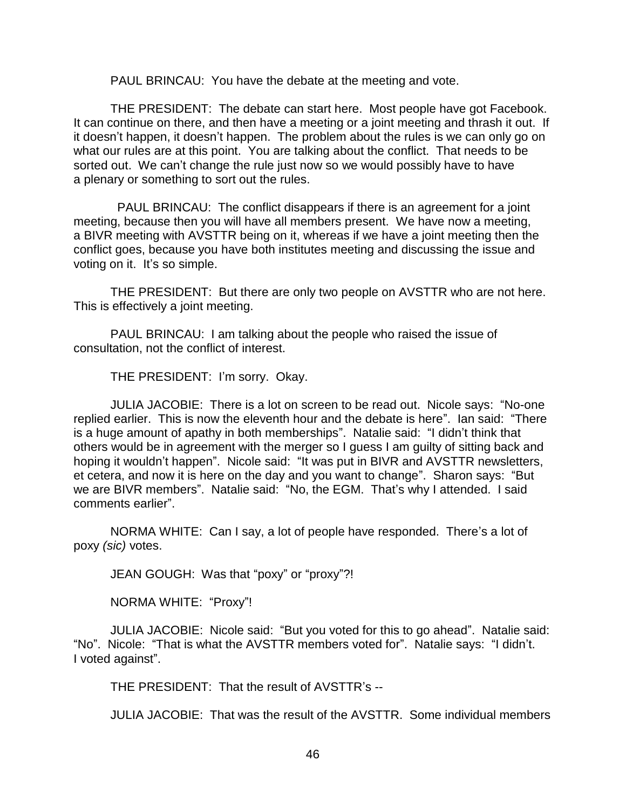PAUL BRINCAU: You have the debate at the meeting and vote.

THE PRESIDENT: The debate can start here. Most people have got Facebook. It can continue on there, and then have a meeting or a joint meeting and thrash it out. If it doesn't happen, it doesn't happen. The problem about the rules is we can only go on what our rules are at this point. You are talking about the conflict. That needs to be sorted out. We can't change the rule just now so we would possibly have to have a plenary or something to sort out the rules.

 PAUL BRINCAU: The conflict disappears if there is an agreement for a joint meeting, because then you will have all members present. We have now a meeting, a BIVR meeting with AVSTTR being on it, whereas if we have a joint meeting then the conflict goes, because you have both institutes meeting and discussing the issue and voting on it. It's so simple.

THE PRESIDENT: But there are only two people on AVSTTR who are not here. This is effectively a joint meeting.

PAUL BRINCAU: I am talking about the people who raised the issue of consultation, not the conflict of interest.

THE PRESIDENT: I'm sorry. Okay.

JULIA JACOBIE: There is a lot on screen to be read out. Nicole says: "No-one replied earlier. This is now the eleventh hour and the debate is here". Ian said: "There is a huge amount of apathy in both memberships". Natalie said: "I didn't think that others would be in agreement with the merger so I guess I am guilty of sitting back and hoping it wouldn't happen". Nicole said: "It was put in BIVR and AVSTTR newsletters, et cetera, and now it is here on the day and you want to change". Sharon says: "But we are BIVR members". Natalie said: "No, the EGM. That's why I attended. I said comments earlier".

NORMA WHITE: Can I say, a lot of people have responded. There's a lot of poxy *(sic)* votes.

JEAN GOUGH: Was that "poxy" or "proxy"?!

NORMA WHITE: "Proxy"!

JULIA JACOBIE: Nicole said: "But you voted for this to go ahead". Natalie said: "No". Nicole: "That is what the AVSTTR members voted for". Natalie says: "I didn't. I voted against".

THE PRESIDENT: That the result of AVSTTR's --

JULIA JACOBIE: That was the result of the AVSTTR. Some individual members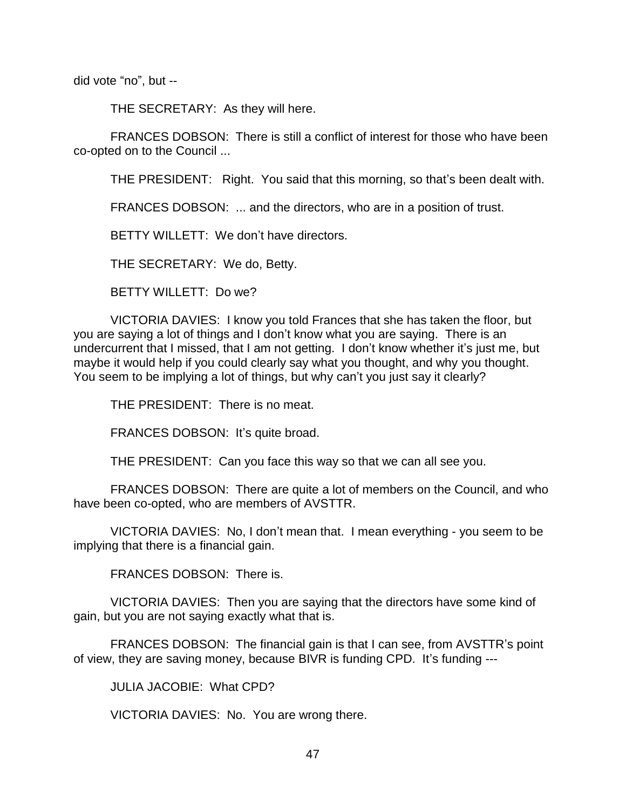did vote "no", but --

THE SECRETARY: As they will here.

FRANCES DOBSON: There is still a conflict of interest for those who have been co-opted on to the Council ...

THE PRESIDENT: Right. You said that this morning, so that's been dealt with.

FRANCES DOBSON: ... and the directors, who are in a position of trust.

BETTY WILLETT: We don't have directors.

THE SECRETARY: We do, Betty.

BETTY WILLETT: Do we?

VICTORIA DAVIES: I know you told Frances that she has taken the floor, but you are saying a lot of things and I don't know what you are saying. There is an undercurrent that I missed, that I am not getting. I don't know whether it's just me, but maybe it would help if you could clearly say what you thought, and why you thought. You seem to be implying a lot of things, but why can't you just say it clearly?

THE PRESIDENT: There is no meat.

FRANCES DOBSON: It's quite broad.

THE PRESIDENT: Can you face this way so that we can all see you.

FRANCES DOBSON: There are quite a lot of members on the Council, and who have been co-opted, who are members of AVSTTR.

VICTORIA DAVIES: No, I don't mean that. I mean everything - you seem to be implying that there is a financial gain.

FRANCES DOBSON: There is.

VICTORIA DAVIES: Then you are saying that the directors have some kind of gain, but you are not saying exactly what that is.

FRANCES DOBSON: The financial gain is that I can see, from AVSTTR's point of view, they are saving money, because BIVR is funding CPD. It's funding ---

JULIA JACOBIE: What CPD?

VICTORIA DAVIES: No. You are wrong there.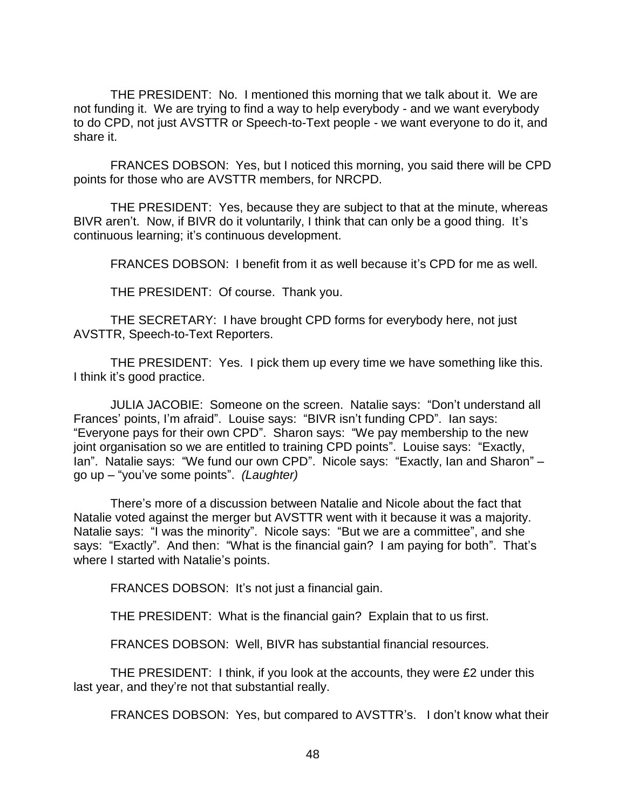THE PRESIDENT: No. I mentioned this morning that we talk about it. We are not funding it. We are trying to find a way to help everybody - and we want everybody to do CPD, not just AVSTTR or Speech-to-Text people - we want everyone to do it, and share it.

FRANCES DOBSON: Yes, but I noticed this morning, you said there will be CPD points for those who are AVSTTR members, for NRCPD.

THE PRESIDENT: Yes, because they are subject to that at the minute, whereas BIVR aren't. Now, if BIVR do it voluntarily, I think that can only be a good thing. It's continuous learning; it's continuous development.

FRANCES DOBSON: I benefit from it as well because it's CPD for me as well.

THE PRESIDENT: Of course. Thank you.

THE SECRETARY: I have brought CPD forms for everybody here, not just AVSTTR, Speech-to-Text Reporters.

THE PRESIDENT: Yes. I pick them up every time we have something like this. I think it's good practice.

JULIA JACOBIE: Someone on the screen. Natalie says: "Don't understand all Frances' points, I'm afraid". Louise says: "BIVR isn't funding CPD". Ian says: "Everyone pays for their own CPD". Sharon says: "We pay membership to the new joint organisation so we are entitled to training CPD points". Louise says: "Exactly, Ian". Natalie says: "We fund our own CPD". Nicole says: "Exactly, Ian and Sharon" – go up – "you've some points". *(Laughter)* 

There's more of a discussion between Natalie and Nicole about the fact that Natalie voted against the merger but AVSTTR went with it because it was a majority. Natalie says: "I was the minority". Nicole says: "But we are a committee", and she says: "Exactly". And then: "What is the financial gain? I am paying for both". That's where I started with Natalie's points.

FRANCES DOBSON: It's not just a financial gain.

THE PRESIDENT: What is the financial gain? Explain that to us first.

FRANCES DOBSON: Well, BIVR has substantial financial resources.

THE PRESIDENT: I think, if you look at the accounts, they were £2 under this last year, and they're not that substantial really.

FRANCES DOBSON: Yes, but compared to AVSTTR's. I don't know what their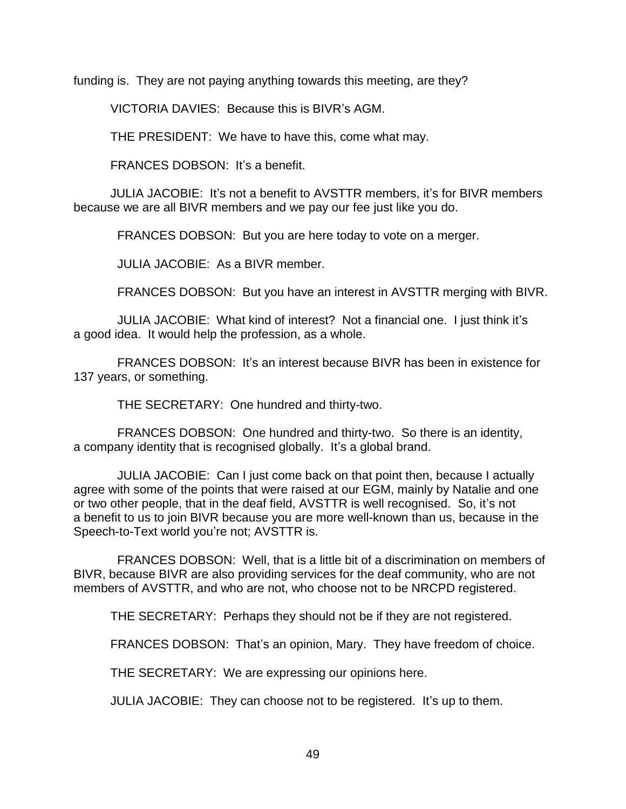funding is. They are not paying anything towards this meeting, are they?

VICTORIA DAVIES: Because this is BIVR's AGM.

THE PRESIDENT: We have to have this, come what may.

FRANCES DOBSON: It's a benefit.

JULIA JACOBIE: It's not a benefit to AVSTTR members, it's for BIVR members because we are all BIVR members and we pay our fee just like you do.

FRANCES DOBSON: But you are here today to vote on a merger.

JULIA JACOBIE: As a BIVR member.

FRANCES DOBSON: But you have an interest in AVSTTR merging with BIVR.

 JULIA JACOBIE: What kind of interest? Not a financial one. I just think it's a good idea. It would help the profession, as a whole.

 FRANCES DOBSON: It's an interest because BIVR has been in existence for 137 years, or something.

THE SECRETARY: One hundred and thirty-two.

 FRANCES DOBSON: One hundred and thirty-two. So there is an identity, a company identity that is recognised globally. It's a global brand.

 JULIA JACOBIE: Can I just come back on that point then, because I actually agree with some of the points that were raised at our EGM, mainly by Natalie and one or two other people, that in the deaf field, AVSTTR is well recognised. So, it's not a benefit to us to join BIVR because you are more well-known than us, because in the Speech-to-Text world you're not; AVSTTR is.

 FRANCES DOBSON: Well, that is a little bit of a discrimination on members of BIVR, because BIVR are also providing services for the deaf community, who are not members of AVSTTR, and who are not, who choose not to be NRCPD registered.

THE SECRETARY: Perhaps they should not be if they are not registered.

FRANCES DOBSON: That's an opinion, Mary. They have freedom of choice.

THE SECRETARY: We are expressing our opinions here.

JULIA JACOBIE: They can choose not to be registered. It's up to them.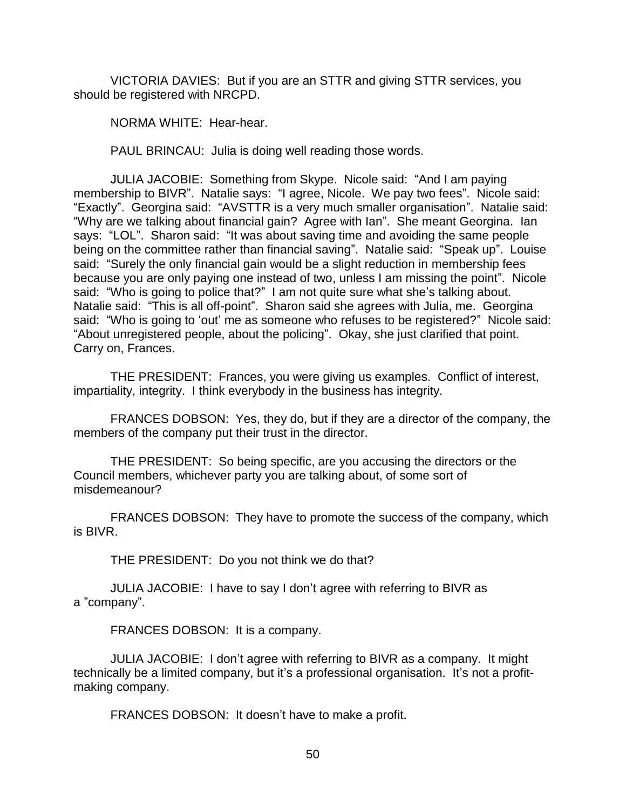VICTORIA DAVIES: But if you are an STTR and giving STTR services, you should be registered with NRCPD.

NORMA WHITE: Hear-hear.

PAUL BRINCAU: Julia is doing well reading those words.

JULIA JACOBIE: Something from Skype. Nicole said: "And I am paying membership to BIVR". Natalie says: "I agree, Nicole. We pay two fees". Nicole said: "Exactly". Georgina said: "AVSTTR is a very much smaller organisation". Natalie said: "Why are we talking about financial gain? Agree with Ian". She meant Georgina. Ian says: "LOL". Sharon said: "It was about saving time and avoiding the same people being on the committee rather than financial saving". Natalie said: "Speak up". Louise said: "Surely the only financial gain would be a slight reduction in membership fees because you are only paying one instead of two, unless I am missing the point". Nicole said: "Who is going to police that?" I am not quite sure what she's talking about. Natalie said: "This is all off-point". Sharon said she agrees with Julia, me. Georgina said: "Who is going to 'out' me as someone who refuses to be registered?" Nicole said: "About unregistered people, about the policing". Okay, she just clarified that point. Carry on, Frances.

THE PRESIDENT: Frances, you were giving us examples. Conflict of interest, impartiality, integrity. I think everybody in the business has integrity.

FRANCES DOBSON: Yes, they do, but if they are a director of the company, the members of the company put their trust in the director.

THE PRESIDENT: So being specific, are you accusing the directors or the Council members, whichever party you are talking about, of some sort of misdemeanour?

FRANCES DOBSON: They have to promote the success of the company, which is BIVR.

THE PRESIDENT: Do you not think we do that?

JULIA JACOBIE: I have to say I don't agree with referring to BIVR as a "company".

FRANCES DOBSON: It is a company.

JULIA JACOBIE: I don't agree with referring to BIVR as a company. It might technically be a limited company, but it's a professional organisation. It's not a profitmaking company.

FRANCES DOBSON: It doesn't have to make a profit.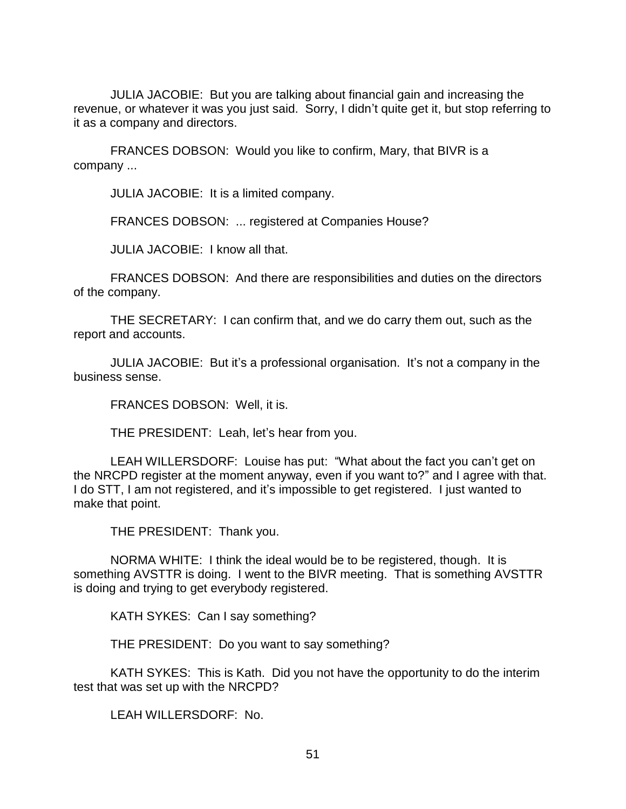JULIA JACOBIE: But you are talking about financial gain and increasing the revenue, or whatever it was you just said. Sorry, I didn't quite get it, but stop referring to it as a company and directors.

FRANCES DOBSON: Would you like to confirm, Mary, that BIVR is a company ...

JULIA JACOBIE: It is a limited company.

FRANCES DOBSON: ... registered at Companies House?

JULIA JACOBIE: I know all that.

FRANCES DOBSON: And there are responsibilities and duties on the directors of the company.

THE SECRETARY: I can confirm that, and we do carry them out, such as the report and accounts.

JULIA JACOBIE: But it's a professional organisation. It's not a company in the business sense.

FRANCES DOBSON: Well, it is.

THE PRESIDENT: Leah, let's hear from you.

LEAH WILLERSDORF: Louise has put: "What about the fact you can't get on the NRCPD register at the moment anyway, even if you want to?" and I agree with that. I do STT, I am not registered, and it's impossible to get registered. I just wanted to make that point.

THE PRESIDENT: Thank you.

NORMA WHITE: I think the ideal would be to be registered, though. It is something AVSTTR is doing. I went to the BIVR meeting. That is something AVSTTR is doing and trying to get everybody registered.

KATH SYKES: Can I say something?

THE PRESIDENT: Do you want to say something?

KATH SYKES: This is Kath. Did you not have the opportunity to do the interim test that was set up with the NRCPD?

LEAH WILLERSDORF: No.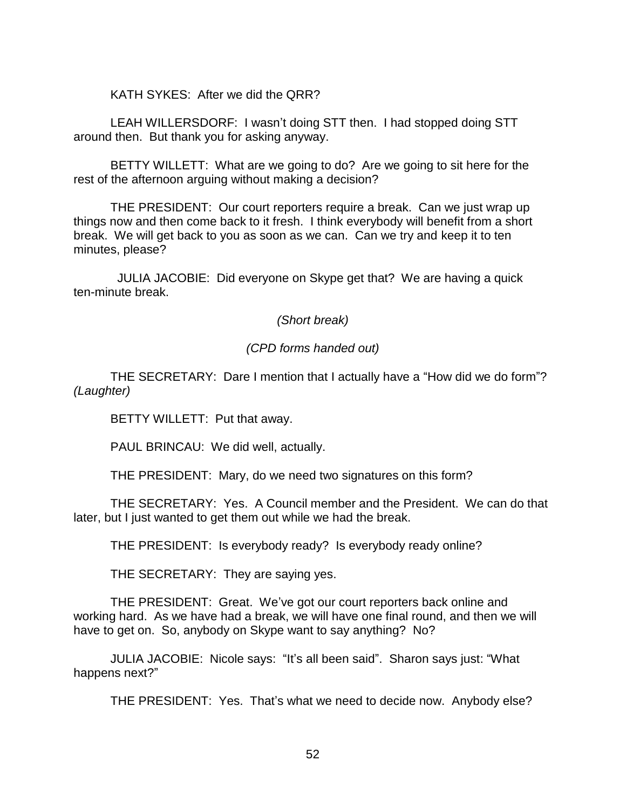KATH SYKES: After we did the QRR?

LEAH WILLERSDORF: I wasn't doing STT then. I had stopped doing STT around then. But thank you for asking anyway.

BETTY WILLETT: What are we going to do? Are we going to sit here for the rest of the afternoon arguing without making a decision?

THE PRESIDENT: Our court reporters require a break. Can we just wrap up things now and then come back to it fresh. I think everybody will benefit from a short break. We will get back to you as soon as we can. Can we try and keep it to ten minutes, please?

 JULIA JACOBIE: Did everyone on Skype get that? We are having a quick ten-minute break.

*(Short break)*

## *(CPD forms handed out)*

THE SECRETARY: Dare I mention that I actually have a "How did we do form"? *(Laughter)*

BETTY WILLETT: Put that away.

PAUL BRINCAU: We did well, actually.

THE PRESIDENT: Mary, do we need two signatures on this form?

THE SECRETARY: Yes. A Council member and the President. We can do that later, but I just wanted to get them out while we had the break.

THE PRESIDENT: Is everybody ready? Is everybody ready online?

THE SECRETARY: They are saying yes.

THE PRESIDENT: Great. We've got our court reporters back online and working hard. As we have had a break, we will have one final round, and then we will have to get on. So, anybody on Skype want to say anything? No?

JULIA JACOBIE: Nicole says: "It's all been said". Sharon says just: "What happens next?"

THE PRESIDENT: Yes. That's what we need to decide now. Anybody else?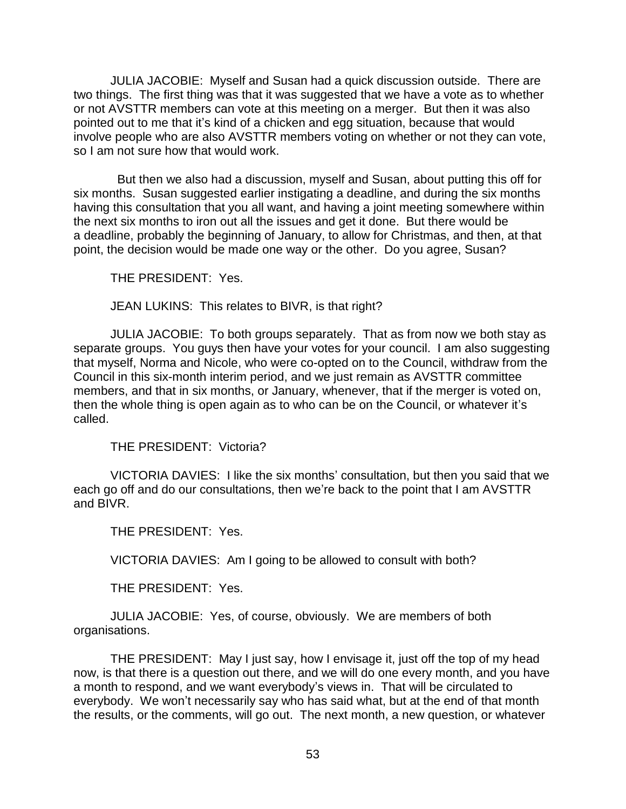JULIA JACOBIE: Myself and Susan had a quick discussion outside. There are two things. The first thing was that it was suggested that we have a vote as to whether or not AVSTTR members can vote at this meeting on a merger. But then it was also pointed out to me that it's kind of a chicken and egg situation, because that would involve people who are also AVSTTR members voting on whether or not they can vote, so I am not sure how that would work.

 But then we also had a discussion, myself and Susan, about putting this off for six months. Susan suggested earlier instigating a deadline, and during the six months having this consultation that you all want, and having a joint meeting somewhere within the next six months to iron out all the issues and get it done. But there would be a deadline, probably the beginning of January, to allow for Christmas, and then, at that point, the decision would be made one way or the other. Do you agree, Susan?

THE PRESIDENT: Yes.

JEAN LUKINS: This relates to BIVR, is that right?

JULIA JACOBIE: To both groups separately. That as from now we both stay as separate groups. You guys then have your votes for your council. I am also suggesting that myself, Norma and Nicole, who were co-opted on to the Council, withdraw from the Council in this six-month interim period, and we just remain as AVSTTR committee members, and that in six months, or January, whenever, that if the merger is voted on, then the whole thing is open again as to who can be on the Council, or whatever it's called.

THE PRESIDENT: Victoria?

VICTORIA DAVIES: I like the six months' consultation, but then you said that we each go off and do our consultations, then we're back to the point that I am AVSTTR and BIVR.

THE PRESIDENT: Yes.

VICTORIA DAVIES: Am I going to be allowed to consult with both?

THE PRESIDENT: Yes.

JULIA JACOBIE: Yes, of course, obviously. We are members of both organisations.

THE PRESIDENT: May I just say, how I envisage it, just off the top of my head now, is that there is a question out there, and we will do one every month, and you have a month to respond, and we want everybody's views in. That will be circulated to everybody. We won't necessarily say who has said what, but at the end of that month the results, or the comments, will go out. The next month, a new question, or whatever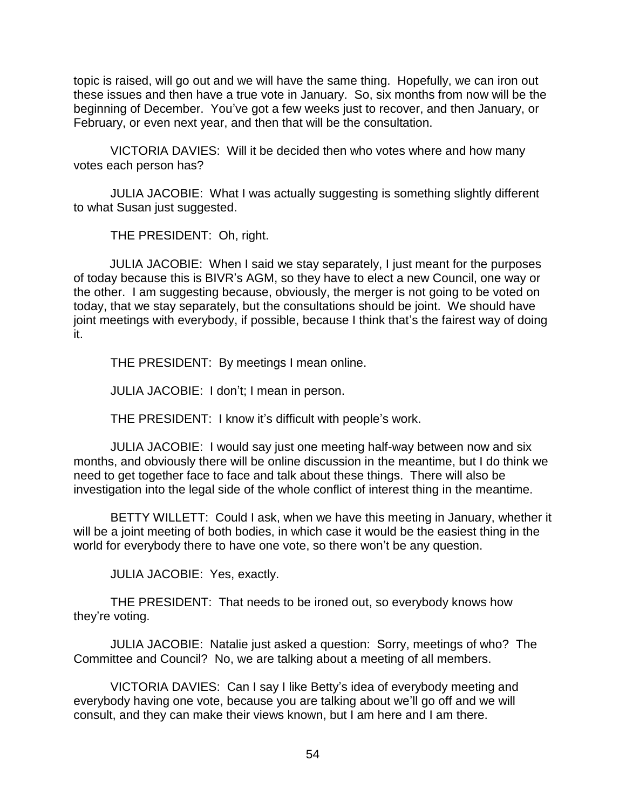topic is raised, will go out and we will have the same thing. Hopefully, we can iron out these issues and then have a true vote in January. So, six months from now will be the beginning of December. You've got a few weeks just to recover, and then January, or February, or even next year, and then that will be the consultation.

VICTORIA DAVIES: Will it be decided then who votes where and how many votes each person has?

JULIA JACOBIE: What I was actually suggesting is something slightly different to what Susan just suggested.

THE PRESIDENT: Oh, right.

JULIA JACOBIE: When I said we stay separately, I just meant for the purposes of today because this is BIVR's AGM, so they have to elect a new Council, one way or the other. I am suggesting because, obviously, the merger is not going to be voted on today, that we stay separately, but the consultations should be joint. We should have joint meetings with everybody, if possible, because I think that's the fairest way of doing it.

THE PRESIDENT: By meetings I mean online.

JULIA JACOBIE: I don't; I mean in person.

THE PRESIDENT: I know it's difficult with people's work.

JULIA JACOBIE: I would say just one meeting half-way between now and six months, and obviously there will be online discussion in the meantime, but I do think we need to get together face to face and talk about these things. There will also be investigation into the legal side of the whole conflict of interest thing in the meantime.

BETTY WILLETT: Could I ask, when we have this meeting in January, whether it will be a joint meeting of both bodies, in which case it would be the easiest thing in the world for everybody there to have one vote, so there won't be any question.

JULIA JACOBIE: Yes, exactly.

THE PRESIDENT: That needs to be ironed out, so everybody knows how they're voting.

JULIA JACOBIE: Natalie just asked a question: Sorry, meetings of who? The Committee and Council? No, we are talking about a meeting of all members.

VICTORIA DAVIES: Can I say I like Betty's idea of everybody meeting and everybody having one vote, because you are talking about we'll go off and we will consult, and they can make their views known, but I am here and I am there.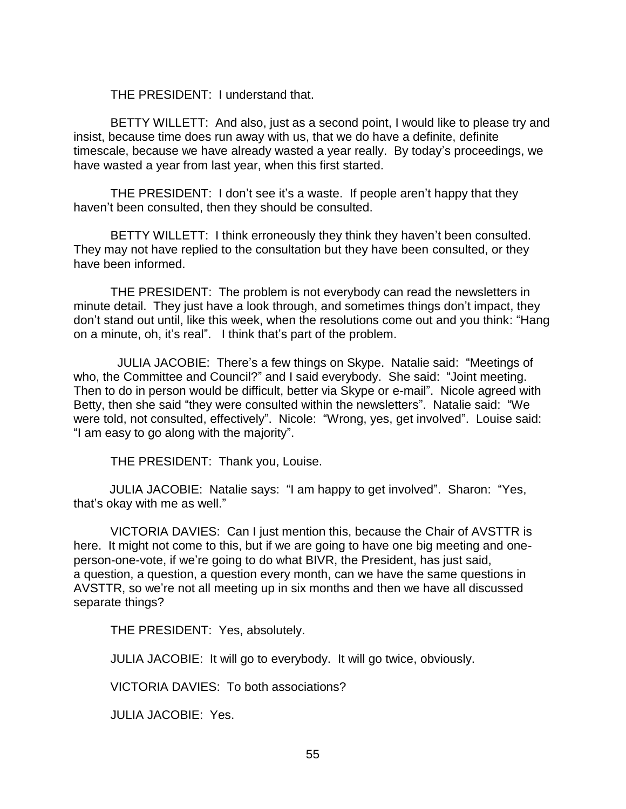THE PRESIDENT: I understand that.

BETTY WILLETT: And also, just as a second point, I would like to please try and insist, because time does run away with us, that we do have a definite, definite timescale, because we have already wasted a year really. By today's proceedings, we have wasted a year from last year, when this first started.

THE PRESIDENT: I don't see it's a waste. If people aren't happy that they haven't been consulted, then they should be consulted.

BETTY WILLETT: I think erroneously they think they haven't been consulted. They may not have replied to the consultation but they have been consulted, or they have been informed.

THE PRESIDENT: The problem is not everybody can read the newsletters in minute detail. They just have a look through, and sometimes things don't impact, they don't stand out until, like this week, when the resolutions come out and you think: "Hang on a minute, oh, it's real". I think that's part of the problem.

 JULIA JACOBIE: There's a few things on Skype. Natalie said: "Meetings of who, the Committee and Council?" and I said everybody. She said: "Joint meeting. Then to do in person would be difficult, better via Skype or e-mail". Nicole agreed with Betty, then she said "they were consulted within the newsletters". Natalie said: "We were told, not consulted, effectively". Nicole: "Wrong, yes, get involved". Louise said: "I am easy to go along with the majority".

THE PRESIDENT: Thank you, Louise.

JULIA JACOBIE: Natalie says: "I am happy to get involved". Sharon: "Yes, that's okay with me as well."

VICTORIA DAVIES: Can I just mention this, because the Chair of AVSTTR is here. It might not come to this, but if we are going to have one big meeting and oneperson-one-vote, if we're going to do what BIVR, the President, has just said, a question, a question, a question every month, can we have the same questions in AVSTTR, so we're not all meeting up in six months and then we have all discussed separate things?

THE PRESIDENT: Yes, absolutely.

JULIA JACOBIE: It will go to everybody. It will go twice, obviously.

VICTORIA DAVIES: To both associations?

JULIA JACOBIE: Yes.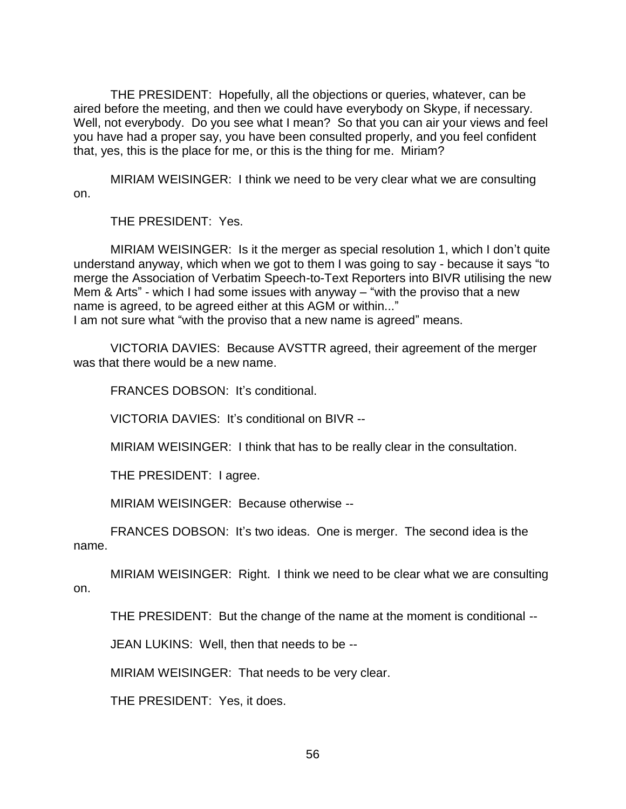THE PRESIDENT: Hopefully, all the objections or queries, whatever, can be aired before the meeting, and then we could have everybody on Skype, if necessary. Well, not everybody. Do you see what I mean? So that you can air your views and feel you have had a proper say, you have been consulted properly, and you feel confident that, yes, this is the place for me, or this is the thing for me. Miriam?

MIRIAM WEISINGER: I think we need to be very clear what we are consulting on.

THE PRESIDENT: Yes.

MIRIAM WEISINGER: Is it the merger as special resolution 1, which I don't quite understand anyway, which when we got to them I was going to say - because it says "to merge the Association of Verbatim Speech-to-Text Reporters into BIVR utilising the new Mem & Arts" - which I had some issues with anyway – "with the proviso that a new name is agreed, to be agreed either at this AGM or within..." I am not sure what "with the proviso that a new name is agreed" means.

VICTORIA DAVIES: Because AVSTTR agreed, their agreement of the merger was that there would be a new name.

FRANCES DOBSON: It's conditional.

VICTORIA DAVIES: It's conditional on BIVR --

MIRIAM WEISINGER: I think that has to be really clear in the consultation.

THE PRESIDENT: I agree.

MIRIAM WEISINGER: Because otherwise --

FRANCES DOBSON: It's two ideas. One is merger. The second idea is the name.

MIRIAM WEISINGER: Right. I think we need to be clear what we are consulting on.

THE PRESIDENT: But the change of the name at the moment is conditional --

JEAN LUKINS: Well, then that needs to be --

MIRIAM WEISINGER: That needs to be very clear.

THE PRESIDENT: Yes, it does.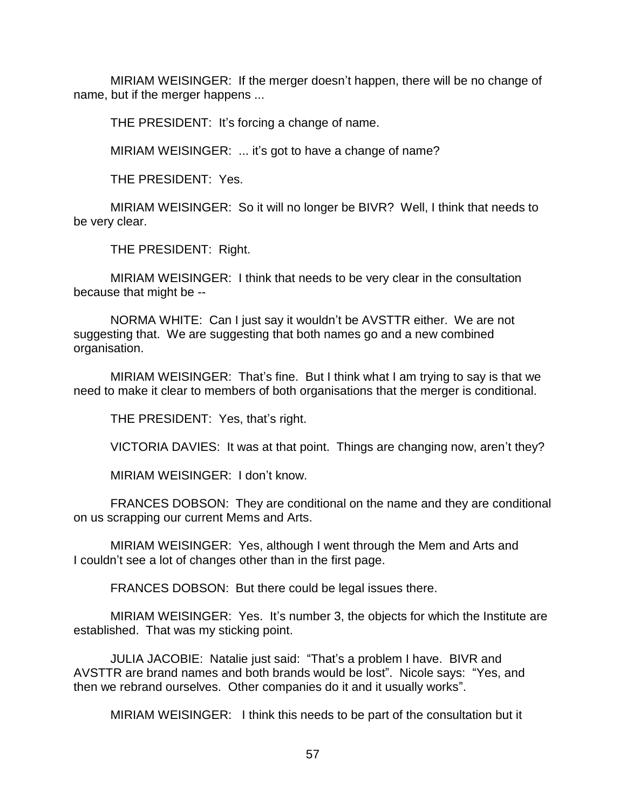MIRIAM WEISINGER: If the merger doesn't happen, there will be no change of name, but if the merger happens ...

THE PRESIDENT: It's forcing a change of name.

MIRIAM WEISINGER: ... it's got to have a change of name?

THE PRESIDENT: Yes.

MIRIAM WEISINGER: So it will no longer be BIVR? Well, I think that needs to be very clear.

THE PRESIDENT: Right.

MIRIAM WEISINGER: I think that needs to be very clear in the consultation because that might be --

NORMA WHITE: Can I just say it wouldn't be AVSTTR either. We are not suggesting that. We are suggesting that both names go and a new combined organisation.

MIRIAM WEISINGER: That's fine. But I think what I am trying to say is that we need to make it clear to members of both organisations that the merger is conditional.

THE PRESIDENT: Yes, that's right.

VICTORIA DAVIES: It was at that point. Things are changing now, aren't they?

MIRIAM WEISINGER: I don't know.

FRANCES DOBSON: They are conditional on the name and they are conditional on us scrapping our current Mems and Arts.

MIRIAM WEISINGER: Yes, although I went through the Mem and Arts and I couldn't see a lot of changes other than in the first page.

FRANCES DOBSON: But there could be legal issues there.

MIRIAM WEISINGER: Yes. It's number 3, the objects for which the Institute are established. That was my sticking point.

JULIA JACOBIE: Natalie just said: "That's a problem I have. BIVR and AVSTTR are brand names and both brands would be lost". Nicole says: "Yes, and then we rebrand ourselves. Other companies do it and it usually works".

MIRIAM WEISINGER: I think this needs to be part of the consultation but it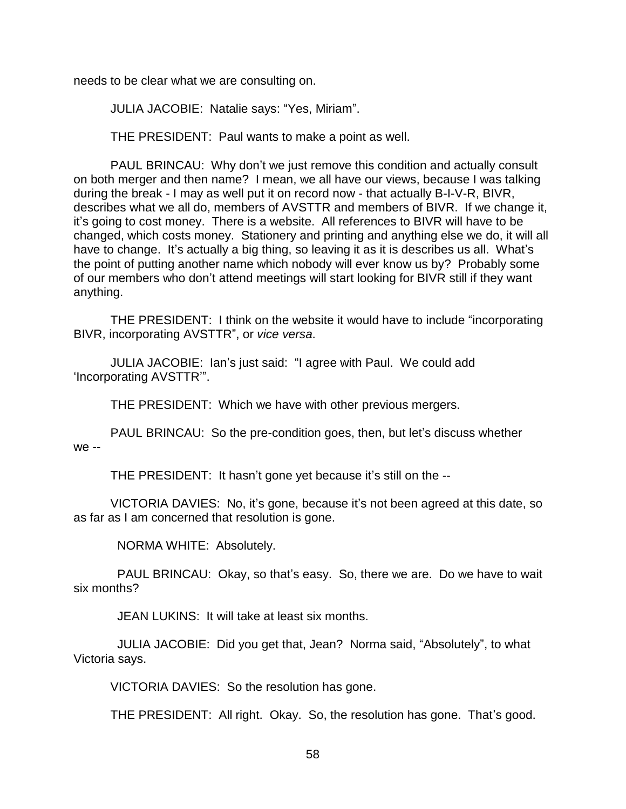needs to be clear what we are consulting on.

JULIA JACOBIE: Natalie says: "Yes, Miriam".

THE PRESIDENT: Paul wants to make a point as well.

PAUL BRINCAU: Why don't we just remove this condition and actually consult on both merger and then name? I mean, we all have our views, because I was talking during the break - I may as well put it on record now - that actually B-I-V-R, BIVR, describes what we all do, members of AVSTTR and members of BIVR. If we change it, it's going to cost money. There is a website. All references to BIVR will have to be changed, which costs money. Stationery and printing and anything else we do, it will all have to change. It's actually a big thing, so leaving it as it is describes us all. What's the point of putting another name which nobody will ever know us by? Probably some of our members who don't attend meetings will start looking for BIVR still if they want anything.

THE PRESIDENT: I think on the website it would have to include "incorporating BIVR, incorporating AVSTTR", or *vice versa*.

JULIA JACOBIE: Ian's just said: "I agree with Paul. We could add 'Incorporating AVSTTR'".

THE PRESIDENT: Which we have with other previous mergers.

PAUL BRINCAU: So the pre-condition goes, then, but let's discuss whether we --

THE PRESIDENT: It hasn't gone yet because it's still on the --

VICTORIA DAVIES: No, it's gone, because it's not been agreed at this date, so as far as I am concerned that resolution is gone.

NORMA WHITE: Absolutely.

 PAUL BRINCAU: Okay, so that's easy. So, there we are. Do we have to wait six months?

JEAN LUKINS: It will take at least six months.

 JULIA JACOBIE: Did you get that, Jean? Norma said, "Absolutely", to what Victoria says.

VICTORIA DAVIES: So the resolution has gone.

THE PRESIDENT: All right. Okay. So, the resolution has gone. That's good.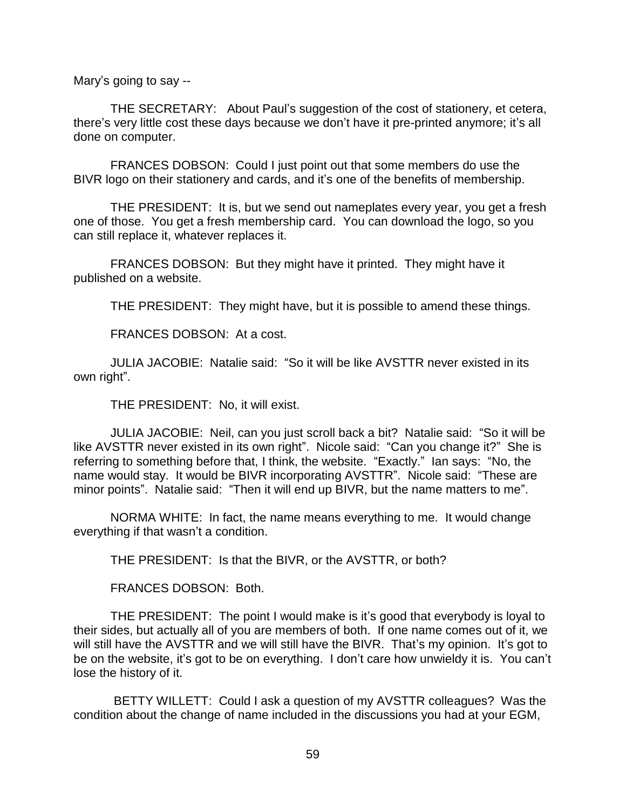Mary's going to say --

THE SECRETARY: About Paul's suggestion of the cost of stationery, et cetera, there's very little cost these days because we don't have it pre-printed anymore; it's all done on computer.

FRANCES DOBSON: Could I just point out that some members do use the BIVR logo on their stationery and cards, and it's one of the benefits of membership.

THE PRESIDENT: It is, but we send out nameplates every year, you get a fresh one of those. You get a fresh membership card. You can download the logo, so you can still replace it, whatever replaces it.

FRANCES DOBSON: But they might have it printed. They might have it published on a website.

THE PRESIDENT: They might have, but it is possible to amend these things.

FRANCES DOBSON: At a cost.

JULIA JACOBIE: Natalie said: "So it will be like AVSTTR never existed in its own right".

THE PRESIDENT: No, it will exist.

JULIA JACOBIE: Neil, can you just scroll back a bit? Natalie said: "So it will be like AVSTTR never existed in its own right". Nicole said: "Can you change it?" She is referring to something before that, I think, the website. "Exactly." Ian says: "No, the name would stay. It would be BIVR incorporating AVSTTR". Nicole said: "These are minor points". Natalie said: "Then it will end up BIVR, but the name matters to me".

NORMA WHITE: In fact, the name means everything to me. It would change everything if that wasn't a condition.

THE PRESIDENT: Is that the BIVR, or the AVSTTR, or both?

FRANCES DOBSON: Both.

THE PRESIDENT: The point I would make is it's good that everybody is loyal to their sides, but actually all of you are members of both. If one name comes out of it, we will still have the AVSTTR and we will still have the BIVR. That's my opinion. It's got to be on the website, it's got to be on everything. I don't care how unwieldy it is. You can't lose the history of it.

BETTY WILLETT: Could I ask a question of my AVSTTR colleagues? Was the condition about the change of name included in the discussions you had at your EGM,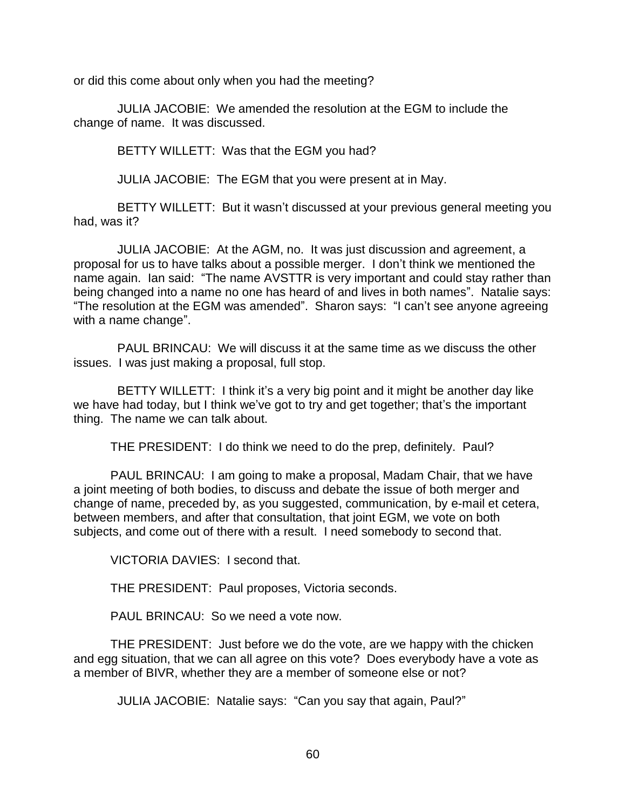or did this come about only when you had the meeting?

 JULIA JACOBIE: We amended the resolution at the EGM to include the change of name. It was discussed.

BETTY WILLETT: Was that the EGM you had?

JULIA JACOBIE: The EGM that you were present at in May.

 BETTY WILLETT: But it wasn't discussed at your previous general meeting you had, was it?

 JULIA JACOBIE: At the AGM, no. It was just discussion and agreement, a proposal for us to have talks about a possible merger. I don't think we mentioned the name again. Ian said: "The name AVSTTR is very important and could stay rather than being changed into a name no one has heard of and lives in both names". Natalie says: "The resolution at the EGM was amended". Sharon says: "I can't see anyone agreeing with a name change".

 PAUL BRINCAU: We will discuss it at the same time as we discuss the other issues. I was just making a proposal, full stop.

 BETTY WILLETT: I think it's a very big point and it might be another day like we have had today, but I think we've got to try and get together; that's the important thing. The name we can talk about.

THE PRESIDENT: I do think we need to do the prep, definitely. Paul?

PAUL BRINCAU: I am going to make a proposal, Madam Chair, that we have a joint meeting of both bodies, to discuss and debate the issue of both merger and change of name, preceded by, as you suggested, communication, by e-mail et cetera, between members, and after that consultation, that joint EGM, we vote on both subjects, and come out of there with a result. I need somebody to second that.

VICTORIA DAVIES: I second that.

THE PRESIDENT: Paul proposes, Victoria seconds.

PAUL BRINCAU: So we need a vote now.

THE PRESIDENT: Just before we do the vote, are we happy with the chicken and egg situation, that we can all agree on this vote? Does everybody have a vote as a member of BIVR, whether they are a member of someone else or not?

JULIA JACOBIE: Natalie says: "Can you say that again, Paul?"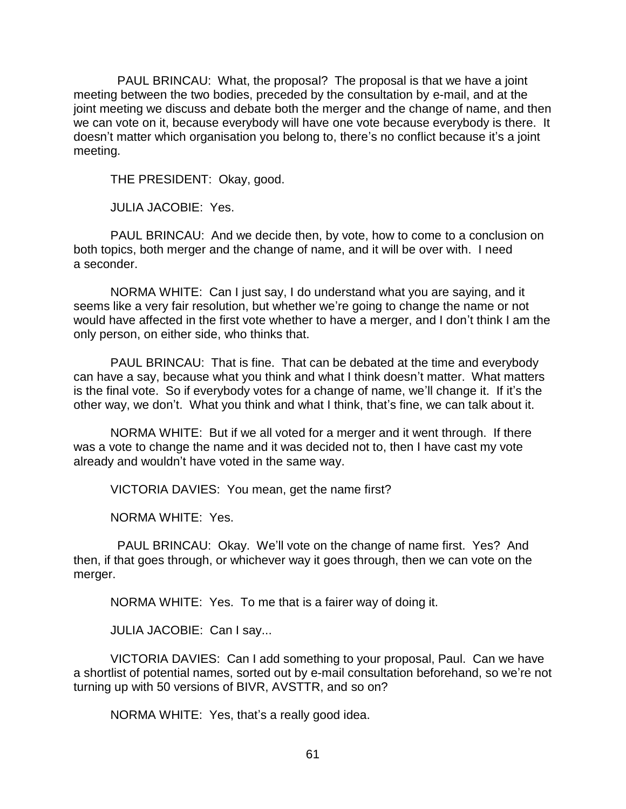PAUL BRINCAU: What, the proposal? The proposal is that we have a joint meeting between the two bodies, preceded by the consultation by e-mail, and at the joint meeting we discuss and debate both the merger and the change of name, and then we can vote on it, because everybody will have one vote because everybody is there. It doesn't matter which organisation you belong to, there's no conflict because it's a joint meeting.

THE PRESIDENT: Okay, good.

JULIA JACOBIE: Yes.

PAUL BRINCAU: And we decide then, by vote, how to come to a conclusion on both topics, both merger and the change of name, and it will be over with. I need a seconder.

NORMA WHITE: Can I just say, I do understand what you are saying, and it seems like a very fair resolution, but whether we're going to change the name or not would have affected in the first vote whether to have a merger, and I don't think I am the only person, on either side, who thinks that.

PAUL BRINCAU: That is fine. That can be debated at the time and everybody can have a say, because what you think and what I think doesn't matter. What matters is the final vote. So if everybody votes for a change of name, we'll change it. If it's the other way, we don't. What you think and what I think, that's fine, we can talk about it.

NORMA WHITE: But if we all voted for a merger and it went through. If there was a vote to change the name and it was decided not to, then I have cast my vote already and wouldn't have voted in the same way.

VICTORIA DAVIES: You mean, get the name first?

NORMA WHITE: Yes.

 PAUL BRINCAU: Okay. We'll vote on the change of name first. Yes? And then, if that goes through, or whichever way it goes through, then we can vote on the merger.

NORMA WHITE: Yes. To me that is a fairer way of doing it.

JULIA JACOBIE: Can I say...

VICTORIA DAVIES: Can I add something to your proposal, Paul. Can we have a shortlist of potential names, sorted out by e-mail consultation beforehand, so we're not turning up with 50 versions of BIVR, AVSTTR, and so on?

NORMA WHITE: Yes, that's a really good idea.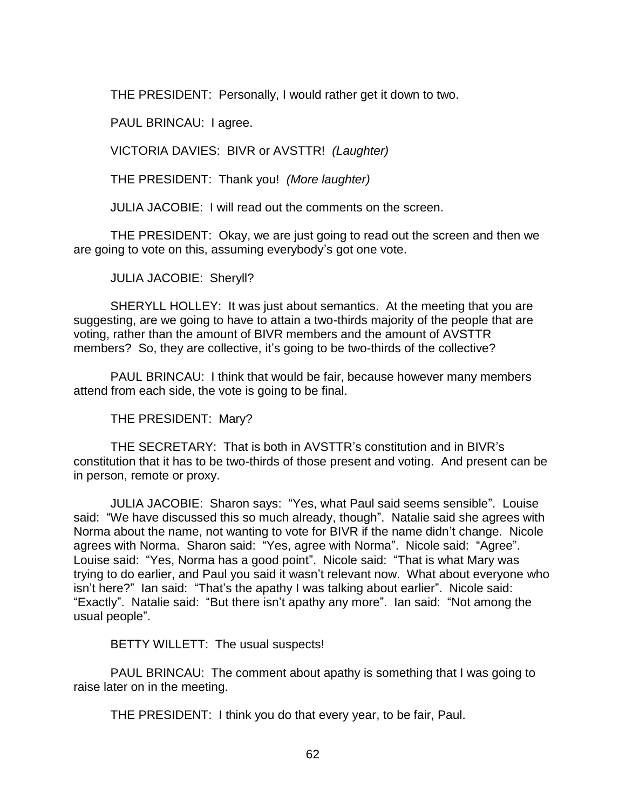THE PRESIDENT: Personally, I would rather get it down to two.

PAUL BRINCAU: I agree.

VICTORIA DAVIES: BIVR or AVSTTR! *(Laughter)*

THE PRESIDENT: Thank you! *(More laughter)*

JULIA JACOBIE: I will read out the comments on the screen.

THE PRESIDENT: Okay, we are just going to read out the screen and then we are going to vote on this, assuming everybody's got one vote.

JULIA JACOBIE: Sheryll?

SHERYLL HOLLEY: It was just about semantics. At the meeting that you are suggesting, are we going to have to attain a two-thirds majority of the people that are voting, rather than the amount of BIVR members and the amount of AVSTTR members? So, they are collective, it's going to be two-thirds of the collective?

PAUL BRINCAU: I think that would be fair, because however many members attend from each side, the vote is going to be final.

THE PRESIDENT: Mary?

THE SECRETARY: That is both in AVSTTR's constitution and in BIVR's constitution that it has to be two-thirds of those present and voting. And present can be in person, remote or proxy.

JULIA JACOBIE: Sharon says: "Yes, what Paul said seems sensible". Louise said: "We have discussed this so much already, though". Natalie said she agrees with Norma about the name, not wanting to vote for BIVR if the name didn't change. Nicole agrees with Norma. Sharon said: "Yes, agree with Norma". Nicole said: "Agree". Louise said: "Yes, Norma has a good point". Nicole said: "That is what Mary was trying to do earlier, and Paul you said it wasn't relevant now. What about everyone who isn't here?" Ian said: "That's the apathy I was talking about earlier". Nicole said: "Exactly". Natalie said: "But there isn't apathy any more". Ian said: "Not among the usual people".

BETTY WILLETT: The usual suspects!

PAUL BRINCAU: The comment about apathy is something that I was going to raise later on in the meeting.

THE PRESIDENT: I think you do that every year, to be fair, Paul.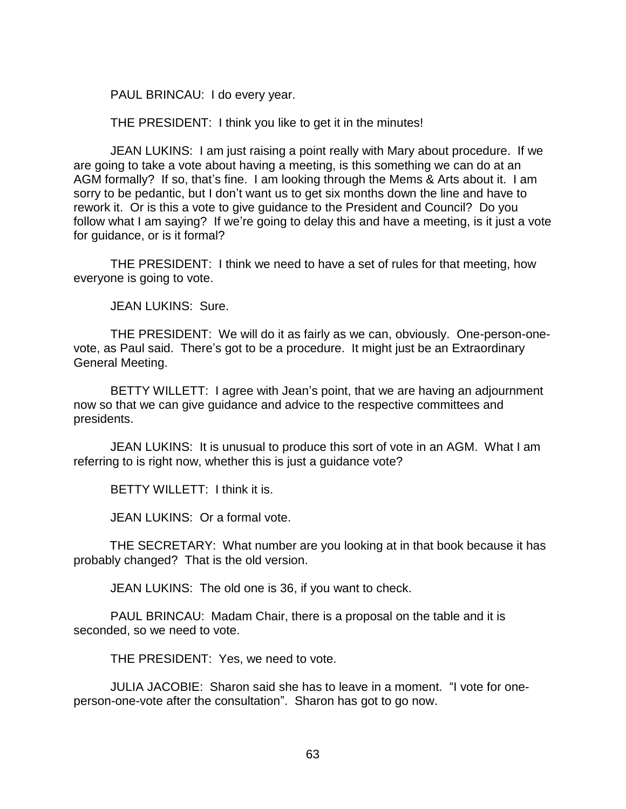PAUL BRINCAU: I do every year.

THE PRESIDENT: I think you like to get it in the minutes!

JEAN LUKINS: I am just raising a point really with Mary about procedure. If we are going to take a vote about having a meeting, is this something we can do at an AGM formally? If so, that's fine. I am looking through the Mems & Arts about it. I am sorry to be pedantic, but I don't want us to get six months down the line and have to rework it. Or is this a vote to give guidance to the President and Council? Do you follow what I am saying? If we're going to delay this and have a meeting, is it just a vote for guidance, or is it formal?

THE PRESIDENT: I think we need to have a set of rules for that meeting, how everyone is going to vote.

JEAN LUKINS: Sure.

THE PRESIDENT: We will do it as fairly as we can, obviously. One-person-onevote, as Paul said. There's got to be a procedure. It might just be an Extraordinary General Meeting.

BETTY WILLETT: I agree with Jean's point, that we are having an adjournment now so that we can give guidance and advice to the respective committees and presidents.

JEAN LUKINS: It is unusual to produce this sort of vote in an AGM. What I am referring to is right now, whether this is just a guidance vote?

BETTY WILLETT: I think it is.

JEAN LUKINS: Or a formal vote.

THE SECRETARY: What number are you looking at in that book because it has probably changed? That is the old version.

JEAN LUKINS: The old one is 36, if you want to check.

PAUL BRINCAU: Madam Chair, there is a proposal on the table and it is seconded, so we need to vote.

THE PRESIDENT: Yes, we need to vote.

JULIA JACOBIE: Sharon said she has to leave in a moment. "I vote for oneperson-one-vote after the consultation". Sharon has got to go now.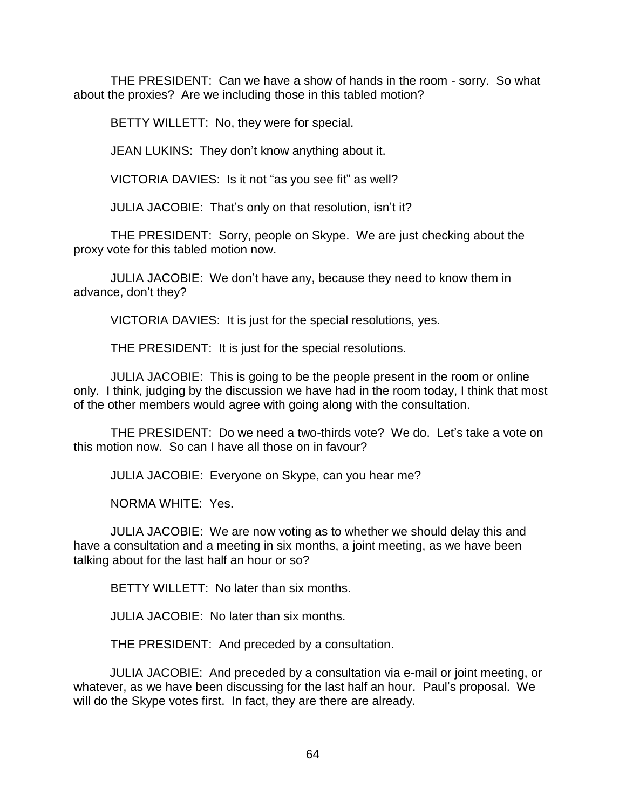THE PRESIDENT: Can we have a show of hands in the room - sorry. So what about the proxies? Are we including those in this tabled motion?

BETTY WILLETT: No, they were for special.

JEAN LUKINS: They don't know anything about it.

VICTORIA DAVIES: Is it not "as you see fit" as well?

JULIA JACOBIE: That's only on that resolution, isn't it?

THE PRESIDENT: Sorry, people on Skype. We are just checking about the proxy vote for this tabled motion now.

JULIA JACOBIE: We don't have any, because they need to know them in advance, don't they?

VICTORIA DAVIES: It is just for the special resolutions, yes.

THE PRESIDENT: It is just for the special resolutions.

JULIA JACOBIE: This is going to be the people present in the room or online only. I think, judging by the discussion we have had in the room today, I think that most of the other members would agree with going along with the consultation.

THE PRESIDENT: Do we need a two-thirds vote? We do. Let's take a vote on this motion now. So can I have all those on in favour?

JULIA JACOBIE: Everyone on Skype, can you hear me?

NORMA WHITE: Yes.

JULIA JACOBIE: We are now voting as to whether we should delay this and have a consultation and a meeting in six months, a joint meeting, as we have been talking about for the last half an hour or so?

BETTY WILLETT: No later than six months.

JULIA JACOBIE: No later than six months.

THE PRESIDENT: And preceded by a consultation.

JULIA JACOBIE: And preceded by a consultation via e-mail or joint meeting, or whatever, as we have been discussing for the last half an hour. Paul's proposal. We will do the Skype votes first. In fact, they are there are already.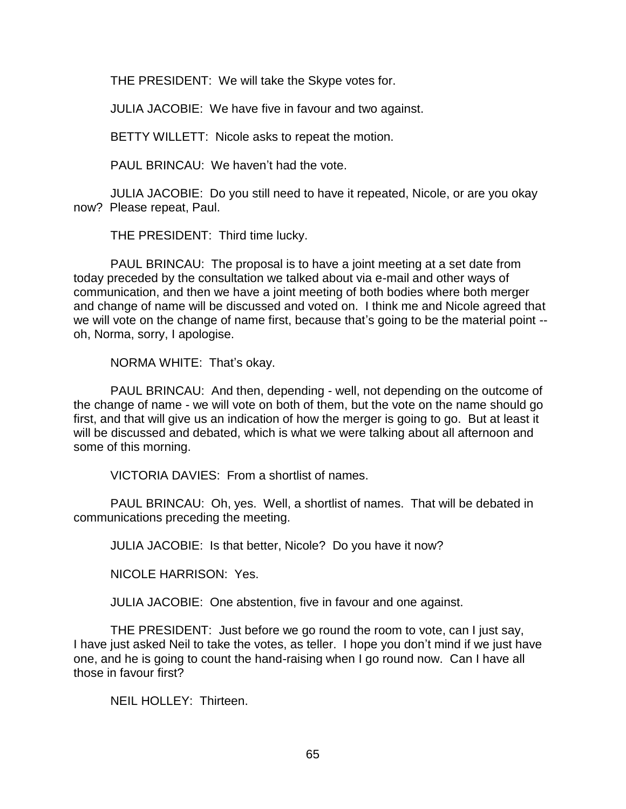THE PRESIDENT: We will take the Skype votes for.

JULIA JACOBIE: We have five in favour and two against.

BETTY WILLETT: Nicole asks to repeat the motion.

PAUL BRINCAU: We haven't had the vote.

JULIA JACOBIE: Do you still need to have it repeated, Nicole, or are you okay now? Please repeat, Paul.

THE PRESIDENT: Third time lucky.

PAUL BRINCAU: The proposal is to have a joint meeting at a set date from today preceded by the consultation we talked about via e-mail and other ways of communication, and then we have a joint meeting of both bodies where both merger and change of name will be discussed and voted on. I think me and Nicole agreed that we will vote on the change of name first, because that's going to be the material point - oh, Norma, sorry, I apologise.

NORMA WHITE: That's okay.

PAUL BRINCAU: And then, depending - well, not depending on the outcome of the change of name - we will vote on both of them, but the vote on the name should go first, and that will give us an indication of how the merger is going to go. But at least it will be discussed and debated, which is what we were talking about all afternoon and some of this morning.

VICTORIA DAVIES: From a shortlist of names.

PAUL BRINCAU: Oh, yes. Well, a shortlist of names. That will be debated in communications preceding the meeting.

JULIA JACOBIE: Is that better, Nicole? Do you have it now?

NICOLE HARRISON: Yes.

JULIA JACOBIE: One abstention, five in favour and one against.

THE PRESIDENT: Just before we go round the room to vote, can I just say, I have just asked Neil to take the votes, as teller. I hope you don't mind if we just have one, and he is going to count the hand-raising when I go round now. Can I have all those in favour first?

NEIL HOLLEY: Thirteen.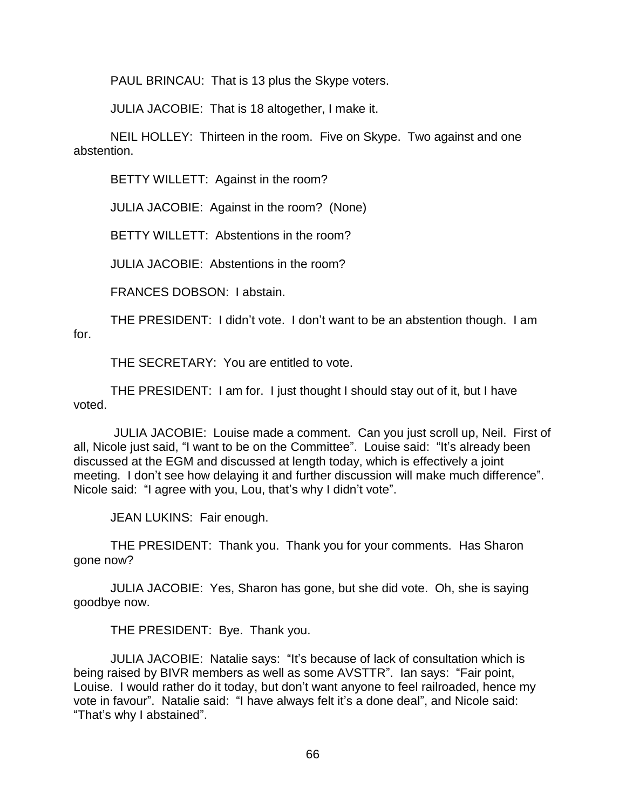PAUL BRINCAU: That is 13 plus the Skype voters.

JULIA JACOBIE: That is 18 altogether, I make it.

NEIL HOLLEY: Thirteen in the room. Five on Skype. Two against and one abstention.

BETTY WILLETT: Against in the room?

JULIA JACOBIE: Against in the room? (None)

BETTY WILLETT: Abstentions in the room?

JULIA JACOBIE: Abstentions in the room?

FRANCES DOBSON: I abstain.

THE PRESIDENT: I didn't vote. I don't want to be an abstention though. I am for.

THE SECRETARY: You are entitled to vote.

THE PRESIDENT: I am for. I just thought I should stay out of it, but I have voted.

JULIA JACOBIE: Louise made a comment. Can you just scroll up, Neil. First of all, Nicole just said, "I want to be on the Committee". Louise said: "It's already been discussed at the EGM and discussed at length today, which is effectively a joint meeting. I don't see how delaying it and further discussion will make much difference". Nicole said: "I agree with you, Lou, that's why I didn't vote".

JEAN LUKINS: Fair enough.

THE PRESIDENT: Thank you. Thank you for your comments. Has Sharon gone now?

JULIA JACOBIE: Yes, Sharon has gone, but she did vote. Oh, she is saying goodbye now.

THE PRESIDENT: Bye. Thank you.

JULIA JACOBIE: Natalie says: "It's because of lack of consultation which is being raised by BIVR members as well as some AVSTTR". Ian says: "Fair point, Louise. I would rather do it today, but don't want anyone to feel railroaded, hence my vote in favour". Natalie said: "I have always felt it's a done deal", and Nicole said: "That's why I abstained".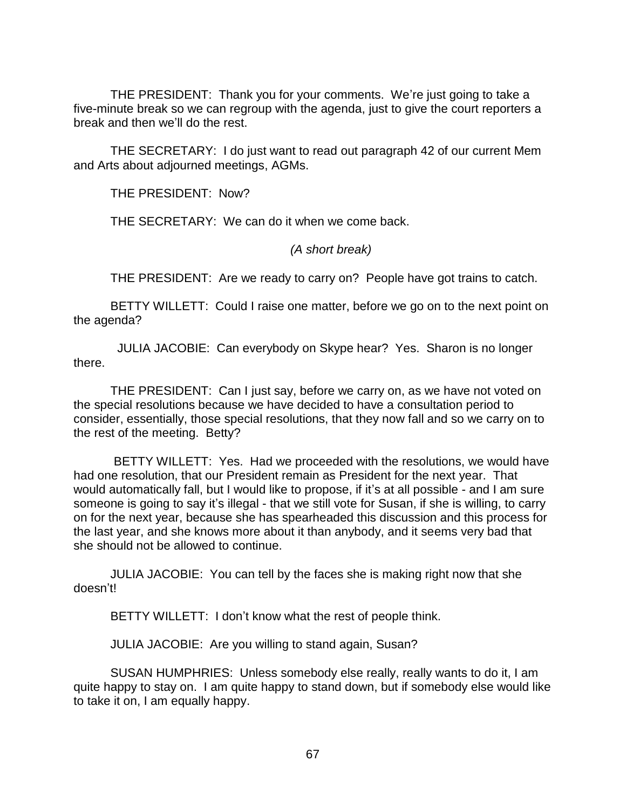THE PRESIDENT: Thank you for your comments. We're just going to take a five-minute break so we can regroup with the agenda, just to give the court reporters a break and then we'll do the rest.

THE SECRETARY: I do just want to read out paragraph 42 of our current Mem and Arts about adjourned meetings, AGMs.

THE PRESIDENT: Now?

THE SECRETARY: We can do it when we come back.

## *(A short break)*

THE PRESIDENT: Are we ready to carry on? People have got trains to catch.

BETTY WILLETT: Could I raise one matter, before we go on to the next point on the agenda?

 JULIA JACOBIE: Can everybody on Skype hear? Yes. Sharon is no longer there.

THE PRESIDENT: Can I just say, before we carry on, as we have not voted on the special resolutions because we have decided to have a consultation period to consider, essentially, those special resolutions, that they now fall and so we carry on to the rest of the meeting. Betty?

BETTY WILLETT: Yes. Had we proceeded with the resolutions, we would have had one resolution, that our President remain as President for the next year. That would automatically fall, but I would like to propose, if it's at all possible - and I am sure someone is going to say it's illegal - that we still vote for Susan, if she is willing, to carry on for the next year, because she has spearheaded this discussion and this process for the last year, and she knows more about it than anybody, and it seems very bad that she should not be allowed to continue.

JULIA JACOBIE: You can tell by the faces she is making right now that she doesn't!

BETTY WILLETT: I don't know what the rest of people think.

JULIA JACOBIE: Are you willing to stand again, Susan?

SUSAN HUMPHRIES: Unless somebody else really, really wants to do it, I am quite happy to stay on. I am quite happy to stand down, but if somebody else would like to take it on, I am equally happy.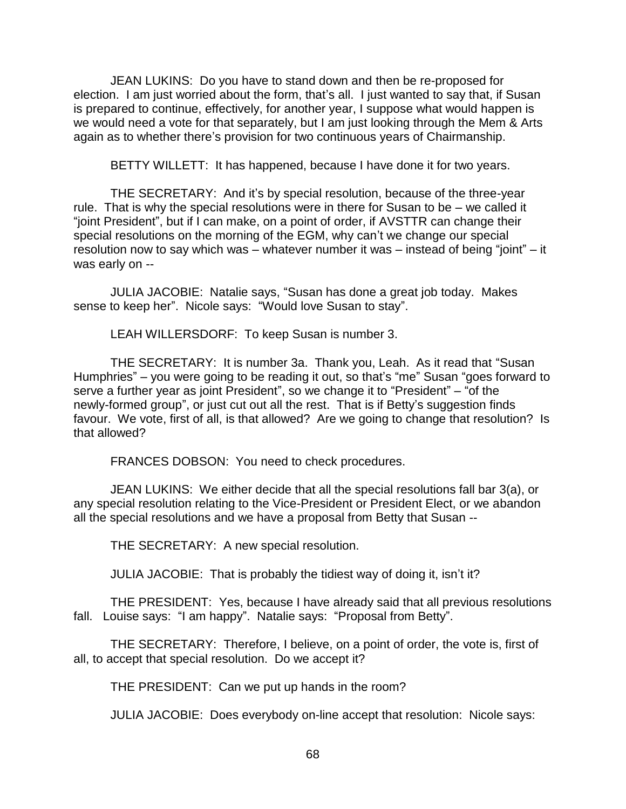JEAN LUKINS: Do you have to stand down and then be re-proposed for election. I am just worried about the form, that's all. I just wanted to say that, if Susan is prepared to continue, effectively, for another year, I suppose what would happen is we would need a vote for that separately, but I am just looking through the Mem & Arts again as to whether there's provision for two continuous years of Chairmanship.

BETTY WILLETT: It has happened, because I have done it for two years.

THE SECRETARY: And it's by special resolution, because of the three-year rule. That is why the special resolutions were in there for Susan to be – we called it "joint President", but if I can make, on a point of order, if AVSTTR can change their special resolutions on the morning of the EGM, why can't we change our special resolution now to say which was – whatever number it was – instead of being "joint" – it was early on --

JULIA JACOBIE: Natalie says, "Susan has done a great job today. Makes sense to keep her". Nicole says: "Would love Susan to stay".

LEAH WILLERSDORF: To keep Susan is number 3.

THE SECRETARY: It is number 3a. Thank you, Leah. As it read that "Susan Humphries" – you were going to be reading it out, so that's "me" Susan "goes forward to serve a further year as joint President", so we change it to "President" – "of the newly-formed group", or just cut out all the rest. That is if Betty's suggestion finds favour. We vote, first of all, is that allowed? Are we going to change that resolution? Is that allowed?

FRANCES DOBSON: You need to check procedures.

JEAN LUKINS: We either decide that all the special resolutions fall bar 3(a), or any special resolution relating to the Vice-President or President Elect, or we abandon all the special resolutions and we have a proposal from Betty that Susan --

THE SECRETARY: A new special resolution.

JULIA JACOBIE: That is probably the tidiest way of doing it, isn't it?

THE PRESIDENT: Yes, because I have already said that all previous resolutions fall. Louise says: "I am happy". Natalie says: "Proposal from Betty".

THE SECRETARY: Therefore, I believe, on a point of order, the vote is, first of all, to accept that special resolution. Do we accept it?

THE PRESIDENT: Can we put up hands in the room?

JULIA JACOBIE: Does everybody on-line accept that resolution: Nicole says: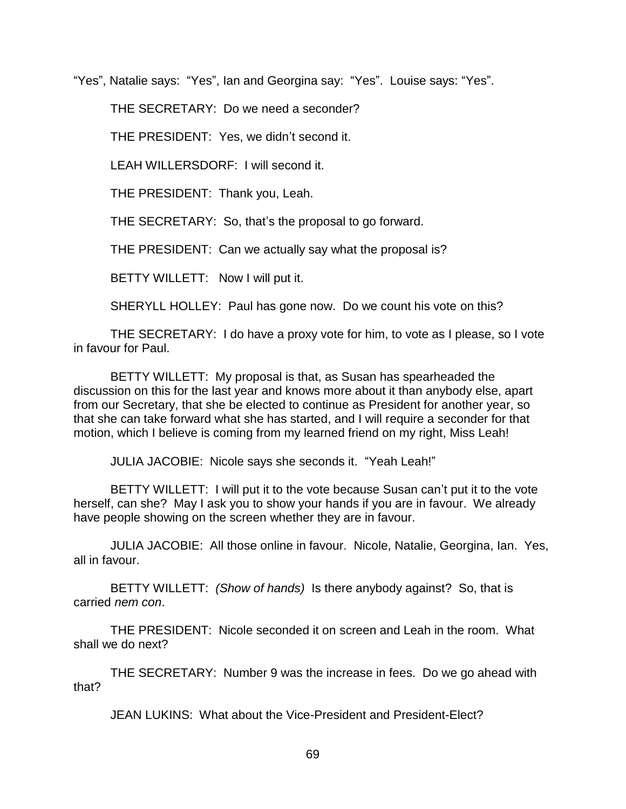"Yes", Natalie says: "Yes", Ian and Georgina say: "Yes". Louise says: "Yes".

THE SECRETARY: Do we need a seconder?

THE PRESIDENT: Yes, we didn't second it.

LEAH WILLERSDORF: I will second it.

THE PRESIDENT: Thank you, Leah.

THE SECRETARY: So, that's the proposal to go forward.

THE PRESIDENT: Can we actually say what the proposal is?

BETTY WILLETT: Now I will put it.

SHERYLL HOLLEY: Paul has gone now. Do we count his vote on this?

THE SECRETARY: I do have a proxy vote for him, to vote as I please, so I vote in favour for Paul.

BETTY WILLETT: My proposal is that, as Susan has spearheaded the discussion on this for the last year and knows more about it than anybody else, apart from our Secretary, that she be elected to continue as President for another year, so that she can take forward what she has started, and I will require a seconder for that motion, which I believe is coming from my learned friend on my right, Miss Leah!

JULIA JACOBIE: Nicole says she seconds it. "Yeah Leah!"

BETTY WILLETT: I will put it to the vote because Susan can't put it to the vote herself, can she? May I ask you to show your hands if you are in favour. We already have people showing on the screen whether they are in favour.

JULIA JACOBIE: All those online in favour. Nicole, Natalie, Georgina, Ian. Yes, all in favour.

BETTY WILLETT: *(Show of hands)* Is there anybody against? So, that is carried *nem con*.

THE PRESIDENT: Nicole seconded it on screen and Leah in the room. What shall we do next?

THE SECRETARY: Number 9 was the increase in fees. Do we go ahead with that?

JEAN LUKINS: What about the Vice-President and President-Elect?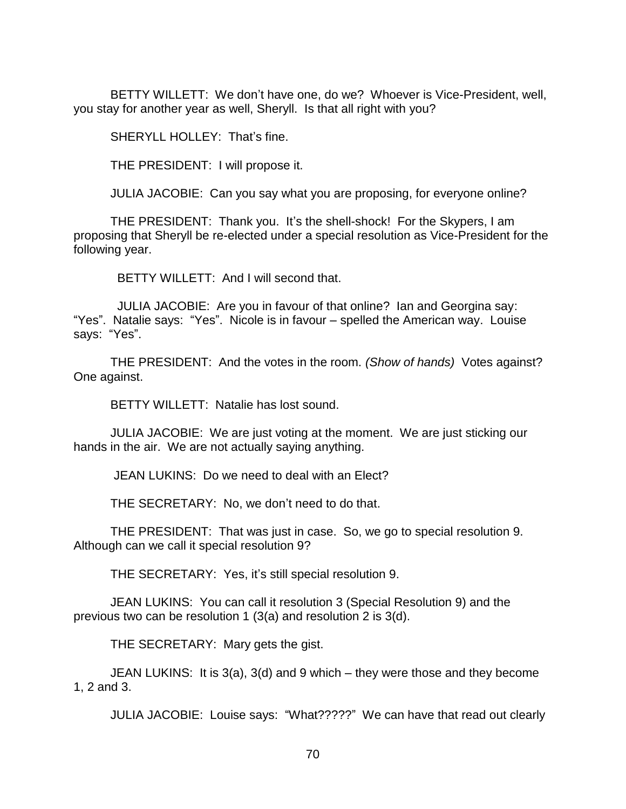BETTY WILLETT: We don't have one, do we? Whoever is Vice-President, well, you stay for another year as well, Sheryll. Is that all right with you?

SHERYLL HOLLEY: That's fine.

THE PRESIDENT: I will propose it.

JULIA JACOBIE: Can you say what you are proposing, for everyone online?

THE PRESIDENT: Thank you. It's the shell-shock! For the Skypers, I am proposing that Sheryll be re-elected under a special resolution as Vice-President for the following year.

BETTY WILLETT: And I will second that.

 JULIA JACOBIE: Are you in favour of that online? Ian and Georgina say: "Yes". Natalie says: "Yes". Nicole is in favour – spelled the American way. Louise says: "Yes".

THE PRESIDENT: And the votes in the room. *(Show of hands)* Votes against? One against.

BETTY WILLETT: Natalie has lost sound.

JULIA JACOBIE: We are just voting at the moment. We are just sticking our hands in the air. We are not actually saying anything.

JEAN LUKINS: Do we need to deal with an Elect?

THE SECRETARY: No, we don't need to do that.

THE PRESIDENT: That was just in case. So, we go to special resolution 9. Although can we call it special resolution 9?

THE SECRETARY: Yes, it's still special resolution 9.

JEAN LUKINS: You can call it resolution 3 (Special Resolution 9) and the previous two can be resolution 1 (3(a) and resolution 2 is 3(d).

THE SECRETARY: Mary gets the gist.

JEAN LUKINS: It is 3(a), 3(d) and 9 which – they were those and they become 1, 2 and 3.

JULIA JACOBIE: Louise says: "What?????" We can have that read out clearly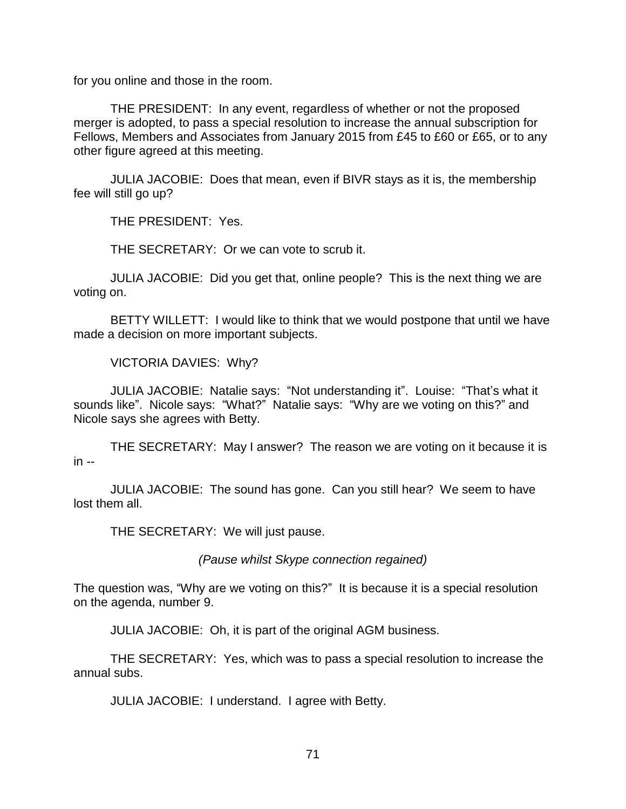for you online and those in the room.

THE PRESIDENT: In any event, regardless of whether or not the proposed merger is adopted, to pass a special resolution to increase the annual subscription for Fellows, Members and Associates from January 2015 from £45 to £60 or £65, or to any other figure agreed at this meeting.

JULIA JACOBIE: Does that mean, even if BIVR stays as it is, the membership fee will still go up?

THE PRESIDENT: Yes.

THE SECRETARY: Or we can vote to scrub it.

JULIA JACOBIE: Did you get that, online people? This is the next thing we are voting on.

BETTY WILLETT: I would like to think that we would postpone that until we have made a decision on more important subjects.

VICTORIA DAVIES: Why?

JULIA JACOBIE: Natalie says: "Not understanding it". Louise: "That's what it sounds like". Nicole says: "What?" Natalie says: "Why are we voting on this?" and Nicole says she agrees with Betty.

THE SECRETARY: May I answer? The reason we are voting on it because it is  $in -$ 

JULIA JACOBIE: The sound has gone. Can you still hear? We seem to have lost them all.

THE SECRETARY: We will just pause.

*(Pause whilst Skype connection regained)*

The question was, "Why are we voting on this?" It is because it is a special resolution on the agenda, number 9.

JULIA JACOBIE: Oh, it is part of the original AGM business.

THE SECRETARY: Yes, which was to pass a special resolution to increase the annual subs.

JULIA JACOBIE: I understand. I agree with Betty.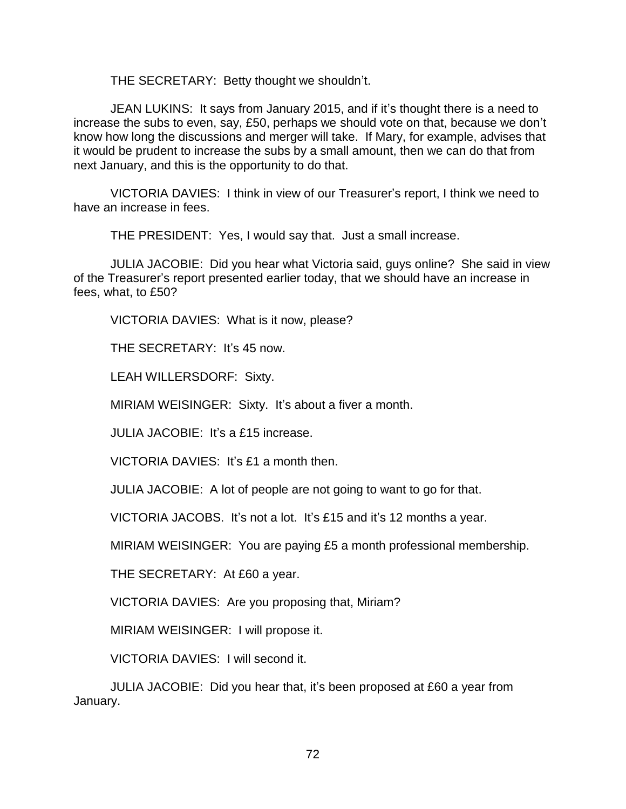THE SECRETARY: Betty thought we shouldn't.

JEAN LUKINS: It says from January 2015, and if it's thought there is a need to increase the subs to even, say, £50, perhaps we should vote on that, because we don't know how long the discussions and merger will take. If Mary, for example, advises that it would be prudent to increase the subs by a small amount, then we can do that from next January, and this is the opportunity to do that.

VICTORIA DAVIES: I think in view of our Treasurer's report, I think we need to have an increase in fees.

THE PRESIDENT: Yes, I would say that. Just a small increase.

JULIA JACOBIE: Did you hear what Victoria said, guys online? She said in view of the Treasurer's report presented earlier today, that we should have an increase in fees, what, to £50?

VICTORIA DAVIES: What is it now, please?

THE SECRETARY: It's 45 now.

LEAH WILLERSDORF: Sixty.

MIRIAM WEISINGER: Sixty. It's about a fiver a month.

JULIA JACOBIE: It's a £15 increase.

VICTORIA DAVIES: It's £1 a month then.

JULIA JACOBIE: A lot of people are not going to want to go for that.

VICTORIA JACOBS. It's not a lot. It's £15 and it's 12 months a year.

MIRIAM WEISINGER: You are paying £5 a month professional membership.

THE SECRETARY: At £60 a year.

VICTORIA DAVIES: Are you proposing that, Miriam?

MIRIAM WEISINGER: I will propose it.

VICTORIA DAVIES: I will second it.

JULIA JACOBIE: Did you hear that, it's been proposed at £60 a year from January.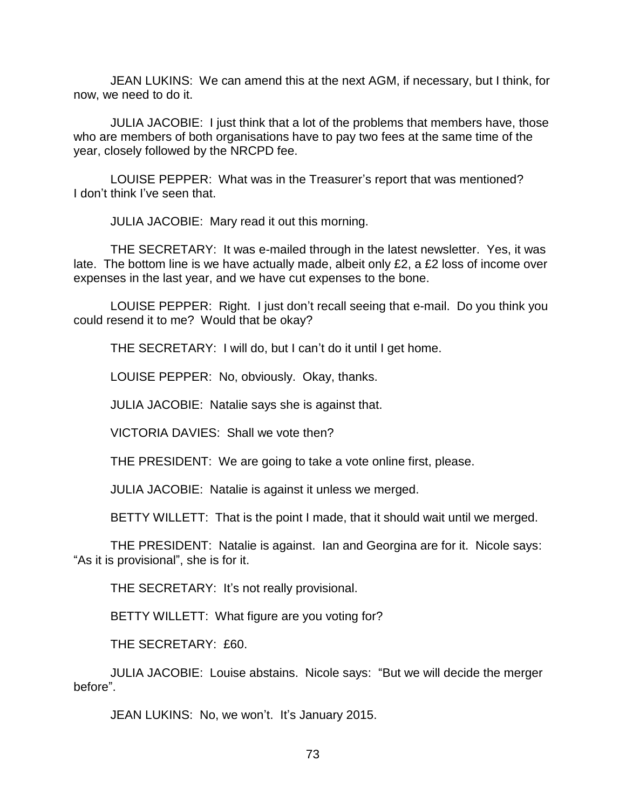JEAN LUKINS: We can amend this at the next AGM, if necessary, but I think, for now, we need to do it.

JULIA JACOBIE: I just think that a lot of the problems that members have, those who are members of both organisations have to pay two fees at the same time of the year, closely followed by the NRCPD fee.

LOUISE PEPPER: What was in the Treasurer's report that was mentioned? I don't think I've seen that.

JULIA JACOBIE: Mary read it out this morning.

THE SECRETARY: It was e-mailed through in the latest newsletter. Yes, it was late. The bottom line is we have actually made, albeit only £2, a £2 loss of income over expenses in the last year, and we have cut expenses to the bone.

LOUISE PEPPER: Right. I just don't recall seeing that e-mail. Do you think you could resend it to me? Would that be okay?

THE SECRETARY: I will do, but I can't do it until I get home.

LOUISE PEPPER: No, obviously. Okay, thanks.

JULIA JACOBIE: Natalie says she is against that.

VICTORIA DAVIES: Shall we vote then?

THE PRESIDENT: We are going to take a vote online first, please.

JULIA JACOBIE: Natalie is against it unless we merged.

BETTY WILLETT: That is the point I made, that it should wait until we merged.

THE PRESIDENT: Natalie is against. Ian and Georgina are for it. Nicole says: "As it is provisional", she is for it.

THE SECRETARY: It's not really provisional.

BETTY WILLETT: What figure are you voting for?

THE SECRETARY: £60.

JULIA JACOBIE: Louise abstains. Nicole says: "But we will decide the merger before".

JEAN LUKINS: No, we won't. It's January 2015.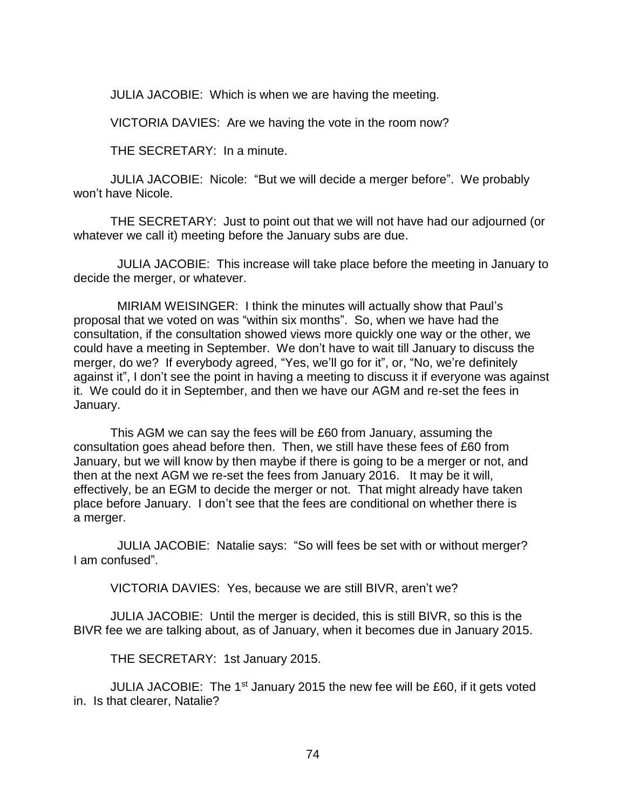JULIA JACOBIE: Which is when we are having the meeting.

VICTORIA DAVIES: Are we having the vote in the room now?

THE SECRETARY: In a minute.

JULIA JACOBIE: Nicole: "But we will decide a merger before". We probably won't have Nicole.

THE SECRETARY: Just to point out that we will not have had our adjourned (or whatever we call it) meeting before the January subs are due.

 JULIA JACOBIE: This increase will take place before the meeting in January to decide the merger, or whatever.

 MIRIAM WEISINGER: I think the minutes will actually show that Paul's proposal that we voted on was "within six months". So, when we have had the consultation, if the consultation showed views more quickly one way or the other, we could have a meeting in September. We don't have to wait till January to discuss the merger, do we? If everybody agreed, "Yes, we'll go for it", or, "No, we're definitely against it", I don't see the point in having a meeting to discuss it if everyone was against it. We could do it in September, and then we have our AGM and re-set the fees in January.

This AGM we can say the fees will be £60 from January, assuming the consultation goes ahead before then. Then, we still have these fees of £60 from January, but we will know by then maybe if there is going to be a merger or not, and then at the next AGM we re-set the fees from January 2016. It may be it will, effectively, be an EGM to decide the merger or not. That might already have taken place before January. I don't see that the fees are conditional on whether there is a merger.

 JULIA JACOBIE: Natalie says: "So will fees be set with or without merger? I am confused".

VICTORIA DAVIES: Yes, because we are still BIVR, aren't we?

JULIA JACOBIE: Until the merger is decided, this is still BIVR, so this is the BIVR fee we are talking about, as of January, when it becomes due in January 2015.

THE SECRETARY: 1st January 2015.

JULIA JACOBIE: The 1st January 2015 the new fee will be £60, if it gets voted in. Is that clearer, Natalie?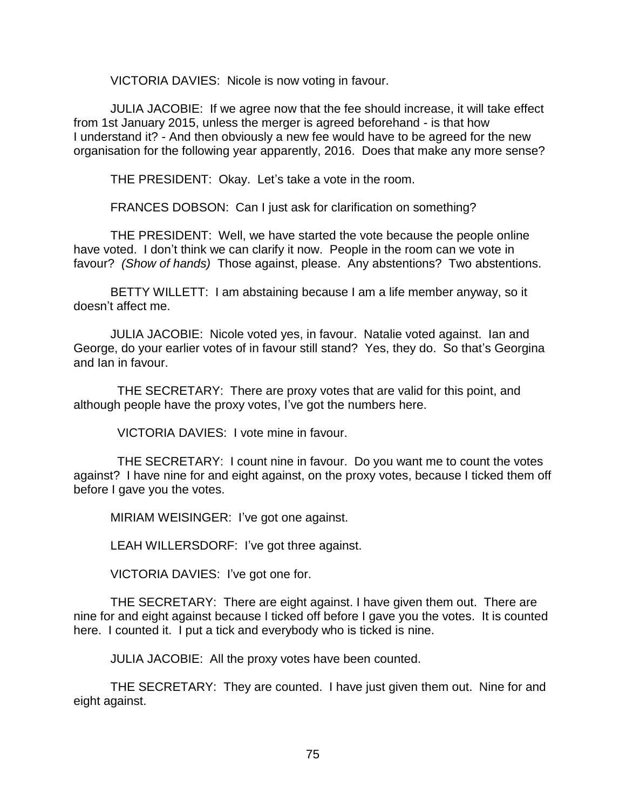VICTORIA DAVIES: Nicole is now voting in favour.

JULIA JACOBIE: If we agree now that the fee should increase, it will take effect from 1st January 2015, unless the merger is agreed beforehand - is that how I understand it? - And then obviously a new fee would have to be agreed for the new organisation for the following year apparently, 2016. Does that make any more sense?

THE PRESIDENT: Okay. Let's take a vote in the room.

FRANCES DOBSON: Can I just ask for clarification on something?

THE PRESIDENT: Well, we have started the vote because the people online have voted. I don't think we can clarify it now. People in the room can we vote in favour? *(Show of hands)* Those against, please. Any abstentions? Two abstentions.

BETTY WILLETT: I am abstaining because I am a life member anyway, so it doesn't affect me.

JULIA JACOBIE: Nicole voted yes, in favour. Natalie voted against. Ian and George, do your earlier votes of in favour still stand? Yes, they do. So that's Georgina and Ian in favour.

 THE SECRETARY: There are proxy votes that are valid for this point, and although people have the proxy votes, I've got the numbers here.

VICTORIA DAVIES: I vote mine in favour.

 THE SECRETARY: I count nine in favour. Do you want me to count the votes against? I have nine for and eight against, on the proxy votes, because I ticked them off before I gave you the votes.

MIRIAM WEISINGER: I've got one against.

LEAH WILLERSDORF: I've got three against.

VICTORIA DAVIES: I've got one for.

THE SECRETARY: There are eight against. I have given them out. There are nine for and eight against because I ticked off before I gave you the votes. It is counted here. I counted it. I put a tick and everybody who is ticked is nine.

JULIA JACOBIE: All the proxy votes have been counted.

THE SECRETARY: They are counted. I have just given them out. Nine for and eight against.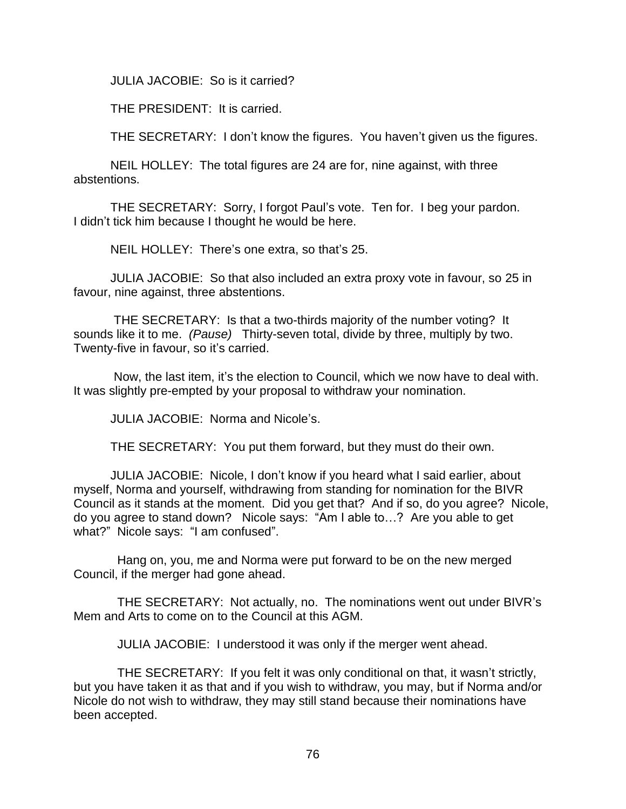JULIA JACOBIE: So is it carried?

THE PRESIDENT: It is carried.

THE SECRETARY: I don't know the figures. You haven't given us the figures.

NEIL HOLLEY: The total figures are 24 are for, nine against, with three abstentions.

THE SECRETARY: Sorry, I forgot Paul's vote. Ten for. I beg your pardon. I didn't tick him because I thought he would be here.

NEIL HOLLEY: There's one extra, so that's 25.

JULIA JACOBIE: So that also included an extra proxy vote in favour, so 25 in favour, nine against, three abstentions.

THE SECRETARY: Is that a two-thirds majority of the number voting? It sounds like it to me. *(Pause)* Thirty-seven total, divide by three, multiply by two. Twenty-five in favour, so it's carried.

Now, the last item, it's the election to Council, which we now have to deal with. It was slightly pre-empted by your proposal to withdraw your nomination.

JULIA JACOBIE: Norma and Nicole's.

THE SECRETARY: You put them forward, but they must do their own.

JULIA JACOBIE: Nicole, I don't know if you heard what I said earlier, about myself, Norma and yourself, withdrawing from standing for nomination for the BIVR Council as it stands at the moment. Did you get that? And if so, do you agree? Nicole, do you agree to stand down? Nicole says: "Am I able to…? Are you able to get what?" Nicole says: "I am confused".

 Hang on, you, me and Norma were put forward to be on the new merged Council, if the merger had gone ahead.

 THE SECRETARY: Not actually, no. The nominations went out under BIVR's Mem and Arts to come on to the Council at this AGM.

JULIA JACOBIE: I understood it was only if the merger went ahead.

 THE SECRETARY: If you felt it was only conditional on that, it wasn't strictly, but you have taken it as that and if you wish to withdraw, you may, but if Norma and/or Nicole do not wish to withdraw, they may still stand because their nominations have been accepted.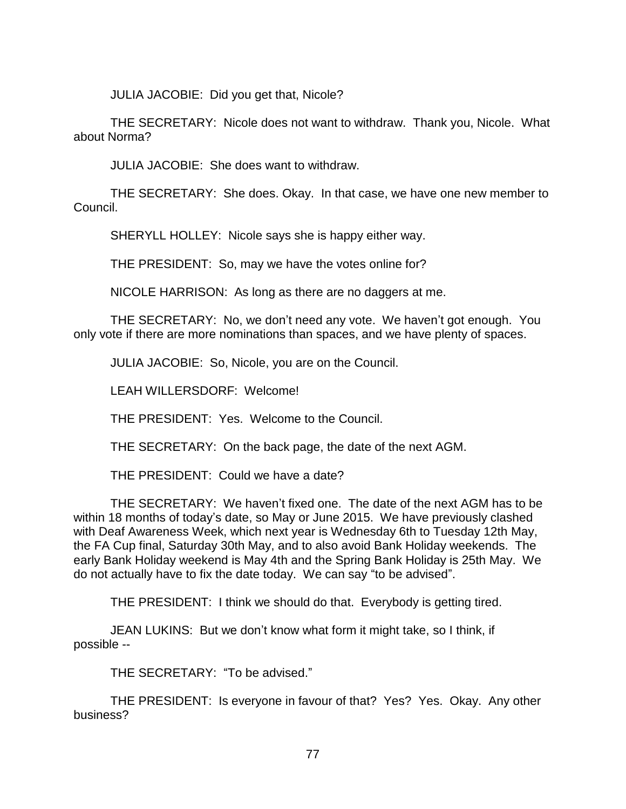JULIA JACOBIE: Did you get that, Nicole?

THE SECRETARY: Nicole does not want to withdraw. Thank you, Nicole. What about Norma?

JULIA JACOBIE: She does want to withdraw.

THE SECRETARY: She does. Okay. In that case, we have one new member to Council.

SHERYLL HOLLEY: Nicole says she is happy either way.

THE PRESIDENT: So, may we have the votes online for?

NICOLE HARRISON: As long as there are no daggers at me.

THE SECRETARY: No, we don't need any vote. We haven't got enough. You only vote if there are more nominations than spaces, and we have plenty of spaces.

JULIA JACOBIE: So, Nicole, you are on the Council.

LEAH WILLERSDORF: Welcome!

THE PRESIDENT: Yes. Welcome to the Council.

THE SECRETARY: On the back page, the date of the next AGM.

THE PRESIDENT: Could we have a date?

THE SECRETARY: We haven't fixed one. The date of the next AGM has to be within 18 months of today's date, so May or June 2015. We have previously clashed with Deaf Awareness Week, which next year is Wednesday 6th to Tuesday 12th May, the FA Cup final, Saturday 30th May, and to also avoid Bank Holiday weekends. The early Bank Holiday weekend is May 4th and the Spring Bank Holiday is 25th May. We do not actually have to fix the date today. We can say "to be advised".

THE PRESIDENT: I think we should do that. Everybody is getting tired.

JEAN LUKINS: But we don't know what form it might take, so I think, if possible --

THE SECRETARY: "To be advised."

THE PRESIDENT: Is everyone in favour of that? Yes? Yes. Okay. Any other business?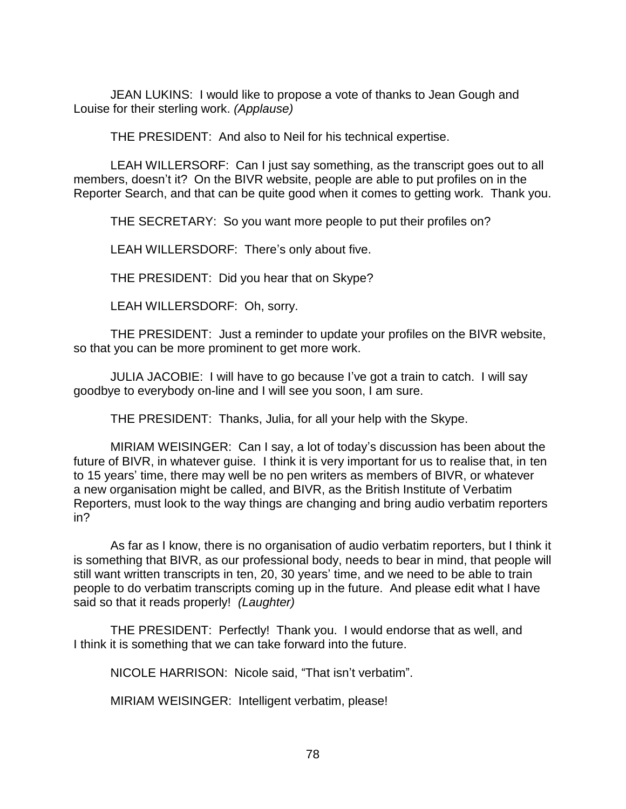JEAN LUKINS: I would like to propose a vote of thanks to Jean Gough and Louise for their sterling work. *(Applause)*

THE PRESIDENT: And also to Neil for his technical expertise.

LEAH WILLERSORF: Can I just say something, as the transcript goes out to all members, doesn't it? On the BIVR website, people are able to put profiles on in the Reporter Search, and that can be quite good when it comes to getting work. Thank you.

THE SECRETARY: So you want more people to put their profiles on?

LEAH WILLERSDORF: There's only about five.

THE PRESIDENT: Did you hear that on Skype?

LEAH WILLERSDORF: Oh, sorry.

THE PRESIDENT: Just a reminder to update your profiles on the BIVR website, so that you can be more prominent to get more work.

JULIA JACOBIE: I will have to go because I've got a train to catch. I will say goodbye to everybody on-line and I will see you soon, I am sure.

THE PRESIDENT: Thanks, Julia, for all your help with the Skype.

MIRIAM WEISINGER: Can I say, a lot of today's discussion has been about the future of BIVR, in whatever guise. I think it is very important for us to realise that, in ten to 15 years' time, there may well be no pen writers as members of BIVR, or whatever a new organisation might be called, and BIVR, as the British Institute of Verbatim Reporters, must look to the way things are changing and bring audio verbatim reporters in?

As far as I know, there is no organisation of audio verbatim reporters, but I think it is something that BIVR, as our professional body, needs to bear in mind, that people will still want written transcripts in ten, 20, 30 years' time, and we need to be able to train people to do verbatim transcripts coming up in the future. And please edit what I have said so that it reads properly! *(Laughter)*

THE PRESIDENT: Perfectly! Thank you. I would endorse that as well, and I think it is something that we can take forward into the future.

NICOLE HARRISON: Nicole said, "That isn't verbatim".

MIRIAM WEISINGER: Intelligent verbatim, please!